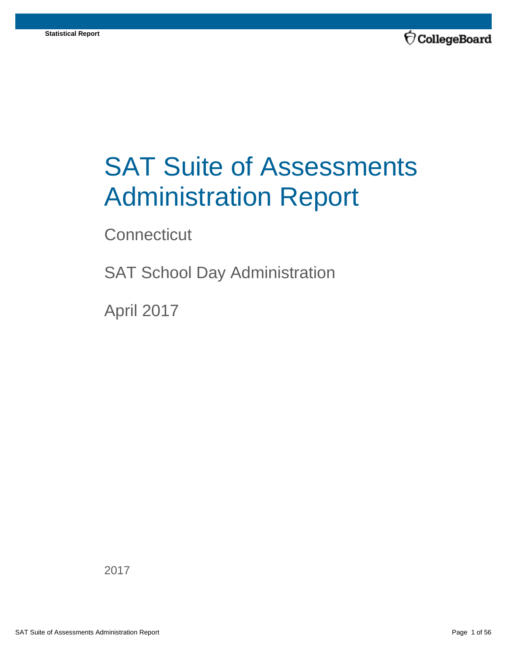

# SAT Suite of Assessments Administration Report

**Connecticut** 

SAT School Day Administration

April 2017

2017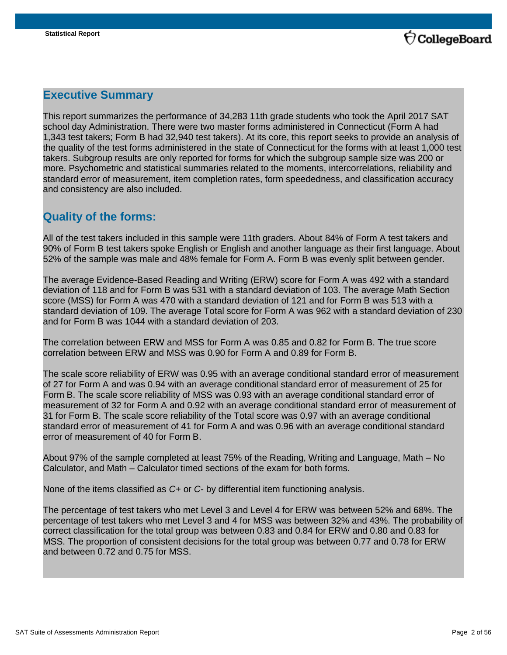

## **Executive Summary**

This report summarizes the performance of 34,283 11th grade students who took the April 2017 SAT school day Administration. There were two master forms administered in Connecticut (Form A had 1,343 test takers; Form B had 32,940 test takers). At its core, this report seeks to provide an analysis of the quality of the test forms administered in the state of Connecticut for the forms with at least 1,000 test takers. Subgroup results are only reported for forms for which the subgroup sample size was 200 or more. Psychometric and statistical summaries related to the moments, intercorrelations, reliability and standard error of measurement, item completion rates, form speededness, and classification accuracy and consistency are also included.

## **Quality of the forms:**

All of the test takers included in this sample were 11th graders. About 84% of Form A test takers and 90% of Form B test takers spoke English or English and another language as their first language. About 52% of the sample was male and 48% female for Form A. Form B was evenly split between gender.

The average Evidence-Based Reading and Writing (ERW) score for Form A was 492 with a standard deviation of 118 and for Form B was 531 with a standard deviation of 103. The average Math Section score (MSS) for Form A was 470 with a standard deviation of 121 and for Form B was 513 with a standard deviation of 109. The average Total score for Form A was 962 with a standard deviation of 230 and for Form B was 1044 with a standard deviation of 203.

The correlation between ERW and MSS for Form A was 0.85 and 0.82 for Form B. The true score correlation between ERW and MSS was 0.90 for Form A and 0.89 for Form B.

The scale score reliability of ERW was 0.95 with an average conditional standard error of measurement of 27 for Form A and was 0.94 with an average conditional standard error of measurement of 25 for Form B. The scale score reliability of MSS was 0.93 with an average conditional standard error of measurement of 32 for Form A and 0.92 with an average conditional standard error of measurement of 31 for Form B. The scale score reliability of the Total score was 0.97 with an average conditional standard error of measurement of 41 for Form A and was 0.96 with an average conditional standard error of measurement of 40 for Form B.

About 97% of the sample completed at least 75% of the Reading, Writing and Language, Math – No Calculator, and Math – Calculator timed sections of the exam for both forms.

None of the items classified as *C+* or *C-* by differential item functioning analysis.

The percentage of test takers who met Level 3 and Level 4 for ERW was between 52% and 68%. The percentage of test takers who met Level 3 and 4 for MSS was between 32% and 43%. The probability of correct classification for the total group was between 0.83 and 0.84 for ERW and 0.80 and 0.83 for MSS. The proportion of consistent decisions for the total group was between 0.77 and 0.78 for ERW and between 0.72 and 0.75 for MSS.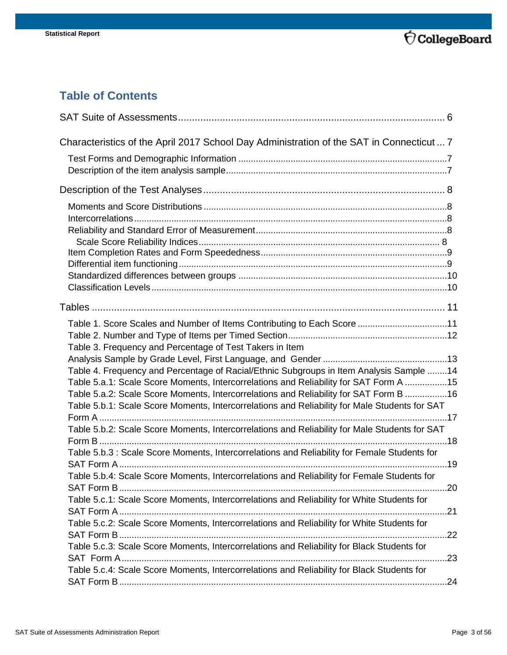

## **Table of Contents**

| Characteristics of the April 2017 School Day Administration of the SAT in Connecticut  7      |     |
|-----------------------------------------------------------------------------------------------|-----|
|                                                                                               |     |
|                                                                                               |     |
|                                                                                               |     |
|                                                                                               |     |
|                                                                                               |     |
|                                                                                               |     |
|                                                                                               |     |
|                                                                                               |     |
|                                                                                               |     |
|                                                                                               |     |
|                                                                                               |     |
|                                                                                               |     |
| Table 1. Score Scales and Number of Items Contributing to Each Score 11                       |     |
|                                                                                               |     |
| Table 3. Frequency and Percentage of Test Takers in Item                                      |     |
|                                                                                               |     |
| Table 4. Frequency and Percentage of Racial/Ethnic Subgroups in Item Analysis Sample 14       |     |
| Table 5.a.1: Scale Score Moments, Intercorrelations and Reliability for SAT Form A 15         |     |
| Table 5.a.2: Scale Score Moments, Intercorrelations and Reliability for SAT Form B 16         |     |
| Table 5.b.1: Scale Score Moments, Intercorrelations and Reliability for Male Students for SAT |     |
|                                                                                               |     |
| Table 5.b.2: Scale Score Moments, Intercorrelations and Reliability for Male Students for SAT |     |
| Table 5.b.3 : Scale Score Moments, Intercorrelations and Reliability for Female Students for  |     |
|                                                                                               |     |
| Table 5.b.4: Scale Score Moments, Intercorrelations and Reliability for Female Students for   |     |
|                                                                                               |     |
| Table 5.c.1: Scale Score Moments, Intercorrelations and Reliability for White Students for    |     |
|                                                                                               | .21 |
| Table 5.c.2: Scale Score Moments, Intercorrelations and Reliability for White Students for    |     |
|                                                                                               |     |
| Table 5.c.3: Scale Score Moments, Intercorrelations and Reliability for Black Students for    |     |
|                                                                                               | .23 |
| Table 5.c.4: Scale Score Moments, Intercorrelations and Reliability for Black Students for    |     |
|                                                                                               | .24 |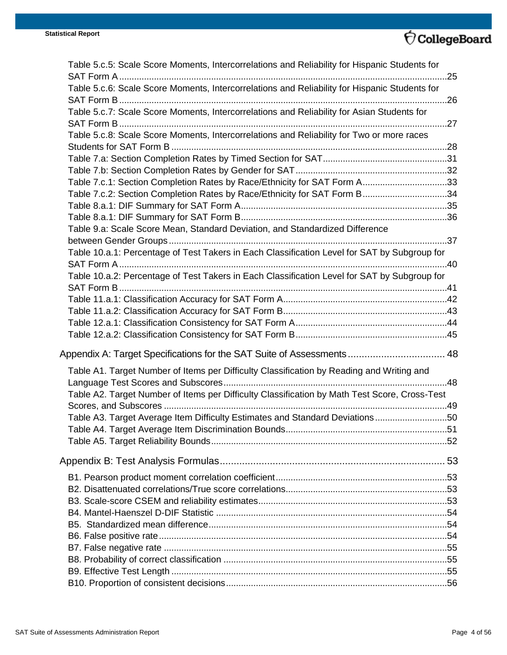## $\overleftrightarrow{\nabla}$ CollegeBoard

| Table 5.c.5: Scale Score Moments, Intercorrelations and Reliability for Hispanic Students for |     |
|-----------------------------------------------------------------------------------------------|-----|
|                                                                                               |     |
| Table 5.c.6: Scale Score Moments, Intercorrelations and Reliability for Hispanic Students for |     |
| Table 5.c.7: Scale Score Moments, Intercorrelations and Reliability for Asian Students for    |     |
|                                                                                               |     |
| Table 5.c.8: Scale Score Moments, Intercorrelations and Reliability for Two or more races     |     |
|                                                                                               |     |
|                                                                                               |     |
|                                                                                               |     |
| Table 7.c.1: Section Completion Rates by Race/Ethnicity for SAT Form A33                      |     |
| Table 7.c.2: Section Completion Rates by Race/Ethnicity for SAT Form B34                      |     |
|                                                                                               |     |
|                                                                                               |     |
| Table 9.a: Scale Score Mean, Standard Deviation, and Standardized Difference                  |     |
|                                                                                               |     |
| Table 10.a.1: Percentage of Test Takers in Each Classification Level for SAT by Subgroup for  |     |
|                                                                                               |     |
| Table 10.a.2: Percentage of Test Takers in Each Classification Level for SAT by Subgroup for  |     |
|                                                                                               |     |
|                                                                                               |     |
|                                                                                               |     |
|                                                                                               |     |
|                                                                                               |     |
| Appendix A: Target Specifications for the SAT Suite of Assessments 48                         |     |
| Table A1. Target Number of Items per Difficulty Classification by Reading and Writing and     |     |
|                                                                                               |     |
| Table A2. Target Number of Items per Difficulty Classification by Math Test Score, Cross-Test |     |
|                                                                                               |     |
| Table A3. Target Average Item Difficulty Estimates and Standard Deviations50                  |     |
|                                                                                               | .51 |
|                                                                                               |     |
|                                                                                               |     |
|                                                                                               |     |
|                                                                                               |     |
|                                                                                               |     |
|                                                                                               |     |
|                                                                                               |     |
|                                                                                               |     |
|                                                                                               |     |
|                                                                                               |     |
|                                                                                               |     |
|                                                                                               |     |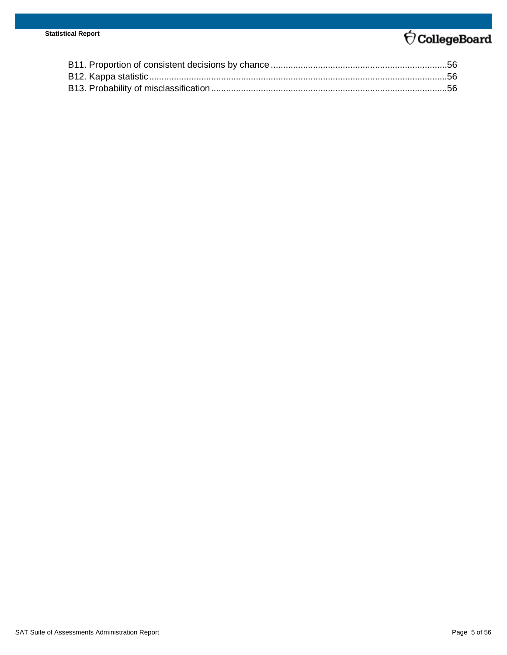## $\overleftrightarrow{\nabla}$ CollegeBoard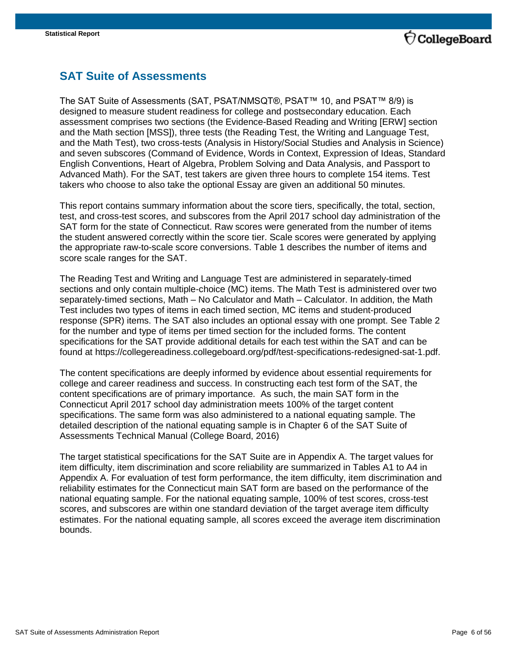

## <span id="page-5-0"></span>**SAT Suite of Assessments**

The SAT Suite of Assessments (SAT, PSAT/NMSQT®, PSAT™ 10, and PSAT™ 8/9) is designed to measure student readiness for college and postsecondary education. Each assessment comprises two sections (the Evidence-Based Reading and Writing [ERW] section and the Math section [MSS]), three tests (the Reading Test, the Writing and Language Test, and the Math Test), two cross-tests (Analysis in History/Social Studies and Analysis in Science) and seven subscores (Command of Evidence, Words in Context, Expression of Ideas, Standard English Conventions, Heart of Algebra, Problem Solving and Data Analysis, and Passport to Advanced Math). For the SAT, test takers are given three hours to complete 154 items. Test takers who choose to also take the optional Essay are given an additional 50 minutes.

This report contains summary information about the score tiers, specifically, the total, section, test, and cross-test scores, and subscores from the April 2017 school day administration of the SAT form for the state of Connecticut. Raw scores were generated from the number of items the student answered correctly within the score tier. Scale scores were generated by applying the appropriate raw-to-scale score conversions. Table 1 describes the number of items and score scale ranges for the SAT.

The Reading Test and Writing and Language Test are administered in separately-timed sections and only contain multiple-choice (MC) items. The Math Test is administered over two separately-timed sections, Math – No Calculator and Math – Calculator. In addition, the Math Test includes two types of items in each timed section, MC items and student-produced response (SPR) items. The SAT also includes an optional essay with one prompt. See Table 2 for the number and type of items per timed section for the included forms. The content specifications for the SAT provide additional details for each test within the SAT and can be found at https://collegereadiness.collegeboard.org/pdf/test-specifications-redesigned-sat-1.pdf.

The content specifications are deeply informed by evidence about essential requirements for college and career readiness and success. In constructing each test form of the SAT, the content specifications are of primary importance. As such, the main SAT form in the Connecticut April 2017 school day administration meets 100% of the target content specifications. The same form was also administered to a national equating sample. The detailed description of the national equating sample is in Chapter 6 of the SAT Suite of Assessments Technical Manual (College Board, 2016)

The target statistical specifications for the SAT Suite are in Appendix A. The target values for item difficulty, item discrimination and score reliability are summarized in Tables A1 to A4 in Appendix A. For evaluation of test form performance, the item difficulty, item discrimination and reliability estimates for the Connecticut main SAT form are based on the performance of the national equating sample. For the national equating sample, 100% of test scores, cross-test scores, and subscores are within one standard deviation of the target average item difficulty estimates. For the national equating sample, all scores exceed the average item discrimination bounds.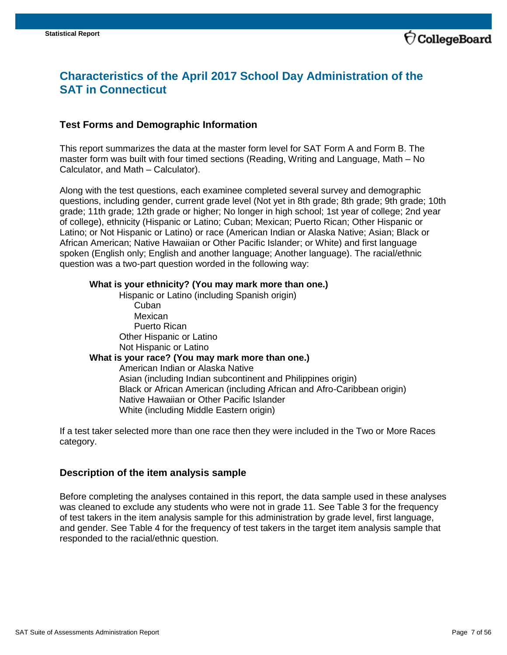

## <span id="page-6-0"></span>**Characteristics of the April 2017 School Day Administration of the SAT in Connecticut**

#### <span id="page-6-1"></span>**Test Forms and Demographic Information**

This report summarizes the data at the master form level for SAT Form A and Form B. The master form was built with four timed sections (Reading, Writing and Language, Math – No Calculator, and Math – Calculator).

Along with the test questions, each examinee completed several survey and demographic questions, including gender, current grade level (Not yet in 8th grade; 8th grade; 9th grade; 10th grade; 11th grade; 12th grade or higher; No longer in high school; 1st year of college; 2nd year of college), ethnicity (Hispanic or Latino; Cuban; Mexican; Puerto Rican; Other Hispanic or Latino; or Not Hispanic or Latino) or race (American Indian or Alaska Native; Asian; Black or African American; Native Hawaiian or Other Pacific Islander; or White) and first language spoken (English only; English and another language; Another language). The racial/ethnic question was a two-part question worded in the following way:

#### **What is your ethnicity? (You may mark more than one.)**

Hispanic or Latino (including Spanish origin) Cuban **Mexican** Puerto Rican Other Hispanic or Latino Not Hispanic or Latino **What is your race? (You may mark more than one.)** American Indian or Alaska Native Asian (including Indian subcontinent and Philippines origin) Black or African American (including African and Afro-Caribbean origin) Native Hawaiian or Other Pacific Islander White (including Middle Eastern origin)

If a test taker selected more than one race then they were included in the Two or More Races category.

#### <span id="page-6-2"></span>**Description of the item analysis sample**

Before completing the analyses contained in this report, the data sample used in these analyses was cleaned to exclude any students who were not in grade 11. See Table 3 for the frequency of test takers in the item analysis sample for this administration by grade level, first language, and gender. See Table 4 for the frequency of test takers in the target item analysis sample that responded to the racial/ethnic question.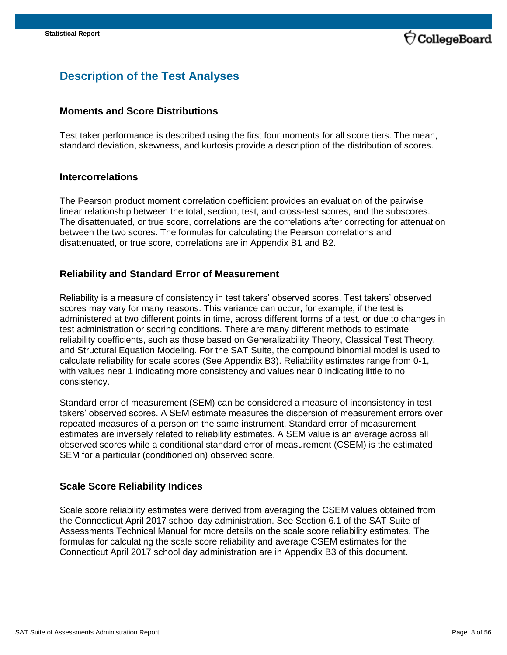

## <span id="page-7-0"></span>**Description of the Test Analyses**

#### <span id="page-7-1"></span>**Moments and Score Distributions**

Test taker performance is described using the first four moments for all score tiers. The mean, standard deviation, skewness, and kurtosis provide a description of the distribution of scores.

#### <span id="page-7-2"></span>**Intercorrelations**

The Pearson product moment correlation coefficient provides an evaluation of the pairwise linear relationship between the total, section, test, and cross-test scores, and the subscores. The disattenuated, or true score, correlations are the correlations after correcting for attenuation between the two scores. The formulas for calculating the Pearson correlations and disattenuated, or true score, correlations are in Appendix B1 and B2.

#### <span id="page-7-3"></span>**Reliability and Standard Error of Measurement**

Reliability is a measure of consistency in test takers' observed scores. Test takers' observed scores may vary for many reasons. This variance can occur, for example, if the test is administered at two different points in time, across different forms of a test, or due to changes in test administration or scoring conditions. There are many different methods to estimate reliability coefficients, such as those based on Generalizability Theory, Classical Test Theory, and Structural Equation Modeling. For the SAT Suite, the compound binomial model is used to calculate reliability for scale scores (See Appendix B3). Reliability estimates range from 0-1, with values near 1 indicating more consistency and values near 0 indicating little to no consistency.

Standard error of measurement (SEM) can be considered a measure of inconsistency in test takers' observed scores. A SEM estimate measures the dispersion of measurement errors over repeated measures of a person on the same instrument. Standard error of measurement estimates are inversely related to reliability estimates. A SEM value is an average across all observed scores while a conditional standard error of measurement (CSEM) is the estimated SEM for a particular (conditioned on) observed score.

#### <span id="page-7-4"></span>**Scale Score Reliability Indices**

Scale score reliability estimates were derived from averaging the CSEM values obtained from the Connecticut April 2017 school day administration. See Section 6.1 of the SAT Suite of Assessments Technical Manual for more details on the scale score reliability estimates. The formulas for calculating the scale score reliability and average CSEM estimates for the Connecticut April 2017 school day administration are in Appendix B3 of this document.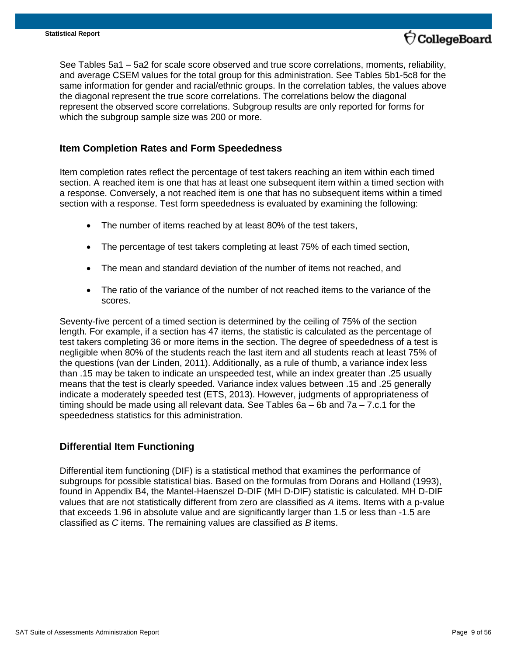

See Tables 5a1 – 5a2 for scale score observed and true score correlations, moments, reliability, and average CSEM values for the total group for this administration. See Tables 5b1-5c8 for the same information for gender and racial/ethnic groups. In the correlation tables, the values above the diagonal represent the true score correlations. The correlations below the diagonal represent the observed score correlations. Subgroup results are only reported for forms for which the subgroup sample size was 200 or more.

#### <span id="page-8-0"></span>**Item Completion Rates and Form Speededness**

Item completion rates reflect the percentage of test takers reaching an item within each timed section. A reached item is one that has at least one subsequent item within a timed section with a response. Conversely, a not reached item is one that has no subsequent items within a timed section with a response. Test form speededness is evaluated by examining the following:

- The number of items reached by at least 80% of the test takers,
- The percentage of test takers completing at least 75% of each timed section,
- The mean and standard deviation of the number of items not reached, and
- The ratio of the variance of the number of not reached items to the variance of the scores.

Seventy-five percent of a timed section is determined by the ceiling of 75% of the section length. For example, if a section has 47 items, the statistic is calculated as the percentage of test takers completing 36 or more items in the section. The degree of speededness of a test is negligible when 80% of the students reach the last item and all students reach at least 75% of the questions (van der Linden, 2011). Additionally, as a rule of thumb, a variance index less than .15 may be taken to indicate an unspeeded test, while an index greater than .25 usually means that the test is clearly speeded. Variance index values between .15 and .25 generally indicate a moderately speeded test (ETS, 2013). However, judgments of appropriateness of timing should be made using all relevant data. See Tables  $6a - 6b$  and  $7a - 7.c.1$  for the speededness statistics for this administration.

#### <span id="page-8-1"></span>**Differential Item Functioning**

Differential item functioning (DIF) is a statistical method that examines the performance of subgroups for possible statistical bias. Based on the formulas from Dorans and Holland (1993), found in Appendix B4, the Mantel-Haenszel D-DIF (MH D-DIF) statistic is calculated. MH D-DIF values that are not statistically different from zero are classified as *A* items. Items with a p-value that exceeds 1.96 in absolute value and are significantly larger than 1.5 or less than -1.5 are classified as *C* items. The remaining values are classified as *B* items.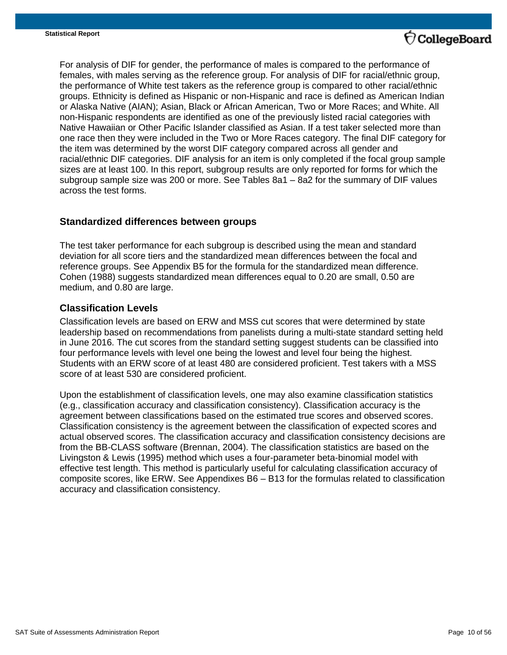

For analysis of DIF for gender, the performance of males is compared to the performance of females, with males serving as the reference group. For analysis of DIF for racial/ethnic group, the performance of White test takers as the reference group is compared to other racial/ethnic groups. Ethnicity is defined as Hispanic or non-Hispanic and race is defined as American Indian or Alaska Native (AIAN); Asian, Black or African American, Two or More Races; and White. All non-Hispanic respondents are identified as one of the previously listed racial categories with Native Hawaiian or Other Pacific Islander classified as Asian. If a test taker selected more than one race then they were included in the Two or More Races category. The final DIF category for the item was determined by the worst DIF category compared across all gender and racial/ethnic DIF categories. DIF analysis for an item is only completed if the focal group sample sizes are at least 100. In this report, subgroup results are only reported for forms for which the subgroup sample size was 200 or more. See Tables 8a1 – 8a2 for the summary of DIF values across the test forms.

#### <span id="page-9-0"></span>**Standardized differences between groups**

The test taker performance for each subgroup is described using the mean and standard deviation for all score tiers and the standardized mean differences between the focal and reference groups. See Appendix B5 for the formula for the standardized mean difference. Cohen (1988) suggests standardized mean differences equal to 0.20 are small, 0.50 are medium, and 0.80 are large.

#### <span id="page-9-1"></span>**Classification Levels**

Classification levels are based on ERW and MSS cut scores that were determined by state leadership based on recommendations from panelists during a multi-state standard setting held in June 2016. The cut scores from the standard setting suggest students can be classified into four performance levels with level one being the lowest and level four being the highest. Students with an ERW score of at least 480 are considered proficient. Test takers with a MSS score of at least 530 are considered proficient.

Upon the establishment of classification levels, one may also examine classification statistics (e.g., classification accuracy and classification consistency). Classification accuracy is the agreement between classifications based on the estimated true scores and observed scores. Classification consistency is the agreement between the classification of expected scores and actual observed scores. The classification accuracy and classification consistency decisions are from the BB-CLASS software (Brennan, 2004). The classification statistics are based on the Livingston & Lewis (1995) method which uses a four-parameter beta-binomial model with effective test length. This method is particularly useful for calculating classification accuracy of composite scores, like ERW. See Appendixes B6 – B13 for the formulas related to classification accuracy and classification consistency.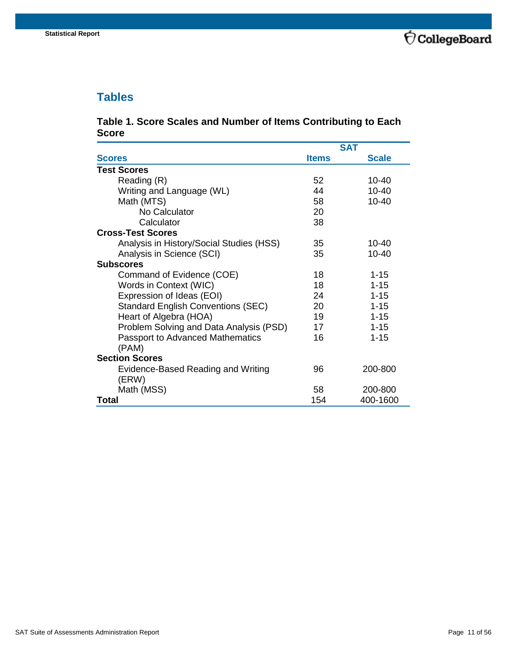## <span id="page-10-0"></span>**Tables**

#### <span id="page-10-1"></span>**Table 1. Score Scales and Number of Items Contributing to Each Score**

|                                             |              | <b>SAT</b>   |
|---------------------------------------------|--------------|--------------|
| <b>Scores</b>                               | <b>Items</b> | <b>Scale</b> |
| <b>Test Scores</b>                          |              |              |
| Reading (R)                                 | 52           | 10-40        |
| Writing and Language (WL)                   | 44           | $10 - 40$    |
| Math (MTS)                                  | 58           | $10 - 40$    |
| No Calculator                               | 20           |              |
| Calculator                                  | 38           |              |
| <b>Cross-Test Scores</b>                    |              |              |
| Analysis in History/Social Studies (HSS)    | 35           | 10-40        |
| Analysis in Science (SCI)                   | 35           | 10-40        |
| <b>Subscores</b>                            |              |              |
| Command of Evidence (COE)                   | 18           | $1 - 15$     |
| Words in Context (WIC)                      | 18           | $1 - 15$     |
| Expression of Ideas (EOI)                   | 24           | $1 - 15$     |
| <b>Standard English Conventions (SEC)</b>   | 20           | $1 - 15$     |
| Heart of Algebra (HOA)                      | 19           | $1 - 15$     |
| Problem Solving and Data Analysis (PSD)     | 17           | $1 - 15$     |
| <b>Passport to Advanced Mathematics</b>     | 16           | $1 - 15$     |
| (PAM)                                       |              |              |
| <b>Section Scores</b>                       |              |              |
| Evidence-Based Reading and Writing<br>(ERW) | 96           | 200-800      |
| Math (MSS)                                  | 58           | 200-800      |
| Total                                       | 154          | 400-1600     |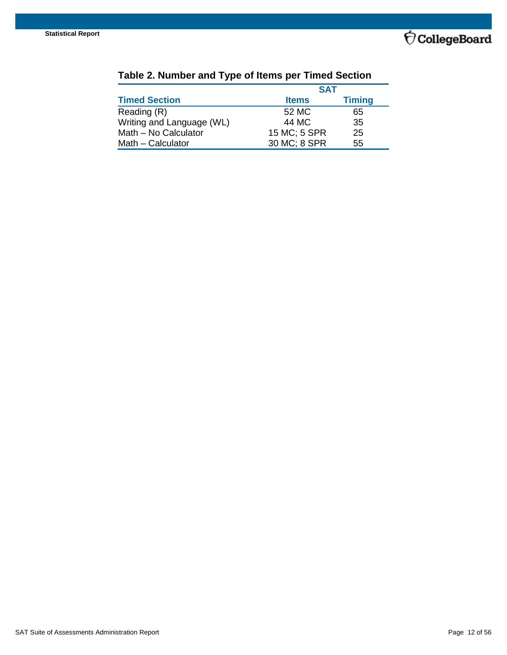

|                           | <b>SAT</b>   |               |
|---------------------------|--------------|---------------|
| <b>Timed Section</b>      | <b>Items</b> | <b>Timing</b> |
| Reading (R)               | 52 MC        | 65            |
| Writing and Language (WL) | 44 MC        | 35            |
| Math - No Calculator      | 15 MC; 5 SPR | 25            |
| Math - Calculator         | 30 MC; 8 SPR | 55            |

## <span id="page-11-0"></span>**Table 2. Number and Type of Items per Timed Section**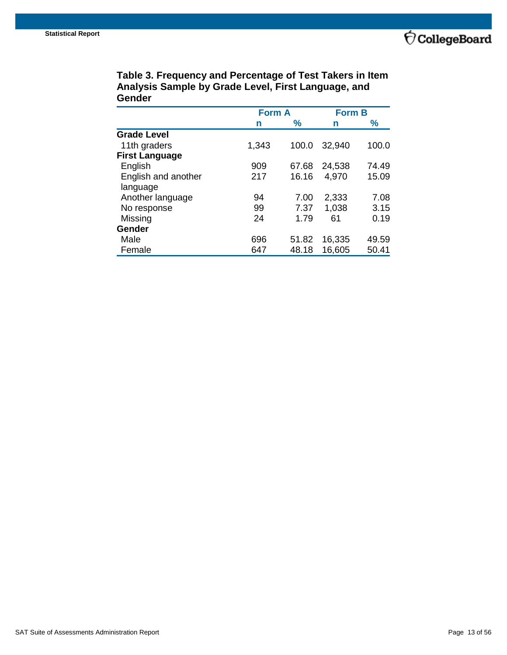

|                     | <b>Form A</b> |               | <b>Form B</b> |       |
|---------------------|---------------|---------------|---------------|-------|
|                     | n             | $\frac{9}{6}$ | n             | $\%$  |
| <b>Grade Level</b>  |               |               |               |       |
| 11th graders        | 1,343         | 100.0         | 32,940        | 100.0 |
| First Language      |               |               |               |       |
| English             | 909           | 67.68         | 24,538        | 74.49 |
| English and another | 217           | 16.16         | 4,970         | 15.09 |
| language            |               |               |               |       |
| Another language    | 94            | 7.00          | 2,333         | 7.08  |
| No response         | 99            | 7.37          | 1,038         | 3.15  |
| Missing             | 24            | 1.79          | 61            | 0.19  |
| Gender              |               |               |               |       |
| Male                | 696           | 51.82         | 16,335        | 49.59 |
| Female              | 647           | 48.18         | 16,605        | 50.41 |

<span id="page-12-0"></span>**Table 3. Frequency and Percentage of Test Takers in Item Analysis Sample by Grade Level, First Language, and Gender**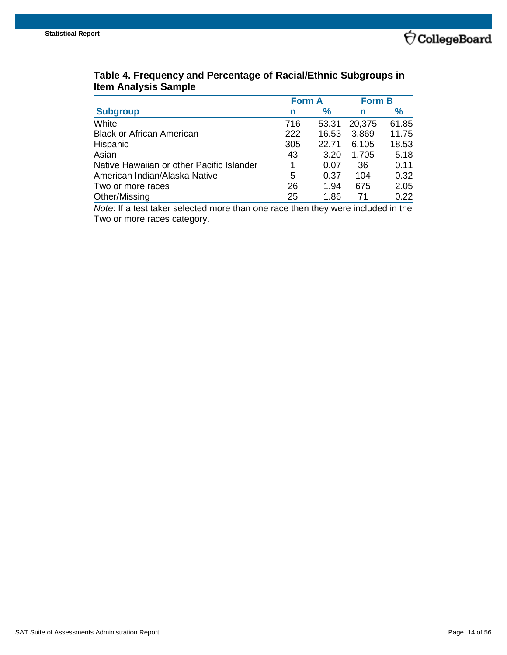

|                                           | <b>Form A</b> |       | <b>Form B</b> |       |
|-------------------------------------------|---------------|-------|---------------|-------|
| <b>Subgroup</b>                           | n             | ℅     | n             | ℅     |
| White                                     | 716           | 53.31 | 20,375        | 61.85 |
| <b>Black or African American</b>          | 222           | 16.53 | 3,869         | 11.75 |
| Hispanic                                  | 305           | 22.71 | 6,105         | 18.53 |
| Asian                                     | 43            | 3.20  | 1,705         | 5.18  |
| Native Hawaiian or other Pacific Islander | 1             | 0.07  | 36            | 0.11  |
| American Indian/Alaska Native             | 5             | 0.37  | 104           | 0.32  |
| Two or more races                         | 26            | 1.94  | 675           | 2.05  |
| Other/Missing                             | 25            | 1.86  |               | 0.22  |

### <span id="page-13-0"></span>**Table 4. Frequency and Percentage of Racial/Ethnic Subgroups in Item Analysis Sample**

*Note*: If a test taker selected more than one race then they were included in the Two or more races category.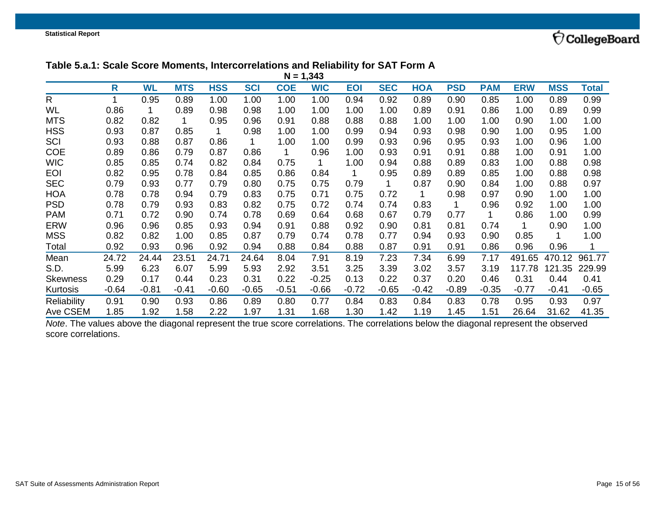

#### **Table 5.a.1: Scale Score Moments, Intercorrelations and Reliability for SAT Form A**

|                 | $N = 1,343$ |           |            |            |            |            |            |            |            |            |            |            |            |            |              |
|-----------------|-------------|-----------|------------|------------|------------|------------|------------|------------|------------|------------|------------|------------|------------|------------|--------------|
|                 | R           | <b>WL</b> | <b>MTS</b> | <b>HSS</b> | <b>SCI</b> | <b>COE</b> | <b>WIC</b> | <b>EOI</b> | <b>SEC</b> | <b>HOA</b> | <b>PSD</b> | <b>PAM</b> | <b>ERW</b> | <b>MSS</b> | <b>Total</b> |
| $\mathsf{R}$    |             | 0.95      | 0.89       | 1.00       | 1.00       | 1.00       | 1.00       | 0.94       | 0.92       | 0.89       | 0.90       | 0.85       | 1.00       | 0.89       | 0.99         |
| WL              | 0.86        |           | 0.89       | 0.98       | 0.98       | 1.00       | 1.00       | 1.00       | 1.00       | 0.89       | 0.91       | 0.86       | 1.00       | 0.89       | 0.99         |
| <b>MTS</b>      | 0.82        | 0.82      | 1          | 0.95       | 0.96       | 0.91       | 0.88       | 0.88       | 0.88       | 1.00       | 1.00       | 1.00       | 0.90       | 1.00       | 1.00         |
| <b>HSS</b>      | 0.93        | 0.87      | 0.85       |            | 0.98       | 1.00       | 1.00       | 0.99       | 0.94       | 0.93       | 0.98       | 0.90       | 1.00       | 0.95       | 1.00         |
| SCI             | 0.93        | 0.88      | 0.87       | 0.86       | 1          | 1.00       | 1.00       | 0.99       | 0.93       | 0.96       | 0.95       | 0.93       | 1.00       | 0.96       | 1.00         |
| <b>COE</b>      | 0.89        | 0.86      | 0.79       | 0.87       | 0.86       | 1          | 0.96       | 1.00       | 0.93       | 0.91       | 0.91       | 0.88       | 1.00       | 0.91       | 1.00         |
| <b>WIC</b>      | 0.85        | 0.85      | 0.74       | 0.82       | 0.84       | 0.75       | 1          | 1.00       | 0.94       | 0.88       | 0.89       | 0.83       | 1.00       | 0.88       | 0.98         |
| <b>EOI</b>      | 0.82        | 0.95      | 0.78       | 0.84       | 0.85       | 0.86       | 0.84       | 1.         | 0.95       | 0.89       | 0.89       | 0.85       | 1.00       | 0.88       | 0.98         |
| <b>SEC</b>      | 0.79        | 0.93      | 0.77       | 0.79       | 0.80       | 0.75       | 0.75       | 0.79       |            | 0.87       | 0.90       | 0.84       | 1.00       | 0.88       | 0.97         |
| <b>HOA</b>      | 0.78        | 0.78      | 0.94       | 0.79       | 0.83       | 0.75       | 0.71       | 0.75       | 0.72       | 1          | 0.98       | 0.97       | 0.90       | 1.00       | 1.00         |
| <b>PSD</b>      | 0.78        | 0.79      | 0.93       | 0.83       | 0.82       | 0.75       | 0.72       | 0.74       | 0.74       | 0.83       | 1          | 0.96       | 0.92       | 1.00       | 1.00         |
| <b>PAM</b>      | 0.71        | 0.72      | 0.90       | 0.74       | 0.78       | 0.69       | 0.64       | 0.68       | 0.67       | 0.79       | 0.77       | 1          | 0.86       | 1.00       | 0.99         |
| <b>ERW</b>      | 0.96        | 0.96      | 0.85       | 0.93       | 0.94       | 0.91       | 0.88       | 0.92       | 0.90       | 0.81       | 0.81       | 0.74       |            | 0.90       | 1.00         |
| <b>MSS</b>      | 0.82        | 0.82      | 1.00       | 0.85       | 0.87       | 0.79       | 0.74       | 0.78       | 0.77       | 0.94       | 0.93       | 0.90       | 0.85       |            | 1.00         |
| Total           | 0.92        | 0.93      | 0.96       | 0.92       | 0.94       | 0.88       | 0.84       | 0.88       | 0.87       | 0.91       | 0.91       | 0.86       | 0.96       | 0.96       |              |
| Mean            | 24.72       | 24.44     | 23.51      | 24.71      | 24.64      | 8.04       | 7.91       | 8.19       | 7.23       | 7.34       | 6.99       | 7.17       | 491.65     | 470.12     | 961.77       |
| S.D.            | 5.99        | 6.23      | 6.07       | 5.99       | 5.93       | 2.92       | 3.51       | 3.25       | 3.39       | 3.02       | 3.57       | 3.19       | 117.78     | 121.35     | 229.99       |
| <b>Skewness</b> | 0.29        | 0.17      | 0.44       | 0.23       | 0.31       | 0.22       | $-0.25$    | 0.13       | 0.22       | 0.37       | 0.20       | 0.46       | 0.31       | 0.44       | 0.41         |
| Kurtosis        | $-0.64$     | $-0.81$   | $-0.41$    | $-0.60$    | $-0.65$    | $-0.51$    | $-0.66$    | $-0.72$    | $-0.65$    | $-0.42$    | $-0.89$    | $-0.35$    | $-0.77$    | $-0.41$    | $-0.65$      |
| Reliability     | 0.91        | 0.90      | 0.93       | 0.86       | 0.89       | 0.80       | 0.77       | 0.84       | 0.83       | 0.84       | 0.83       | 0.78       | 0.95       | 0.93       | 0.97         |
| Ave CSEM        | 1.85        | 1.92      | 1.58       | 2.22       | 1.97       | 1.31       | 1.68       | 1.30       | 1.42       | 1.19       | 1.45       | 1.51       | 26.64      | 31.62      | 41.35        |

<span id="page-14-0"></span>*Note*. The values above the diagonal represent the true score correlations. The correlations below the diagonal represent the observed score correlations.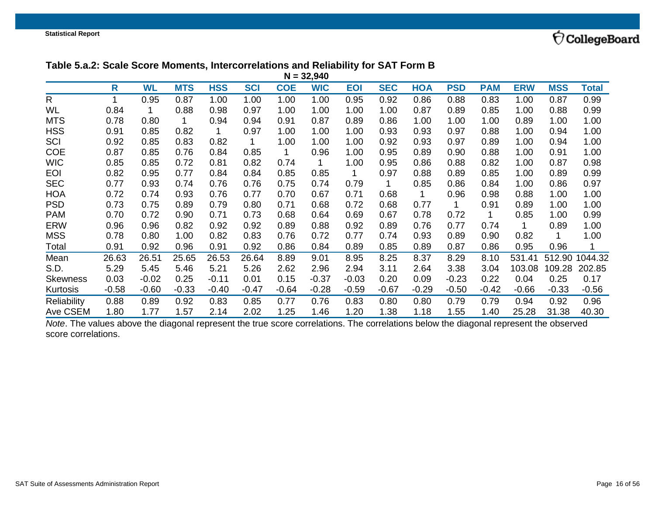

## **Table 5.a.2: Scale Score Moments, Intercorrelations and Reliability for SAT Form B**

|                 | $N = 32,940$ |           |            |            |            |            |            |            |            |            |            |            |            |            |         |
|-----------------|--------------|-----------|------------|------------|------------|------------|------------|------------|------------|------------|------------|------------|------------|------------|---------|
|                 | R            | <b>WL</b> | <b>MTS</b> | <b>HSS</b> | <b>SCI</b> | <b>COE</b> | <b>WIC</b> | <b>EOI</b> | <b>SEC</b> | <b>HOA</b> | <b>PSD</b> | <b>PAM</b> | <b>ERW</b> | <b>MSS</b> | Total   |
| $\mathsf{R}$    |              | 0.95      | 0.87       | 1.00       | 1.00       | 1.00       | 1.00       | 0.95       | 0.92       | 0.86       | 0.88       | 0.83       | 1.00       | 0.87       | 0.99    |
| WL              | 0.84         |           | 0.88       | 0.98       | 0.97       | 1.00       | 1.00       | 1.00       | 1.00       | 0.87       | 0.89       | 0.85       | 1.00       | 0.88       | 0.99    |
| <b>MTS</b>      | 0.78         | 0.80      | 1          | 0.94       | 0.94       | 0.91       | 0.87       | 0.89       | 0.86       | 1.00       | 1.00       | 1.00       | 0.89       | 1.00       | 1.00    |
| <b>HSS</b>      | 0.91         | 0.85      | 0.82       |            | 0.97       | 1.00       | 1.00       | 1.00       | 0.93       | 0.93       | 0.97       | 0.88       | 1.00       | 0.94       | 1.00    |
| SCI             | 0.92         | 0.85      | 0.83       | 0.82       |            | 1.00       | 1.00       | 1.00       | 0.92       | 0.93       | 0.97       | 0.89       | 1.00       | 0.94       | 1.00    |
| <b>COE</b>      | 0.87         | 0.85      | 0.76       | 0.84       | 0.85       | 1          | 0.96       | 1.00       | 0.95       | 0.89       | 0.90       | 0.88       | 1.00       | 0.91       | 1.00    |
| <b>WIC</b>      | 0.85         | 0.85      | 0.72       | 0.81       | 0.82       | 0.74       | 1          | 1.00       | 0.95       | 0.86       | 0.88       | 0.82       | 1.00       | 0.87       | 0.98    |
| <b>EOI</b>      | 0.82         | 0.95      | 0.77       | 0.84       | 0.84       | 0.85       | 0.85       |            | 0.97       | 0.88       | 0.89       | 0.85       | 1.00       | 0.89       | 0.99    |
| <b>SEC</b>      | 0.77         | 0.93      | 0.74       | 0.76       | 0.76       | 0.75       | 0.74       | 0.79       |            | 0.85       | 0.86       | 0.84       | 1.00       | 0.86       | 0.97    |
| <b>HOA</b>      | 0.72         | 0.74      | 0.93       | 0.76       | 0.77       | 0.70       | 0.67       | 0.71       | 0.68       |            | 0.96       | 0.98       | 0.88       | 1.00       | 1.00    |
| <b>PSD</b>      | 0.73         | 0.75      | 0.89       | 0.79       | 0.80       | 0.71       | 0.68       | 0.72       | 0.68       | 0.77       | 1          | 0.91       | 0.89       | 1.00       | 1.00    |
| <b>PAM</b>      | 0.70         | 0.72      | 0.90       | 0.71       | 0.73       | 0.68       | 0.64       | 0.69       | 0.67       | 0.78       | 0.72       | 1          | 0.85       | 1.00       | 0.99    |
| <b>ERW</b>      | 0.96         | 0.96      | 0.82       | 0.92       | 0.92       | 0.89       | 0.88       | 0.92       | 0.89       | 0.76       | 0.77       | 0.74       | 1          | 0.89       | 1.00    |
| <b>MSS</b>      | 0.78         | 0.80      | 1.00       | 0.82       | 0.83       | 0.76       | 0.72       | 0.77       | 0.74       | 0.93       | 0.89       | 0.90       | 0.82       |            | 1.00    |
| Total           | 0.91         | 0.92      | 0.96       | 0.91       | 0.92       | 0.86       | 0.84       | 0.89       | 0.85       | 0.89       | 0.87       | 0.86       | 0.95       | 0.96       | 1       |
| Mean            | 26.63        | 26.51     | 25.65      | 26.53      | 26.64      | 8.89       | 9.01       | 8.95       | 8.25       | 8.37       | 8.29       | 8.10       | 531.41     | 512.90     | 1044.32 |
| S.D.            | 5.29         | 5.45      | 5.46       | 5.21       | 5.26       | 2.62       | 2.96       | 2.94       | 3.11       | 2.64       | 3.38       | 3.04       | 103.08     | 109.28     | 202.85  |
| <b>Skewness</b> | 0.03         | $-0.02$   | 0.25       | $-0.11$    | 0.01       | 0.15       | $-0.37$    | $-0.03$    | 0.20       | 0.09       | $-0.23$    | 0.22       | 0.04       | 0.25       | 0.17    |
| Kurtosis        | $-0.58$      | $-0.60$   | $-0.33$    | $-0.40$    | $-0.47$    | $-0.64$    | $-0.28$    | $-0.59$    | $-0.67$    | $-0.29$    | $-0.50$    | $-0.42$    | $-0.66$    | $-0.33$    | $-0.56$ |
| Reliability     | 0.88         | 0.89      | 0.92       | 0.83       | 0.85       | 0.77       | 0.76       | 0.83       | 0.80       | 0.80       | 0.79       | 0.79       | 0.94       | 0.92       | 0.96    |
| Ave CSEM        | 1.80         | 1.77      | 1.57       | 2.14       | 2.02       | 1.25       | 1.46       | 1.20       | 1.38       | 1.18       | 1.55       | 1.40       | 25.28      | 31.38      | 40.30   |

<span id="page-15-0"></span>*Note*. The values above the diagonal represent the true score correlations. The correlations below the diagonal represent the observed score correlations.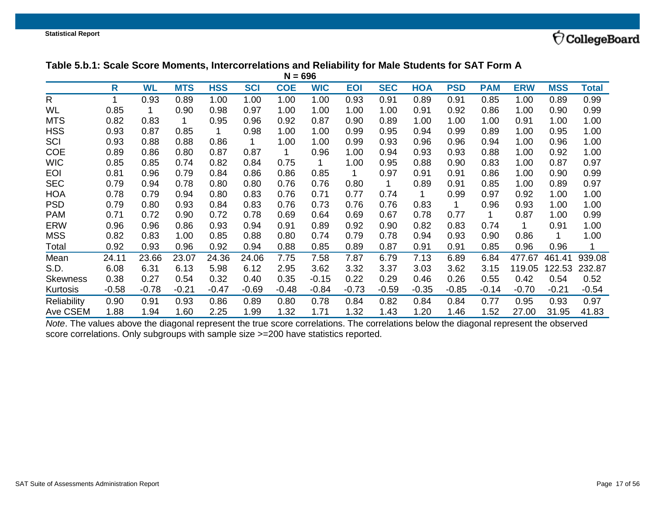### **Table 5.b.1: Scale Score Moments, Intercorrelations and Reliability for Male Students for SAT Form A**

|                 | $N = 696$ |           |            |            |            |            |            |            |            |            |            |            |            |            |         |
|-----------------|-----------|-----------|------------|------------|------------|------------|------------|------------|------------|------------|------------|------------|------------|------------|---------|
|                 | R         | <b>WL</b> | <b>MTS</b> | <b>HSS</b> | <b>SCI</b> | <b>COE</b> | <b>WIC</b> | <b>EOI</b> | <b>SEC</b> | <b>HOA</b> | <b>PSD</b> | <b>PAM</b> | <b>ERW</b> | <b>MSS</b> | Total   |
| $\mathsf{R}$    | 1         | 0.93      | 0.89       | 1.00       | 1.00       | 1.00       | 1.00       | 0.93       | 0.91       | 0.89       | 0.91       | 0.85       | 1.00       | 0.89       | 0.99    |
| WL              | 0.85      |           | 0.90       | 0.98       | 0.97       | 1.00       | 1.00       | 1.00       | 1.00       | 0.91       | 0.92       | 0.86       | 1.00       | 0.90       | 0.99    |
| <b>MTS</b>      | 0.82      | 0.83      | 1          | 0.95       | 0.96       | 0.92       | 0.87       | 0.90       | 0.89       | 1.00       | 1.00       | 1.00       | 0.91       | 1.00       | 1.00    |
| <b>HSS</b>      | 0.93      | 0.87      | 0.85       |            | 0.98       | 1.00       | 1.00       | 0.99       | 0.95       | 0.94       | 0.99       | 0.89       | 1.00       | 0.95       | 1.00    |
| SCI             | 0.93      | 0.88      | 0.88       | 0.86       | 1          | 1.00       | 1.00       | 0.99       | 0.93       | 0.96       | 0.96       | 0.94       | 1.00       | 0.96       | 1.00    |
| <b>COE</b>      | 0.89      | 0.86      | 0.80       | 0.87       | 0.87       | 1          | 0.96       | 1.00       | 0.94       | 0.93       | 0.93       | 0.88       | 1.00       | 0.92       | 1.00    |
| <b>WIC</b>      | 0.85      | 0.85      | 0.74       | 0.82       | 0.84       | 0.75       | 1          | 1.00       | 0.95       | 0.88       | 0.90       | 0.83       | 1.00       | 0.87       | 0.97    |
| <b>EOI</b>      | 0.81      | 0.96      | 0.79       | 0.84       | 0.86       | 0.86       | 0.85       | 1          | 0.97       | 0.91       | 0.91       | 0.86       | 1.00       | 0.90       | 0.99    |
| <b>SEC</b>      | 0.79      | 0.94      | 0.78       | 0.80       | 0.80       | 0.76       | 0.76       | 0.80       |            | 0.89       | 0.91       | 0.85       | 1.00       | 0.89       | 0.97    |
| <b>HOA</b>      | 0.78      | 0.79      | 0.94       | 0.80       | 0.83       | 0.76       | 0.71       | 0.77       | 0.74       | 1          | 0.99       | 0.97       | 0.92       | 1.00       | 1.00    |
| <b>PSD</b>      | 0.79      | 0.80      | 0.93       | 0.84       | 0.83       | 0.76       | 0.73       | 0.76       | 0.76       | 0.83       | 1          | 0.96       | 0.93       | 1.00       | 1.00    |
| <b>PAM</b>      | 0.71      | 0.72      | 0.90       | 0.72       | 0.78       | 0.69       | 0.64       | 0.69       | 0.67       | 0.78       | 0.77       | 1          | 0.87       | 1.00       | 0.99    |
| <b>ERW</b>      | 0.96      | 0.96      | 0.86       | 0.93       | 0.94       | 0.91       | 0.89       | 0.92       | 0.90       | 0.82       | 0.83       | 0.74       |            | 0.91       | 1.00    |
| <b>MSS</b>      | 0.82      | 0.83      | 1.00       | 0.85       | 0.88       | 0.80       | 0.74       | 0.79       | 0.78       | 0.94       | 0.93       | 0.90       | 0.86       |            | 1.00    |
| Total           | 0.92      | 0.93      | 0.96       | 0.92       | 0.94       | 0.88       | 0.85       | 0.89       | 0.87       | 0.91       | 0.91       | 0.85       | 0.96       | 0.96       |         |
| Mean            | 24.11     | 23.66     | 23.07      | 24.36      | 24.06      | 7.75       | 7.58       | 7.87       | 6.79       | 7.13       | 6.89       | 6.84       | 477.67     | 461.41     | 939.08  |
| S.D.            | 6.08      | 6.31      | 6.13       | 5.98       | 6.12       | 2.95       | 3.62       | 3.32       | 3.37       | 3.03       | 3.62       | 3.15       | 119.05     | 122.53     | 232.87  |
| <b>Skewness</b> | 0.38      | 0.27      | 0.54       | 0.32       | 0.40       | 0.35       | $-0.15$    | 0.22       | 0.29       | 0.46       | 0.26       | 0.55       | 0.42       | 0.54       | 0.52    |
| Kurtosis        | $-0.58$   | $-0.78$   | $-0.21$    | $-0.47$    | $-0.69$    | $-0.48$    | $-0.84$    | $-0.73$    | $-0.59$    | $-0.35$    | $-0.85$    | $-0.14$    | $-0.70$    | $-0.21$    | $-0.54$ |
| Reliability     | 0.90      | 0.91      | 0.93       | 0.86       | 0.89       | 0.80       | 0.78       | 0.84       | 0.82       | 0.84       | 0.84       | 0.77       | 0.95       | 0.93       | 0.97    |
| Ave CSEM        | 1.88      | 1.94      | 1.60       | 2.25       | 1.99       | 1.32       | 1.71       | 1.32       | 1.43       | 1.20       | 1.46       | 1.52       | 27.00      | 31.95      | 41.83   |

<span id="page-16-0"></span>*Note*. The values above the diagonal represent the true score correlations. The correlations below the diagonal represent the observed score correlations. Only subgroups with sample size >=200 have statistics reported.

 $\bigcirc$ CollegeBoard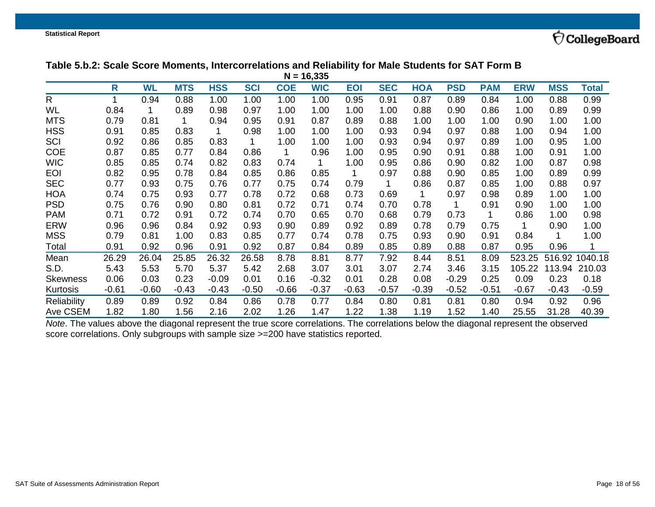### **Table 5.b.2: Scale Score Moments, Intercorrelations and Reliability for Male Students for SAT Form B**

|                 | $N = 16,335$ |           |            |            |            |            |            |            |            |            |            |            |            |            |         |
|-----------------|--------------|-----------|------------|------------|------------|------------|------------|------------|------------|------------|------------|------------|------------|------------|---------|
|                 | R            | <b>WL</b> | <b>MTS</b> | <b>HSS</b> | <b>SCI</b> | <b>COE</b> | <b>WIC</b> | <b>EOI</b> | <b>SEC</b> | <b>HOA</b> | <b>PSD</b> | <b>PAM</b> | <b>ERW</b> | <b>MSS</b> | Total   |
| $\mathsf{R}$    |              | 0.94      | 0.88       | 1.00       | 1.00       | 1.00       | 1.00       | 0.95       | 0.91       | 0.87       | 0.89       | 0.84       | 1.00       | 0.88       | 0.99    |
| WL              | 0.84         |           | 0.89       | 0.98       | 0.97       | 1.00       | 1.00       | 1.00       | 1.00       | 0.88       | 0.90       | 0.86       | 1.00       | 0.89       | 0.99    |
| <b>MTS</b>      | 0.79         | 0.81      | 1          | 0.94       | 0.95       | 0.91       | 0.87       | 0.89       | 0.88       | 1.00       | 1.00       | 1.00       | 0.90       | 1.00       | 1.00    |
| <b>HSS</b>      | 0.91         | 0.85      | 0.83       |            | 0.98       | 1.00       | 1.00       | 1.00       | 0.93       | 0.94       | 0.97       | 0.88       | 1.00       | 0.94       | 1.00    |
| SCI             | 0.92         | 0.86      | 0.85       | 0.83       |            | 1.00       | 1.00       | 1.00       | 0.93       | 0.94       | 0.97       | 0.89       | 1.00       | 0.95       | 1.00    |
| <b>COE</b>      | 0.87         | 0.85      | 0.77       | 0.84       | 0.86       | 1          | 0.96       | 1.00       | 0.95       | 0.90       | 0.91       | 0.88       | 1.00       | 0.91       | 1.00    |
| <b>WIC</b>      | 0.85         | 0.85      | 0.74       | 0.82       | 0.83       | 0.74       | 1          | 1.00       | 0.95       | 0.86       | 0.90       | 0.82       | 1.00       | 0.87       | 0.98    |
| <b>EOI</b>      | 0.82         | 0.95      | 0.78       | 0.84       | 0.85       | 0.86       | 0.85       |            | 0.97       | 0.88       | 0.90       | 0.85       | 1.00       | 0.89       | 0.99    |
| <b>SEC</b>      | 0.77         | 0.93      | 0.75       | 0.76       | 0.77       | 0.75       | 0.74       | 0.79       |            | 0.86       | 0.87       | 0.85       | 1.00       | 0.88       | 0.97    |
| <b>HOA</b>      | 0.74         | 0.75      | 0.93       | 0.77       | 0.78       | 0.72       | 0.68       | 0.73       | 0.69       |            | 0.97       | 0.98       | 0.89       | 1.00       | 1.00    |
| <b>PSD</b>      | 0.75         | 0.76      | 0.90       | 0.80       | 0.81       | 0.72       | 0.71       | 0.74       | 0.70       | 0.78       | 1          | 0.91       | 0.90       | 1.00       | 1.00    |
| <b>PAM</b>      | 0.71         | 0.72      | 0.91       | 0.72       | 0.74       | 0.70       | 0.65       | 0.70       | 0.68       | 0.79       | 0.73       | 1.         | 0.86       | 1.00       | 0.98    |
| <b>ERW</b>      | 0.96         | 0.96      | 0.84       | 0.92       | 0.93       | 0.90       | 0.89       | 0.92       | 0.89       | 0.78       | 0.79       | 0.75       | 1          | 0.90       | 1.00    |
| <b>MSS</b>      | 0.79         | 0.81      | 1.00       | 0.83       | 0.85       | 0.77       | 0.74       | 0.78       | 0.75       | 0.93       | 0.90       | 0.91       | 0.84       |            | 1.00    |
| Total           | 0.91         | 0.92      | 0.96       | 0.91       | 0.92       | 0.87       | 0.84       | 0.89       | 0.85       | 0.89       | 0.88       | 0.87       | 0.95       | 0.96       | 1       |
| Mean            | 26.29        | 26.04     | 25.85      | 26.32      | 26.58      | 8.78       | 8.81       | 8.77       | 7.92       | 8.44       | 8.51       | 8.09       | 523.25     | 516.92     | 1040.18 |
| S.D.            | 5.43         | 5.53      | 5.70       | 5.37       | 5.42       | 2.68       | 3.07       | 3.01       | 3.07       | 2.74       | 3.46       | 3.15       | 105.22     | 113.94     | 210.03  |
| <b>Skewness</b> | 0.06         | 0.03      | 0.23       | $-0.09$    | 0.01       | 0.16       | $-0.32$    | 0.01       | 0.28       | 0.08       | $-0.29$    | 0.25       | 0.09       | 0.23       | 0.18    |
| Kurtosis        | $-0.61$      | $-0.60$   | $-0.43$    | $-0.43$    | $-0.50$    | $-0.66$    | $-0.37$    | $-0.63$    | $-0.57$    | $-0.39$    | $-0.52$    | -0.51      | $-0.67$    | $-0.43$    | $-0.59$ |
| Reliability     | 0.89         | 0.89      | 0.92       | 0.84       | 0.86       | 0.78       | 0.77       | 0.84       | 0.80       | 0.81       | 0.81       | 0.80       | 0.94       | 0.92       | 0.96    |
| Ave CSEM        | 1.82         | 1.80      | 1.56       | 2.16       | 2.02       | 1.26       | 1.47       | 1.22       | 1.38       | 1.19       | 1.52       | 1.40       | 25.55      | 31.28      | 40.39   |

<span id="page-17-0"></span>*Note*. The values above the diagonal represent the true score correlations. The correlations below the diagonal represent the observed score correlations. Only subgroups with sample size >=200 have statistics reported.

 $\bigcirc$ CollegeBoard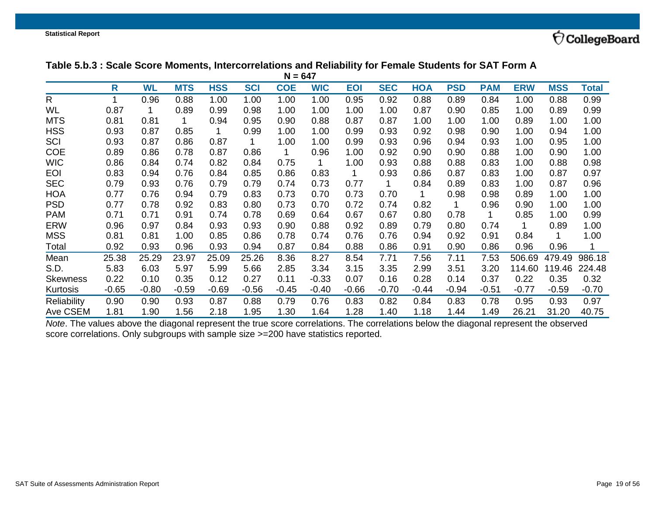### **Table 5.b.3 : Scale Score Moments, Intercorrelations and Reliability for Female Students for SAT Form A**

|                    | $N = 647$ |           |            |            |            |            |            |            |            |         |            |            |            |            |         |
|--------------------|-----------|-----------|------------|------------|------------|------------|------------|------------|------------|---------|------------|------------|------------|------------|---------|
|                    | R         | <b>WL</b> | <b>MTS</b> | <b>HSS</b> | <b>SCI</b> | <b>COE</b> | <b>WIC</b> | <b>EOI</b> | <b>SEC</b> | HOA     | <b>PSD</b> | <b>PAM</b> | <b>ERW</b> | <b>MSS</b> | Total   |
| R                  | 1         | 0.96      | 0.88       | 1.00       | 1.00       | 1.00       | 1.00       | 0.95       | 0.92       | 0.88    | 0.89       | 0.84       | 1.00       | 0.88       | 0.99    |
| <b>WL</b>          | 0.87      |           | 0.89       | 0.99       | 0.98       | 1.00       | 1.00       | 1.00       | 1.00       | 0.87    | 0.90       | 0.85       | 1.00       | 0.89       | 0.99    |
| <b>MTS</b>         | 0.81      | 0.81      | 1          | 0.94       | 0.95       | 0.90       | 0.88       | 0.87       | 0.87       | 1.00    | 1.00       | 1.00       | 0.89       | 1.00       | 1.00    |
| <b>HSS</b>         | 0.93      | 0.87      | 0.85       |            | 0.99       | 1.00       | 1.00       | 0.99       | 0.93       | 0.92    | 0.98       | 0.90       | 1.00       | 0.94       | 1.00    |
| SCI                | 0.93      | 0.87      | 0.86       | 0.87       |            | 1.00       | 1.00       | 0.99       | 0.93       | 0.96    | 0.94       | 0.93       | 1.00       | 0.95       | 1.00    |
| <b>COE</b>         | 0.89      | 0.86      | 0.78       | 0.87       | 0.86       | 1          | 0.96       | 1.00       | 0.92       | 0.90    | 0.90       | 0.88       | 1.00       | 0.90       | 1.00    |
| <b>WIC</b>         | 0.86      | 0.84      | 0.74       | 0.82       | 0.84       | 0.75       | 1          | 1.00       | 0.93       | 0.88    | 0.88       | 0.83       | 1.00       | 0.88       | 0.98    |
| <b>EOI</b>         | 0.83      | 0.94      | 0.76       | 0.84       | 0.85       | 0.86       | 0.83       | 1          | 0.93       | 0.86    | 0.87       | 0.83       | 1.00       | 0.87       | 0.97    |
| <b>SEC</b>         | 0.79      | 0.93      | 0.76       | 0.79       | 0.79       | 0.74       | 0.73       | 0.77       |            | 0.84    | 0.89       | 0.83       | 1.00       | 0.87       | 0.96    |
| <b>HOA</b>         | 0.77      | 0.76      | 0.94       | 0.79       | 0.83       | 0.73       | 0.70       | 0.73       | 0.70       | 1       | 0.98       | 0.98       | 0.89       | 1.00       | 1.00    |
| <b>PSD</b>         | 0.77      | 0.78      | 0.92       | 0.83       | 0.80       | 0.73       | 0.70       | 0.72       | 0.74       | 0.82    | 1          | 0.96       | 0.90       | 1.00       | 1.00    |
| <b>PAM</b>         | 0.71      | 0.71      | 0.91       | 0.74       | 0.78       | 0.69       | 0.64       | 0.67       | 0.67       | 0.80    | 0.78       | 1          | 0.85       | 1.00       | 0.99    |
| <b>ERW</b>         | 0.96      | 0.97      | 0.84       | 0.93       | 0.93       | 0.90       | 0.88       | 0.92       | 0.89       | 0.79    | 0.80       | 0.74       |            | 0.89       | 1.00    |
| <b>MSS</b>         | 0.81      | 0.81      | 1.00       | 0.85       | 0.86       | 0.78       | 0.74       | 0.76       | 0.76       | 0.94    | 0.92       | 0.91       | 0.84       |            | 1.00    |
| Total              | 0.92      | 0.93      | 0.96       | 0.93       | 0.94       | 0.87       | 0.84       | 0.88       | 0.86       | 0.91    | 0.90       | 0.86       | 0.96       | 0.96       |         |
| Mean               | 25.38     | 25.29     | 23.97      | 25.09      | 25.26      | 8.36       | 8.27       | 8.54       | 7.71       | 7.56    | 7.11       | 7.53       | 506.69     | 479.49     | 986.18  |
| S.D.               | 5.83      | 6.03      | 5.97       | 5.99       | 5.66       | 2.85       | 3.34       | 3.15       | 3.35       | 2.99    | 3.51       | 3.20       | 114.60     | 119.46     | 224.48  |
| <b>Skewness</b>    | 0.22      | 0.10      | 0.35       | 0.12       | 0.27       | 0.11       | $-0.33$    | 0.07       | 0.16       | 0.28    | 0.14       | 0.37       | 0.22       | 0.35       | 0.32    |
| Kurtosis           | $-0.65$   | $-0.80$   | $-0.59$    | $-0.69$    | $-0.56$    | $-0.45$    | $-0.40$    | $-0.66$    | $-0.70$    | $-0.44$ | $-0.94$    | $-0.51$    | $-0.77$    | $-0.59$    | $-0.70$ |
| <b>Reliability</b> | 0.90      | 0.90      | 0.93       | 0.87       | 0.88       | 0.79       | 0.76       | 0.83       | 0.82       | 0.84    | 0.83       | 0.78       | 0.95       | 0.93       | 0.97    |
| Ave CSEM           | 1.81      | 1.90      | 1.56       | 2.18       | 1.95       | 1.30       | 1.64       | 1.28       | 1.40       | 1.18    | 1.44       | 1.49       | 26.21      | 31.20      | 40.75   |

<span id="page-18-0"></span>*Note*. The values above the diagonal represent the true score correlations. The correlations below the diagonal represent the observed score correlations. Only subgroups with sample size >=200 have statistics reported.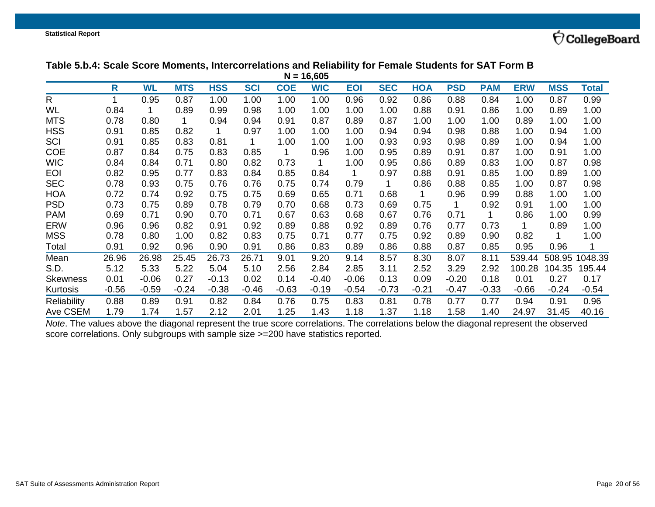## **Table 5.b.4: Scale Score Moments, Intercorrelations and Reliability for Female Students for SAT Form B**

| $N = 16,605$    |         |           |            |            |            |            |            |            |            |            |            |            |            |            |         |
|-----------------|---------|-----------|------------|------------|------------|------------|------------|------------|------------|------------|------------|------------|------------|------------|---------|
|                 | R       | <b>WL</b> | <b>MTS</b> | <b>HSS</b> | <b>SCI</b> | <b>COE</b> | <b>WIC</b> | <b>EOI</b> | <b>SEC</b> | <b>HOA</b> | <b>PSD</b> | <b>PAM</b> | <b>ERW</b> | <b>MSS</b> | Total   |
| $\mathsf{R}$    |         | 0.95      | 0.87       | 1.00       | 1.00       | 1.00       | 1.00       | 0.96       | 0.92       | 0.86       | 0.88       | 0.84       | 1.00       | 0.87       | 0.99    |
| WL              | 0.84    |           | 0.89       | 0.99       | 0.98       | 1.00       | 1.00       | 1.00       | 1.00       | 0.88       | 0.91       | 0.86       | 1.00       | 0.89       | 1.00    |
| <b>MTS</b>      | 0.78    | 0.80      | 1          | 0.94       | 0.94       | 0.91       | 0.87       | 0.89       | 0.87       | 1.00       | 1.00       | 1.00       | 0.89       | 1.00       | 1.00    |
| <b>HSS</b>      | 0.91    | 0.85      | 0.82       |            | 0.97       | 1.00       | 1.00       | 1.00       | 0.94       | 0.94       | 0.98       | 0.88       | 1.00       | 0.94       | 1.00    |
| <b>SCI</b>      | 0.91    | 0.85      | 0.83       | 0.81       |            | 1.00       | 1.00       | 1.00       | 0.93       | 0.93       | 0.98       | 0.89       | 1.00       | 0.94       | 1.00    |
| <b>COE</b>      | 0.87    | 0.84      | 0.75       | 0.83       | 0.85       |            | 0.96       | 1.00       | 0.95       | 0.89       | 0.91       | 0.87       | 1.00       | 0.91       | 1.00    |
| <b>WIC</b>      | 0.84    | 0.84      | 0.71       | 0.80       | 0.82       | 0.73       | 1          | 1.00       | 0.95       | 0.86       | 0.89       | 0.83       | 1.00       | 0.87       | 0.98    |
| <b>EOI</b>      | 0.82    | 0.95      | 0.77       | 0.83       | 0.84       | 0.85       | 0.84       | 1          | 0.97       | 0.88       | 0.91       | 0.85       | 1.00       | 0.89       | 1.00    |
| <b>SEC</b>      | 0.78    | 0.93      | 0.75       | 0.76       | 0.76       | 0.75       | 0.74       | 0.79       |            | 0.86       | 0.88       | 0.85       | 1.00       | 0.87       | 0.98    |
| <b>HOA</b>      | 0.72    | 0.74      | 0.92       | 0.75       | 0.75       | 0.69       | 0.65       | 0.71       | 0.68       | 1          | 0.96       | 0.99       | 0.88       | 1.00       | 1.00    |
| <b>PSD</b>      | 0.73    | 0.75      | 0.89       | 0.78       | 0.79       | 0.70       | 0.68       | 0.73       | 0.69       | 0.75       | 1          | 0.92       | 0.91       | 1.00       | 1.00    |
| <b>PAM</b>      | 0.69    | 0.71      | 0.90       | 0.70       | 0.71       | 0.67       | 0.63       | 0.68       | 0.67       | 0.76       | 0.71       | 1          | 0.86       | 1.00       | 0.99    |
| <b>ERW</b>      | 0.96    | 0.96      | 0.82       | 0.91       | 0.92       | 0.89       | 0.88       | 0.92       | 0.89       | 0.76       | 0.77       | 0.73       | 1          | 0.89       | 1.00    |
| <b>MSS</b>      | 0.78    | 0.80      | 1.00       | 0.82       | 0.83       | 0.75       | 0.71       | 0.77       | 0.75       | 0.92       | 0.89       | 0.90       | 0.82       | 1          | 1.00    |
| Total           | 0.91    | 0.92      | 0.96       | 0.90       | 0.91       | 0.86       | 0.83       | 0.89       | 0.86       | 0.88       | 0.87       | 0.85       | 0.95       | 0.96       | 1       |
| Mean            | 26.96   | 26.98     | 25.45      | 26.73      | 26.71      | 9.01       | 9.20       | 9.14       | 8.57       | 8.30       | 8.07       | 8.11       | 539.44     | 508.95     | 1048.39 |
| S.D.            | 5.12    | 5.33      | 5.22       | 5.04       | 5.10       | 2.56       | 2.84       | 2.85       | 3.11       | 2.52       | 3.29       | 2.92       | 100.28     | 104.35     | 195.44  |
| <b>Skewness</b> | 0.01    | $-0.06$   | 0.27       | $-0.13$    | 0.02       | 0.14       | $-0.40$    | $-0.06$    | 0.13       | 0.09       | $-0.20$    | 0.18       | 0.01       | 0.27       | 0.17    |
| Kurtosis        | $-0.56$ | $-0.59$   | $-0.24$    | $-0.38$    | $-0.46$    | $-0.63$    | $-0.19$    | $-0.54$    | $-0.73$    | $-0.21$    | $-0.47$    | $-0.33$    | $-0.66$    | $-0.24$    | $-0.54$ |
| Reliability     | 0.88    | 0.89      | 0.91       | 0.82       | 0.84       | 0.76       | 0.75       | 0.83       | 0.81       | 0.78       | 0.77       | 0.77       | 0.94       | 0.91       | 0.96    |
| Ave CSEM        | 1.79    | 1.74      | 1.57       | 2.12       | 2.01       | 1.25       | 1.43       | 1.18       | 1.37       | 1.18       | 1.58       | 1.40       | 24.97      | 31.45      | 40.16   |

<span id="page-19-0"></span>*Note*. The values above the diagonal represent the true score correlations. The correlations below the diagonal represent the observed score correlations. Only subgroups with sample size >=200 have statistics reported.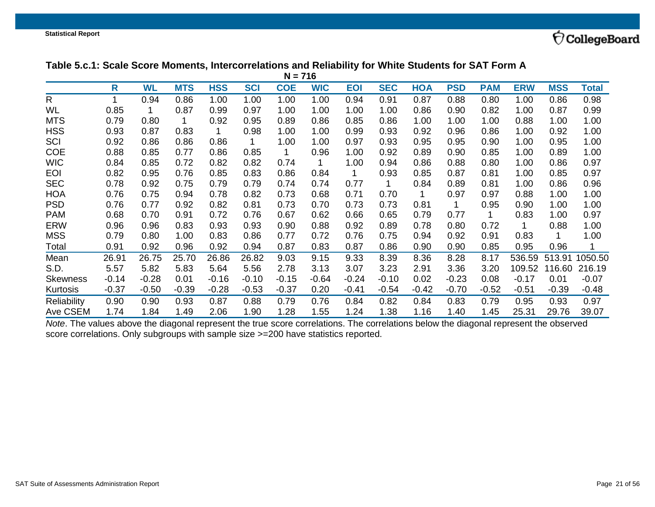#### **Table 5.c.1: Scale Score Moments, Intercorrelations and Reliability for White Students for SAT Form A**

| $N = 716$       |         |           |            |            |            |            |            |            |            |            |            |            |            |            |         |
|-----------------|---------|-----------|------------|------------|------------|------------|------------|------------|------------|------------|------------|------------|------------|------------|---------|
|                 | R       | <b>WL</b> | <b>MTS</b> | <b>HSS</b> | <b>SCI</b> | <b>COE</b> | <b>WIC</b> | <b>EOI</b> | <b>SEC</b> | <b>HOA</b> | <b>PSD</b> | <b>PAM</b> | <b>ERW</b> | <b>MSS</b> | Total   |
| $\mathsf{R}$    |         | 0.94      | 0.86       | 1.00       | 1.00       | 1.00       | 1.00       | 0.94       | 0.91       | 0.87       | 0.88       | 0.80       | 1.00       | 0.86       | 0.98    |
| WL              | 0.85    |           | 0.87       | 0.99       | 0.97       | 1.00       | 1.00       | 1.00       | 1.00       | 0.86       | 0.90       | 0.82       | 1.00       | 0.87       | 0.99    |
| <b>MTS</b>      | 0.79    | 0.80      | 1          | 0.92       | 0.95       | 0.89       | 0.86       | 0.85       | 0.86       | 1.00       | 1.00       | 1.00       | 0.88       | 1.00       | 1.00    |
| <b>HSS</b>      | 0.93    | 0.87      | 0.83       |            | 0.98       | 1.00       | 1.00       | 0.99       | 0.93       | 0.92       | 0.96       | 0.86       | 1.00       | 0.92       | 1.00    |
| SCI             | 0.92    | 0.86      | 0.86       | 0.86       |            | 1.00       | 1.00       | 0.97       | 0.93       | 0.95       | 0.95       | 0.90       | 1.00       | 0.95       | 1.00    |
| <b>COE</b>      | 0.88    | 0.85      | 0.77       | 0.86       | 0.85       | 1          | 0.96       | 1.00       | 0.92       | 0.89       | 0.90       | 0.85       | 1.00       | 0.89       | 1.00    |
| <b>WIC</b>      | 0.84    | 0.85      | 0.72       | 0.82       | 0.82       | 0.74       | 1          | 1.00       | 0.94       | 0.86       | 0.88       | 0.80       | 1.00       | 0.86       | 0.97    |
| <b>EOI</b>      | 0.82    | 0.95      | 0.76       | 0.85       | 0.83       | 0.86       | 0.84       |            | 0.93       | 0.85       | 0.87       | 0.81       | 1.00       | 0.85       | 0.97    |
| <b>SEC</b>      | 0.78    | 0.92      | 0.75       | 0.79       | 0.79       | 0.74       | 0.74       | 0.77       |            | 0.84       | 0.89       | 0.81       | 1.00       | 0.86       | 0.96    |
| <b>HOA</b>      | 0.76    | 0.75      | 0.94       | 0.78       | 0.82       | 0.73       | 0.68       | 0.71       | 0.70       | 1          | 0.97       | 0.97       | 0.88       | 1.00       | 1.00    |
| <b>PSD</b>      | 0.76    | 0.77      | 0.92       | 0.82       | 0.81       | 0.73       | 0.70       | 0.73       | 0.73       | 0.81       | 1          | 0.95       | 0.90       | 1.00       | 1.00    |
| <b>PAM</b>      | 0.68    | 0.70      | 0.91       | 0.72       | 0.76       | 0.67       | 0.62       | 0.66       | 0.65       | 0.79       | 0.77       | 1.         | 0.83       | 1.00       | 0.97    |
| <b>ERW</b>      | 0.96    | 0.96      | 0.83       | 0.93       | 0.93       | 0.90       | 0.88       | 0.92       | 0.89       | 0.78       | 0.80       | 0.72       | 1          | 0.88       | 1.00    |
| <b>MSS</b>      | 0.79    | 0.80      | 1.00       | 0.83       | 0.86       | 0.77       | 0.72       | 0.76       | 0.75       | 0.94       | 0.92       | 0.91       | 0.83       |            | 1.00    |
| Total           | 0.91    | 0.92      | 0.96       | 0.92       | 0.94       | 0.87       | 0.83       | 0.87       | 0.86       | 0.90       | 0.90       | 0.85       | 0.95       | 0.96       | 1       |
| Mean            | 26.91   | 26.75     | 25.70      | 26.86      | 26.82      | 9.03       | 9.15       | 9.33       | 8.39       | 8.36       | 8.28       | 8.17       | 536.59     | 513.91     | 1050.50 |
| S.D.            | 5.57    | 5.82      | 5.83       | 5.64       | 5.56       | 2.78       | 3.13       | 3.07       | 3.23       | 2.91       | 3.36       | 3.20       | 109.52     | 116.60     | 216.19  |
| <b>Skewness</b> | $-0.14$ | $-0.28$   | 0.01       | $-0.16$    | $-0.10$    | $-0.15$    | $-0.64$    | $-0.24$    | $-0.10$    | 0.02       | $-0.23$    | 0.08       | $-0.17$    | 0.01       | $-0.07$ |
| Kurtosis        | $-0.37$ | $-0.50$   | $-0.39$    | $-0.28$    | $-0.53$    | $-0.37$    | 0.20       | $-0.41$    | $-0.54$    | $-0.42$    | $-0.70$    | $-0.52$    | $-0.51$    | $-0.39$    | $-0.48$ |
| Reliability     | 0.90    | 0.90      | 0.93       | 0.87       | 0.88       | 0.79       | 0.76       | 0.84       | 0.82       | 0.84       | 0.83       | 0.79       | 0.95       | 0.93       | 0.97    |
| Ave CSEM        | 1.74    | 1.84      | 1.49       | 2.06       | 1.90       | 1.28       | 1.55       | 1.24       | 1.38       | 1.16       | 1.40       | 1.45       | 25.31      | 29.76      | 39.07   |

<span id="page-20-0"></span>*Note*. The values above the diagonal represent the true score correlations. The correlations below the diagonal represent the observed score correlations. Only subgroups with sample size >=200 have statistics reported.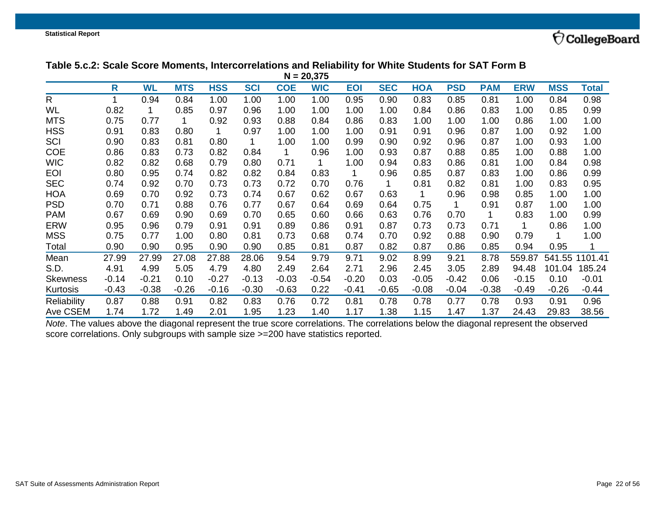## **Table 5.c.2: Scale Score Moments, Intercorrelations and Reliability for White Students for SAT Form B**

| $N = 20,375$    |         |           |            |            |            |            |            |            |            |            |            |            |            |            |              |
|-----------------|---------|-----------|------------|------------|------------|------------|------------|------------|------------|------------|------------|------------|------------|------------|--------------|
|                 | R       | <b>WL</b> | <b>MTS</b> | <b>HSS</b> | <b>SCI</b> | <b>COE</b> | <b>WIC</b> | <b>EOI</b> | <b>SEC</b> | <b>HOA</b> | <b>PSD</b> | <b>PAM</b> | <b>ERW</b> | <b>MSS</b> | <b>Total</b> |
| $\mathsf{R}$    |         | 0.94      | 0.84       | 1.00       | 1.00       | 1.00       | 1.00       | 0.95       | 0.90       | 0.83       | 0.85       | 0.81       | 1.00       | 0.84       | 0.98         |
| WL              | 0.82    |           | 0.85       | 0.97       | 0.96       | 1.00       | 1.00       | 1.00       | 1.00       | 0.84       | 0.86       | 0.83       | 1.00       | 0.85       | 0.99         |
| <b>MTS</b>      | 0.75    | 0.77      | 1          | 0.92       | 0.93       | 0.88       | 0.84       | 0.86       | 0.83       | 1.00       | 1.00       | 1.00       | 0.86       | 1.00       | 1.00         |
| <b>HSS</b>      | 0.91    | 0.83      | 0.80       |            | 0.97       | 1.00       | 1.00       | 1.00       | 0.91       | 0.91       | 0.96       | 0.87       | 1.00       | 0.92       | 1.00         |
| SCI             | 0.90    | 0.83      | 0.81       | 0.80       |            | 1.00       | 1.00       | 0.99       | 0.90       | 0.92       | 0.96       | 0.87       | 1.00       | 0.93       | 1.00         |
| <b>COE</b>      | 0.86    | 0.83      | 0.73       | 0.82       | 0.84       | 1          | 0.96       | 1.00       | 0.93       | 0.87       | 0.88       | 0.85       | 1.00       | 0.88       | 1.00         |
| <b>WIC</b>      | 0.82    | 0.82      | 0.68       | 0.79       | 0.80       | 0.71       | 1          | 1.00       | 0.94       | 0.83       | 0.86       | 0.81       | 1.00       | 0.84       | 0.98         |
| <b>EOI</b>      | 0.80    | 0.95      | 0.74       | 0.82       | 0.82       | 0.84       | 0.83       |            | 0.96       | 0.85       | 0.87       | 0.83       | 1.00       | 0.86       | 0.99         |
| <b>SEC</b>      | 0.74    | 0.92      | 0.70       | 0.73       | 0.73       | 0.72       | 0.70       | 0.76       |            | 0.81       | 0.82       | 0.81       | 1.00       | 0.83       | 0.95         |
| <b>HOA</b>      | 0.69    | 0.70      | 0.92       | 0.73       | 0.74       | 0.67       | 0.62       | 0.67       | 0.63       |            | 0.96       | 0.98       | 0.85       | 1.00       | 1.00         |
| <b>PSD</b>      | 0.70    | 0.71      | 0.88       | 0.76       | 0.77       | 0.67       | 0.64       | 0.69       | 0.64       | 0.75       | 1          | 0.91       | 0.87       | 1.00       | 1.00         |
| <b>PAM</b>      | 0.67    | 0.69      | 0.90       | 0.69       | 0.70       | 0.65       | 0.60       | 0.66       | 0.63       | 0.76       | 0.70       |            | 0.83       | 1.00       | 0.99         |
| <b>ERW</b>      | 0.95    | 0.96      | 0.79       | 0.91       | 0.91       | 0.89       | 0.86       | 0.91       | 0.87       | 0.73       | 0.73       | 0.71       |            | 0.86       | 1.00         |
| <b>MSS</b>      | 0.75    | 0.77      | 1.00       | 0.80       | 0.81       | 0.73       | 0.68       | 0.74       | 0.70       | 0.92       | 0.88       | 0.90       | 0.79       |            | 1.00         |
| Total           | 0.90    | 0.90      | 0.95       | 0.90       | 0.90       | 0.85       | 0.81       | 0.87       | 0.82       | 0.87       | 0.86       | 0.85       | 0.94       | 0.95       |              |
| Mean            | 27.99   | 27.99     | 27.08      | 27.88      | 28.06      | 9.54       | 9.79       | 9.71       | 9.02       | 8.99       | 9.21       | 8.78       | 559.87     | 541.55     | 1101.41      |
| S.D.            | 4.91    | 4.99      | 5.05       | 4.79       | 4.80       | 2.49       | 2.64       | 2.71       | 2.96       | 2.45       | 3.05       | 2.89       | 94.48      | 101.04     | 185.24       |
| <b>Skewness</b> | $-0.14$ | $-0.21$   | 0.10       | $-0.27$    | $-0.13$    | $-0.03$    | $-0.54$    | $-0.20$    | 0.03       | $-0.05$    | $-0.42$    | 0.06       | $-0.15$    | 0.10       | $-0.01$      |
| Kurtosis        | $-0.43$ | $-0.38$   | $-0.26$    | $-0.16$    | $-0.30$    | $-0.63$    | 0.22       | $-0.41$    | $-0.65$    | $-0.08$    | $-0.04$    | $-0.38$    | $-0.49$    | $-0.26$    | $-0.44$      |
| Reliability     | 0.87    | 0.88      | 0.91       | 0.82       | 0.83       | 0.76       | 0.72       | 0.81       | 0.78       | 0.78       | 0.77       | 0.78       | 0.93       | 0.91       | 0.96         |
| Ave CSEM        | 1.74    | 1.72      | 1.49       | 2.01       | 1.95       | 1.23       | 1.40       | 1.17       | 1.38       | 1.15       | 1.47       | 1.37       | 24.43      | 29.83      | 38.56        |

<span id="page-21-0"></span>*Note*. The values above the diagonal represent the true score correlations. The correlations below the diagonal represent the observed score correlations. Only subgroups with sample size >=200 have statistics reported.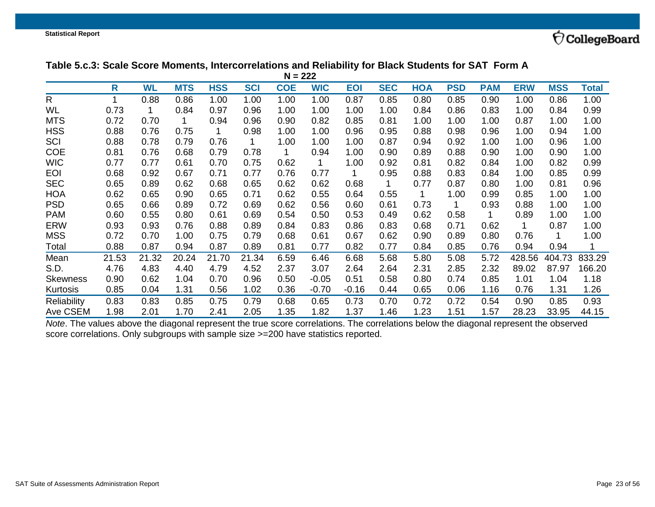### **Table 5.c.3: Scale Score Moments, Intercorrelations and Reliability for Black Students for SAT Form A**

| $N = 222$       |       |           |            |            |            |            |            |            |            |            |            |            |            |            |        |
|-----------------|-------|-----------|------------|------------|------------|------------|------------|------------|------------|------------|------------|------------|------------|------------|--------|
|                 | R     | <b>WL</b> | <b>MTS</b> | <b>HSS</b> | <b>SCI</b> | <b>COE</b> | <b>WIC</b> | <b>EOI</b> | <b>SEC</b> | <b>HOA</b> | <b>PSD</b> | <b>PAM</b> | <b>ERW</b> | <b>MSS</b> | Total  |
| $\mathsf{R}$    | 1     | 0.88      | 0.86       | 1.00       | 1.00       | 1.00       | 1.00       | 0.87       | 0.85       | 0.80       | 0.85       | 0.90       | 1.00       | 0.86       | 1.00   |
| WL              | 0.73  |           | 0.84       | 0.97       | 0.96       | 1.00       | 1.00       | 1.00       | 1.00       | 0.84       | 0.86       | 0.83       | 1.00       | 0.84       | 0.99   |
| <b>MTS</b>      | 0.72  | 0.70      | 1          | 0.94       | 0.96       | 0.90       | 0.82       | 0.85       | 0.81       | 1.00       | 1.00       | 1.00       | 0.87       | 1.00       | 1.00   |
| <b>HSS</b>      | 0.88  | 0.76      | 0.75       |            | 0.98       | 1.00       | 1.00       | 0.96       | 0.95       | 0.88       | 0.98       | 0.96       | 1.00       | 0.94       | 1.00   |
| SCI             | 0.88  | 0.78      | 0.79       | 0.76       | 1          | 1.00       | 1.00       | 1.00       | 0.87       | 0.94       | 0.92       | 1.00       | 1.00       | 0.96       | 1.00   |
| <b>COE</b>      | 0.81  | 0.76      | 0.68       | 0.79       | 0.78       | 1          | 0.94       | 1.00       | 0.90       | 0.89       | 0.88       | 0.90       | 1.00       | 0.90       | 1.00   |
| <b>WIC</b>      | 0.77  | 0.77      | 0.61       | 0.70       | 0.75       | 0.62       | 1          | 1.00       | 0.92       | 0.81       | 0.82       | 0.84       | 1.00       | 0.82       | 0.99   |
| <b>EOI</b>      | 0.68  | 0.92      | 0.67       | 0.71       | 0.77       | 0.76       | 0.77       | 1.         | 0.95       | 0.88       | 0.83       | 0.84       | 1.00       | 0.85       | 0.99   |
| <b>SEC</b>      | 0.65  | 0.89      | 0.62       | 0.68       | 0.65       | 0.62       | 0.62       | 0.68       |            | 0.77       | 0.87       | 0.80       | 1.00       | 0.81       | 0.96   |
| <b>HOA</b>      | 0.62  | 0.65      | 0.90       | 0.65       | 0.71       | 0.62       | 0.55       | 0.64       | 0.55       | 1          | 1.00       | 0.99       | 0.85       | 1.00       | 1.00   |
| <b>PSD</b>      | 0.65  | 0.66      | 0.89       | 0.72       | 0.69       | 0.62       | 0.56       | 0.60       | 0.61       | 0.73       | 1          | 0.93       | 0.88       | 1.00       | 1.00   |
| <b>PAM</b>      | 0.60  | 0.55      | 0.80       | 0.61       | 0.69       | 0.54       | 0.50       | 0.53       | 0.49       | 0.62       | 0.58       | 1          | 0.89       | 1.00       | 1.00   |
| <b>ERW</b>      | 0.93  | 0.93      | 0.76       | 0.88       | 0.89       | 0.84       | 0.83       | 0.86       | 0.83       | 0.68       | 0.71       | 0.62       |            | 0.87       | 1.00   |
| <b>MSS</b>      | 0.72  | 0.70      | 1.00       | 0.75       | 0.79       | 0.68       | 0.61       | 0.67       | 0.62       | 0.90       | 0.89       | 0.80       | 0.76       |            | 1.00   |
| Total           | 0.88  | 0.87      | 0.94       | 0.87       | 0.89       | 0.81       | 0.77       | 0.82       | 0.77       | 0.84       | 0.85       | 0.76       | 0.94       | 0.94       |        |
| Mean            | 21.53 | 21.32     | 20.24      | 21.70      | 21.34      | 6.59       | 6.46       | 6.68       | 5.68       | 5.80       | 5.08       | 5.72       | 428.56     | 404.73     | 833.29 |
| S.D.            | 4.76  | 4.83      | 4.40       | 4.79       | 4.52       | 2.37       | 3.07       | 2.64       | 2.64       | 2.31       | 2.85       | 2.32       | 89.02      | 87.97      | 166.20 |
| <b>Skewness</b> | 0.90  | 0.62      | 1.04       | 0.70       | 0.96       | 0.50       | $-0.05$    | 0.51       | 0.58       | 0.80       | 0.74       | 0.85       | 1.01       | 1.04       | 1.18   |
| Kurtosis        | 0.85  | 0.04      | 1.31       | 0.56       | 1.02       | 0.36       | $-0.70$    | $-0.16$    | 0.44       | 0.65       | 0.06       | 1.16       | 0.76       | 1.31       | 1.26   |
| Reliability     | 0.83  | 0.83      | 0.85       | 0.75       | 0.79       | 0.68       | 0.65       | 0.73       | 0.70       | 0.72       | 0.72       | 0.54       | 0.90       | 0.85       | 0.93   |
| Ave CSEM        | 1.98  | 2.01      | 1.70       | 2.41       | 2.05       | 1.35       | 1.82       | 1.37       | 1.46       | 1.23       | 1.51       | 1.57       | 28.23      | 33.95      | 44.15  |

<span id="page-22-0"></span>*Note*. The values above the diagonal represent the true score correlations. The correlations below the diagonal represent the observed score correlations. Only subgroups with sample size >=200 have statistics reported.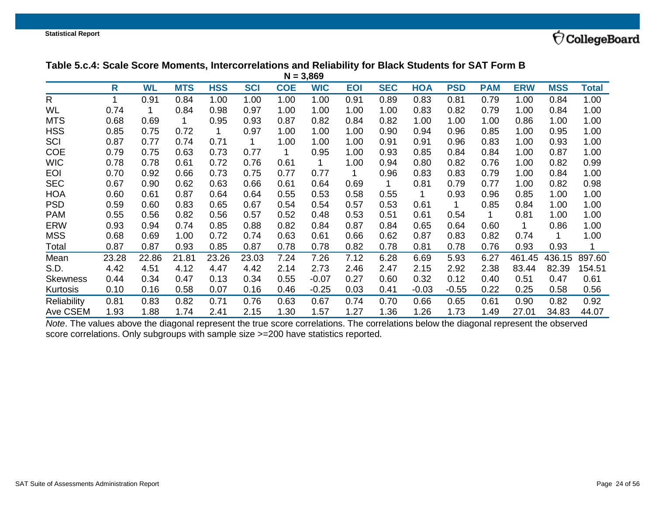#### **Table 5.c.4: Scale Score Moments, Intercorrelations and Reliability for Black Students for SAT Form B**

| $N = 3,869$        |       |           |            |            |            |            |            |            |            |            |            |            |            |            |        |
|--------------------|-------|-----------|------------|------------|------------|------------|------------|------------|------------|------------|------------|------------|------------|------------|--------|
|                    | R     | <b>WL</b> | <b>MTS</b> | <b>HSS</b> | <b>SCI</b> | <b>COE</b> | <b>WIC</b> | <b>EOI</b> | <b>SEC</b> | <b>HOA</b> | <b>PSD</b> | <b>PAM</b> | <b>ERW</b> | <b>MSS</b> | Total  |
| R                  | 1     | 0.91      | 0.84       | 1.00       | 1.00       | 1.00       | 1.00       | 0.91       | 0.89       | 0.83       | 0.81       | 0.79       | 1.00       | 0.84       | 1.00   |
| WL                 | 0.74  |           | 0.84       | 0.98       | 0.97       | 1.00       | 1.00       | 1.00       | 1.00       | 0.83       | 0.82       | 0.79       | 1.00       | 0.84       | 1.00   |
| <b>MTS</b>         | 0.68  | 0.69      | 1          | 0.95       | 0.93       | 0.87       | 0.82       | 0.84       | 0.82       | 1.00       | 1.00       | 1.00       | 0.86       | 1.00       | 1.00   |
| <b>HSS</b>         | 0.85  | 0.75      | 0.72       | 1          | 0.97       | 1.00       | 1.00       | 1.00       | 0.90       | 0.94       | 0.96       | 0.85       | 1.00       | 0.95       | 1.00   |
| SCI                | 0.87  | 0.77      | 0.74       | 0.71       | 1          | 1.00       | 1.00       | 1.00       | 0.91       | 0.91       | 0.96       | 0.83       | 1.00       | 0.93       | 1.00   |
| <b>COE</b>         | 0.79  | 0.75      | 0.63       | 0.73       | 0.77       | 1          | 0.95       | 1.00       | 0.93       | 0.85       | 0.84       | 0.84       | 1.00       | 0.87       | 1.00   |
| <b>WIC</b>         | 0.78  | 0.78      | 0.61       | 0.72       | 0.76       | 0.61       | 1          | 1.00       | 0.94       | 0.80       | 0.82       | 0.76       | 1.00       | 0.82       | 0.99   |
| <b>EOI</b>         | 0.70  | 0.92      | 0.66       | 0.73       | 0.75       | 0.77       | 0.77       |            | 0.96       | 0.83       | 0.83       | 0.79       | 1.00       | 0.84       | 1.00   |
| <b>SEC</b>         | 0.67  | 0.90      | 0.62       | 0.63       | 0.66       | 0.61       | 0.64       | 0.69       |            | 0.81       | 0.79       | 0.77       | 1.00       | 0.82       | 0.98   |
| <b>HOA</b>         | 0.60  | 0.61      | 0.87       | 0.64       | 0.64       | 0.55       | 0.53       | 0.58       | 0.55       | 1          | 0.93       | 0.96       | 0.85       | 1.00       | 1.00   |
| <b>PSD</b>         | 0.59  | 0.60      | 0.83       | 0.65       | 0.67       | 0.54       | 0.54       | 0.57       | 0.53       | 0.61       | 1          | 0.85       | 0.84       | 1.00       | 1.00   |
| <b>PAM</b>         | 0.55  | 0.56      | 0.82       | 0.56       | 0.57       | 0.52       | 0.48       | 0.53       | 0.51       | 0.61       | 0.54       | 1          | 0.81       | 1.00       | 1.00   |
| <b>ERW</b>         | 0.93  | 0.94      | 0.74       | 0.85       | 0.88       | 0.82       | 0.84       | 0.87       | 0.84       | 0.65       | 0.64       | 0.60       |            | 0.86       | 1.00   |
| <b>MSS</b>         | 0.68  | 0.69      | 1.00       | 0.72       | 0.74       | 0.63       | 0.61       | 0.66       | 0.62       | 0.87       | 0.83       | 0.82       | 0.74       |            | 1.00   |
| Total              | 0.87  | 0.87      | 0.93       | 0.85       | 0.87       | 0.78       | 0.78       | 0.82       | 0.78       | 0.81       | 0.78       | 0.76       | 0.93       | 0.93       |        |
| Mean               | 23.28 | 22.86     | 21.81      | 23.26      | 23.03      | 7.24       | 7.26       | 7.12       | 6.28       | 6.69       | 5.93       | 6.27       | 461.45     | 436.15     | 897.60 |
| S.D.               | 4.42  | 4.51      | 4.12       | 4.47       | 4.42       | 2.14       | 2.73       | 2.46       | 2.47       | 2.15       | 2.92       | 2.38       | 83.44      | 82.39      | 154.51 |
| <b>Skewness</b>    | 0.44  | 0.34      | 0.47       | 0.13       | 0.34       | 0.55       | $-0.07$    | 0.27       | 0.60       | 0.32       | 0.12       | 0.40       | 0.51       | 0.47       | 0.61   |
| Kurtosis           | 0.10  | 0.16      | 0.58       | 0.07       | 0.16       | 0.46       | $-0.25$    | 0.03       | 0.41       | $-0.03$    | $-0.55$    | 0.22       | 0.25       | 0.58       | 0.56   |
| <b>Reliability</b> | 0.81  | 0.83      | 0.82       | 0.71       | 0.76       | 0.63       | 0.67       | 0.74       | 0.70       | 0.66       | 0.65       | 0.61       | 0.90       | 0.82       | 0.92   |
| Ave CSEM           | 1.93  | 1.88      | 1.74       | 2.41       | 2.15       | 1.30       | 1.57       | 1.27       | 1.36       | 1.26       | 1.73       | 1.49       | 27.01      | 34.83      | 44.07  |

<span id="page-23-0"></span>*Note*. The values above the diagonal represent the true score correlations. The correlations below the diagonal represent the observed score correlations. Only subgroups with sample size >=200 have statistics reported.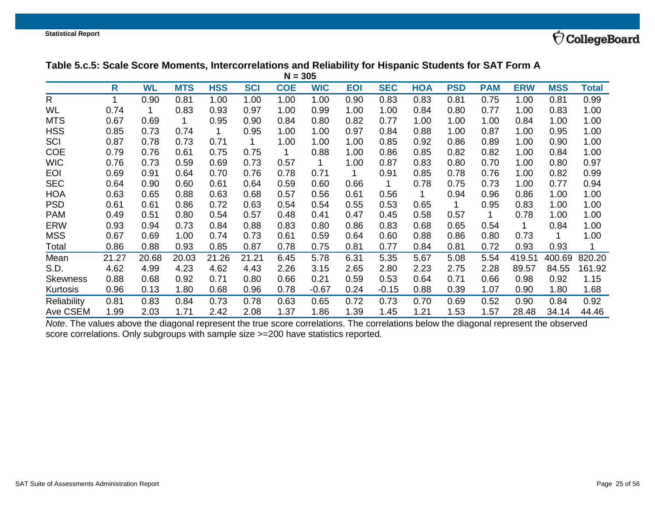## **Table 5.c.5: Scale Score Moments, Intercorrelations and Reliability for Hispanic Students for SAT Form A**

| $N = 305$       |       |           |            |            |            |            |            |            |            |            |            |            |            |            |        |
|-----------------|-------|-----------|------------|------------|------------|------------|------------|------------|------------|------------|------------|------------|------------|------------|--------|
|                 | R     | <b>WL</b> | <b>MTS</b> | <b>HSS</b> | <b>SCI</b> | <b>COE</b> | <b>WIC</b> | <b>EOI</b> | <b>SEC</b> | <b>HOA</b> | <b>PSD</b> | <b>PAM</b> | <b>ERW</b> | <b>MSS</b> | Total  |
| $\mathsf{R}$    |       | 0.90      | 0.81       | 1.00       | 1.00       | 1.00       | 1.00       | 0.90       | 0.83       | 0.83       | 0.81       | 0.75       | 1.00       | 0.81       | 0.99   |
| WL              | 0.74  |           | 0.83       | 0.93       | 0.97       | 1.00       | 0.99       | 1.00       | 1.00       | 0.84       | 0.80       | 0.77       | 1.00       | 0.83       | 1.00   |
| <b>MTS</b>      | 0.67  | 0.69      | 1          | 0.95       | 0.90       | 0.84       | 0.80       | 0.82       | 0.77       | 1.00       | 1.00       | 1.00       | 0.84       | 1.00       | 1.00   |
| <b>HSS</b>      | 0.85  | 0.73      | 0.74       |            | 0.95       | 1.00       | 1.00       | 0.97       | 0.84       | 0.88       | 1.00       | 0.87       | 1.00       | 0.95       | 1.00   |
| SCI             | 0.87  | 0.78      | 0.73       | 0.71       |            | 1.00       | 1.00       | 1.00       | 0.85       | 0.92       | 0.86       | 0.89       | 1.00       | 0.90       | 1.00   |
| <b>COE</b>      | 0.79  | 0.76      | 0.61       | 0.75       | 0.75       |            | 0.88       | 1.00       | 0.86       | 0.85       | 0.82       | 0.82       | 1.00       | 0.84       | 1.00   |
| <b>WIC</b>      | 0.76  | 0.73      | 0.59       | 0.69       | 0.73       | 0.57       | 1          | 1.00       | 0.87       | 0.83       | 0.80       | 0.70       | 1.00       | 0.80       | 0.97   |
| <b>EOI</b>      | 0.69  | 0.91      | 0.64       | 0.70       | 0.76       | 0.78       | 0.71       |            | 0.91       | 0.85       | 0.78       | 0.76       | 1.00       | 0.82       | 0.99   |
| <b>SEC</b>      | 0.64  | 0.90      | 0.60       | 0.61       | 0.64       | 0.59       | 0.60       | 0.66       | 1          | 0.78       | 0.75       | 0.73       | 1.00       | 0.77       | 0.94   |
| <b>HOA</b>      | 0.63  | 0.65      | 0.88       | 0.63       | 0.68       | 0.57       | 0.56       | 0.61       | 0.56       | 1          | 0.94       | 0.96       | 0.86       | 1.00       | 1.00   |
| <b>PSD</b>      | 0.61  | 0.61      | 0.86       | 0.72       | 0.63       | 0.54       | 0.54       | 0.55       | 0.53       | 0.65       | 1          | 0.95       | 0.83       | 1.00       | 1.00   |
| <b>PAM</b>      | 0.49  | 0.51      | 0.80       | 0.54       | 0.57       | 0.48       | 0.41       | 0.47       | 0.45       | 0.58       | 0.57       |            | 0.78       | 1.00       | 1.00   |
| <b>ERW</b>      | 0.93  | 0.94      | 0.73       | 0.84       | 0.88       | 0.83       | 0.80       | 0.86       | 0.83       | 0.68       | 0.65       | 0.54       |            | 0.84       | 1.00   |
| <b>MSS</b>      | 0.67  | 0.69      | 1.00       | 0.74       | 0.73       | 0.61       | 0.59       | 0.64       | 0.60       | 0.88       | 0.86       | 0.80       | 0.73       |            | 1.00   |
| Total           | 0.86  | 0.88      | 0.93       | 0.85       | 0.87       | 0.78       | 0.75       | 0.81       | 0.77       | 0.84       | 0.81       | 0.72       | 0.93       | 0.93       |        |
| Mean            | 21.27 | 20.68     | 20.03      | 21.26      | 21.21      | 6.45       | 5.78       | 6.31       | 5.35       | 5.67       | 5.08       | 5.54       | 419.51     | 400.69     | 820.20 |
| S.D.            | 4.62  | 4.99      | 4.23       | 4.62       | 4.43       | 2.26       | 3.15       | 2.65       | 2.80       | 2.23       | 2.75       | 2.28       | 89.57      | 84.55      | 161.92 |
| <b>Skewness</b> | 0.88  | 0.68      | 0.92       | 0.71       | 0.80       | 0.66       | 0.21       | 0.59       | 0.53       | 0.64       | 0.71       | 0.66       | 0.98       | 0.92       | 1.15   |
| Kurtosis        | 0.96  | 0.13      | 1.80       | 0.68       | 0.96       | 0.78       | $-0.67$    | 0.24       | $-0.15$    | 0.88       | 0.39       | 1.07       | 0.90       | 1.80       | 1.68   |
| Reliability     | 0.81  | 0.83      | 0.84       | 0.73       | 0.78       | 0.63       | 0.65       | 0.72       | 0.73       | 0.70       | 0.69       | 0.52       | 0.90       | 0.84       | 0.92   |
| Ave CSEM        | 1.99  | 2.03      | 1.71       | 2.42       | 2.08       | 1.37       | 1.86       | 1.39       | 1.45       | 1.21       | 1.53       | 1.57       | 28.48      | 34.14      | 44.46  |

<span id="page-24-0"></span>*Note*. The values above the diagonal represent the true score correlations. The correlations below the diagonal represent the observed score correlations. Only subgroups with sample size >=200 have statistics reported.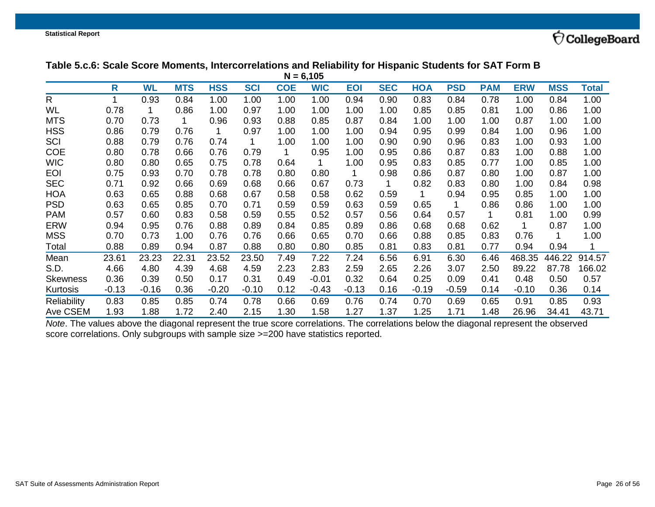## **Table 5.c.6: Scale Score Moments, Intercorrelations and Reliability for Hispanic Students for SAT Form B**

| $N = 6,105$     |         |           |            |            |            |            |            |            |            |            |            |            |            |            |        |
|-----------------|---------|-----------|------------|------------|------------|------------|------------|------------|------------|------------|------------|------------|------------|------------|--------|
|                 | R       | <b>WL</b> | <b>MTS</b> | <b>HSS</b> | <b>SCI</b> | <b>COE</b> | <b>WIC</b> | <b>EOI</b> | <b>SEC</b> | <b>HOA</b> | <b>PSD</b> | <b>PAM</b> | <b>ERW</b> | <b>MSS</b> | Total  |
| R               |         | 0.93      | 0.84       | 1.00       | 1.00       | 1.00       | 1.00       | 0.94       | 0.90       | 0.83       | 0.84       | 0.78       | 1.00       | 0.84       | 1.00   |
| <b>WL</b>       | 0.78    |           | 0.86       | 1.00       | 0.97       | 1.00       | 1.00       | 1.00       | 1.00       | 0.85       | 0.85       | 0.81       | 1.00       | 0.86       | 1.00   |
| <b>MTS</b>      | 0.70    | 0.73      | 1          | 0.96       | 0.93       | 0.88       | 0.85       | 0.87       | 0.84       | 1.00       | 1.00       | 1.00       | 0.87       | 1.00       | 1.00   |
| <b>HSS</b>      | 0.86    | 0.79      | 0.76       |            | 0.97       | 1.00       | 1.00       | 1.00       | 0.94       | 0.95       | 0.99       | 0.84       | 1.00       | 0.96       | 1.00   |
| SCI             | 0.88    | 0.79      | 0.76       | 0.74       |            | 1.00       | 1.00       | 1.00       | 0.90       | 0.90       | 0.96       | 0.83       | 1.00       | 0.93       | 1.00   |
| <b>COE</b>      | 0.80    | 0.78      | 0.66       | 0.76       | 0.79       |            | 0.95       | 1.00       | 0.95       | 0.86       | 0.87       | 0.83       | 1.00       | 0.88       | 1.00   |
| <b>WIC</b>      | 0.80    | 0.80      | 0.65       | 0.75       | 0.78       | 0.64       | 1          | 1.00       | 0.95       | 0.83       | 0.85       | 0.77       | 1.00       | 0.85       | 1.00   |
| <b>EOI</b>      | 0.75    | 0.93      | 0.70       | 0.78       | 0.78       | 0.80       | 0.80       | 1.         | 0.98       | 0.86       | 0.87       | 0.80       | 1.00       | 0.87       | 1.00   |
| <b>SEC</b>      | 0.71    | 0.92      | 0.66       | 0.69       | 0.68       | 0.66       | 0.67       | 0.73       |            | 0.82       | 0.83       | 0.80       | 1.00       | 0.84       | 0.98   |
| <b>HOA</b>      | 0.63    | 0.65      | 0.88       | 0.68       | 0.67       | 0.58       | 0.58       | 0.62       | 0.59       |            | 0.94       | 0.95       | 0.85       | 1.00       | 1.00   |
| <b>PSD</b>      | 0.63    | 0.65      | 0.85       | 0.70       | 0.71       | 0.59       | 0.59       | 0.63       | 0.59       | 0.65       | 1          | 0.86       | 0.86       | 1.00       | 1.00   |
| <b>PAM</b>      | 0.57    | 0.60      | 0.83       | 0.58       | 0.59       | 0.55       | 0.52       | 0.57       | 0.56       | 0.64       | 0.57       |            | 0.81       | 1.00       | 0.99   |
| <b>ERW</b>      | 0.94    | 0.95      | 0.76       | 0.88       | 0.89       | 0.84       | 0.85       | 0.89       | 0.86       | 0.68       | 0.68       | 0.62       | 1          | 0.87       | 1.00   |
| <b>MSS</b>      | 0.70    | 0.73      | 1.00       | 0.76       | 0.76       | 0.66       | 0.65       | 0.70       | 0.66       | 0.88       | 0.85       | 0.83       | 0.76       |            | 1.00   |
| Total           | 0.88    | 0.89      | 0.94       | 0.87       | 0.88       | 0.80       | 0.80       | 0.85       | 0.81       | 0.83       | 0.81       | 0.77       | 0.94       | 0.94       |        |
| Mean            | 23.61   | 23.23     | 22.31      | 23.52      | 23.50      | 7.49       | 7.22       | 7.24       | 6.56       | 6.91       | 6.30       | 6.46       | 468.35     | 446.22     | 914.57 |
| S.D.            | 4.66    | 4.80      | 4.39       | 4.68       | 4.59       | 2.23       | 2.83       | 2.59       | 2.65       | 2.26       | 3.07       | 2.50       | 89.22      | 87.78      | 166.02 |
| <b>Skewness</b> | 0.36    | 0.39      | 0.50       | 0.17       | 0.31       | 0.49       | $-0.01$    | 0.32       | 0.64       | 0.25       | 0.09       | 0.41       | 0.48       | 0.50       | 0.57   |
| Kurtosis        | $-0.13$ | $-0.16$   | 0.36       | $-0.20$    | $-0.10$    | 0.12       | $-0.43$    | $-0.13$    | 0.16       | $-0.19$    | $-0.59$    | 0.14       | $-0.10$    | 0.36       | 0.14   |
| Reliability     | 0.83    | 0.85      | 0.85       | 0.74       | 0.78       | 0.66       | 0.69       | 0.76       | 0.74       | 0.70       | 0.69       | 0.65       | 0.91       | 0.85       | 0.93   |
| Ave CSEM        | 1.93    | 1.88      | 1.72       | 2.40       | 2.15       | 1.30       | 1.58       | 1.27       | 1.37       | 1.25       | 1.71       | 1.48       | 26.96      | 34.41      | 43.71  |

<span id="page-25-0"></span>*Note*. The values above the diagonal represent the true score correlations. The correlations below the diagonal represent the observed score correlations. Only subgroups with sample size >=200 have statistics reported.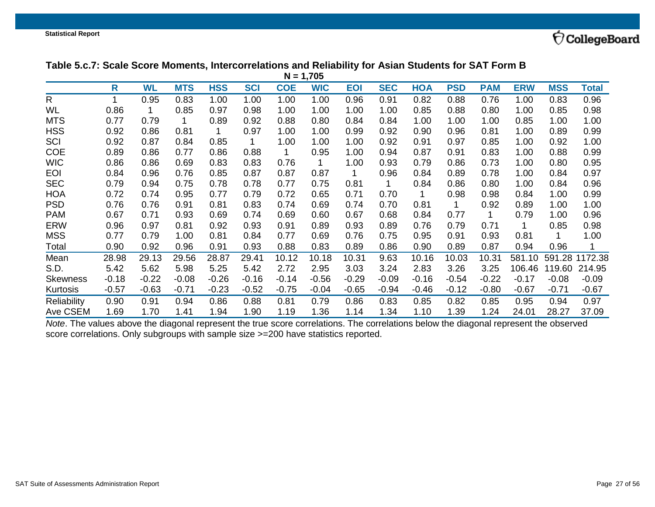### **Table 5.c.7: Scale Score Moments, Intercorrelations and Reliability for Asian Students for SAT Form B**

| $N = 1,705$     |         |           |            |            |            |            |            |            |            |            |            |            |            |            |         |
|-----------------|---------|-----------|------------|------------|------------|------------|------------|------------|------------|------------|------------|------------|------------|------------|---------|
|                 | R       | <b>WL</b> | <b>MTS</b> | <b>HSS</b> | <b>SCI</b> | <b>COE</b> | <b>WIC</b> | <b>EOI</b> | <b>SEC</b> | <b>HOA</b> | <b>PSD</b> | <b>PAM</b> | <b>ERW</b> | <b>MSS</b> | Total   |
| R               | 1       | 0.95      | 0.83       | 1.00       | 1.00       | 1.00       | 1.00       | 0.96       | 0.91       | 0.82       | 0.88       | 0.76       | 1.00       | 0.83       | 0.96    |
| <b>WL</b>       | 0.86    |           | 0.85       | 0.97       | 0.98       | 1.00       | 1.00       | 1.00       | 1.00       | 0.85       | 0.88       | 0.80       | 1.00       | 0.85       | 0.98    |
| <b>MTS</b>      | 0.77    | 0.79      | 1          | 0.89       | 0.92       | 0.88       | 0.80       | 0.84       | 0.84       | 1.00       | 1.00       | 1.00       | 0.85       | 1.00       | 1.00    |
| <b>HSS</b>      | 0.92    | 0.86      | 0.81       |            | 0.97       | 1.00       | 1.00       | 0.99       | 0.92       | 0.90       | 0.96       | 0.81       | 1.00       | 0.89       | 0.99    |
| SCI             | 0.92    | 0.87      | 0.84       | 0.85       |            | 1.00       | 1.00       | 1.00       | 0.92       | 0.91       | 0.97       | 0.85       | 1.00       | 0.92       | 1.00    |
| <b>COE</b>      | 0.89    | 0.86      | 0.77       | 0.86       | 0.88       |            | 0.95       | 1.00       | 0.94       | 0.87       | 0.91       | 0.83       | 1.00       | 0.88       | 0.99    |
| <b>WIC</b>      | 0.86    | 0.86      | 0.69       | 0.83       | 0.83       | 0.76       | 1          | 1.00       | 0.93       | 0.79       | 0.86       | 0.73       | 1.00       | 0.80       | 0.95    |
| <b>EOI</b>      | 0.84    | 0.96      | 0.76       | 0.85       | 0.87       | 0.87       | 0.87       |            | 0.96       | 0.84       | 0.89       | 0.78       | 1.00       | 0.84       | 0.97    |
| <b>SEC</b>      | 0.79    | 0.94      | 0.75       | 0.78       | 0.78       | 0.77       | 0.75       | 0.81       |            | 0.84       | 0.86       | 0.80       | 1.00       | 0.84       | 0.96    |
| <b>HOA</b>      | 0.72    | 0.74      | 0.95       | 0.77       | 0.79       | 0.72       | 0.65       | 0.71       | 0.70       |            | 0.98       | 0.98       | 0.84       | 1.00       | 0.99    |
| <b>PSD</b>      | 0.76    | 0.76      | 0.91       | 0.81       | 0.83       | 0.74       | 0.69       | 0.74       | 0.70       | 0.81       | 1          | 0.92       | 0.89       | 1.00       | 1.00    |
| <b>PAM</b>      | 0.67    | 0.71      | 0.93       | 0.69       | 0.74       | 0.69       | 0.60       | 0.67       | 0.68       | 0.84       | 0.77       | 1          | 0.79       | 1.00       | 0.96    |
| <b>ERW</b>      | 0.96    | 0.97      | 0.81       | 0.92       | 0.93       | 0.91       | 0.89       | 0.93       | 0.89       | 0.76       | 0.79       | 0.71       | 1          | 0.85       | 0.98    |
| <b>MSS</b>      | 0.77    | 0.79      | 1.00       | 0.81       | 0.84       | 0.77       | 0.69       | 0.76       | 0.75       | 0.95       | 0.91       | 0.93       | 0.81       |            | 1.00    |
| Total           | 0.90    | 0.92      | 0.96       | 0.91       | 0.93       | 0.88       | 0.83       | 0.89       | 0.86       | 0.90       | 0.89       | 0.87       | 0.94       | 0.96       | 1       |
| Mean            | 28.98   | 29.13     | 29.56      | 28.87      | 29.41      | 10.12      | 10.18      | 10.31      | 9.63       | 10.16      | 10.03      | 10.31      | 581.10     | 591.28     | 1172.38 |
| S.D.            | 5.42    | 5.62      | 5.98       | 5.25       | 5.42       | 2.72       | 2.95       | 3.03       | 3.24       | 2.83       | 3.26       | 3.25       | 106.46     | 119.60     | 214.95  |
| <b>Skewness</b> | $-0.18$ | $-0.22$   | $-0.08$    | $-0.26$    | $-0.16$    | $-0.14$    | $-0.56$    | $-0.29$    | $-0.09$    | $-0.16$    | $-0.54$    | $-0.22$    | $-0.17$    | $-0.08$    | $-0.09$ |
| Kurtosis        | $-0.57$ | $-0.63$   | $-0.71$    | $-0.23$    | $-0.52$    | $-0.75$    | $-0.04$    | $-0.65$    | $-0.94$    | $-0.46$    | $-0.12$    | $-0.80$    | $-0.67$    | $-0.71$    | $-0.67$ |
| Reliability     | 0.90    | 0.91      | 0.94       | 0.86       | 0.88       | 0.81       | 0.79       | 0.86       | 0.83       | 0.85       | 0.82       | 0.85       | 0.95       | 0.94       | 0.97    |
| Ave CSEM        | 1.69    | 1.70      | 1.41       | 1.94       | 1.90       | 1.19       | 1.36       | 1.14       | 1.34       | 1.10       | 1.39       | 1.24       | 24.01      | 28.27      | 37.09   |

<span id="page-26-0"></span>*Note*. The values above the diagonal represent the true score correlations. The correlations below the diagonal represent the observed score correlations. Only subgroups with sample size >=200 have statistics reported.

 $\bigcirc$ CollegeBoard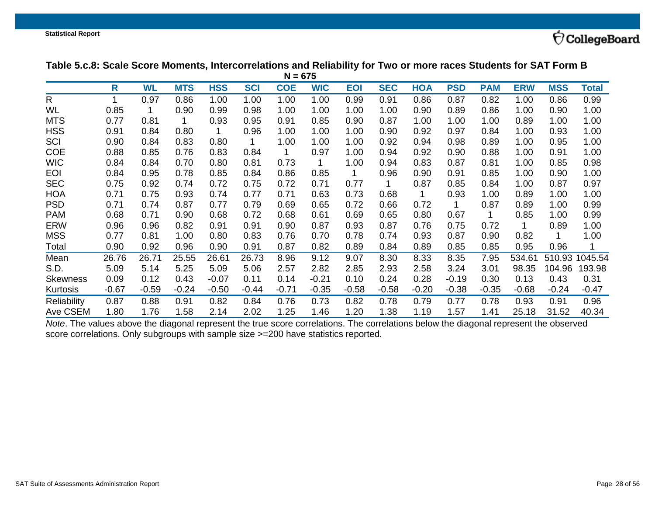## Table 5.c.8: Scale Score Moments, Intercorrelations and Reliability for Two or more races Students for SAT Form B

| $N = 675$       |         |           |            |            |            |            |            |            |            |            |            |            |            |            |         |
|-----------------|---------|-----------|------------|------------|------------|------------|------------|------------|------------|------------|------------|------------|------------|------------|---------|
|                 | R       | <b>WL</b> | <b>MTS</b> | <b>HSS</b> | <b>SCI</b> | <b>COE</b> | <b>WIC</b> | <b>EOI</b> | <b>SEC</b> | <b>HOA</b> | <b>PSD</b> | <b>PAM</b> | <b>ERW</b> | <b>MSS</b> | Total   |
| R               | 1       | 0.97      | 0.86       | 1.00       | 1.00       | 1.00       | 1.00       | 0.99       | 0.91       | 0.86       | 0.87       | 0.82       | 1.00       | 0.86       | 0.99    |
| WL              | 0.85    |           | 0.90       | 0.99       | 0.98       | 1.00       | 1.00       | 1.00       | 1.00       | 0.90       | 0.89       | 0.86       | 1.00       | 0.90       | 1.00    |
| <b>MTS</b>      | 0.77    | 0.81      | 1          | 0.93       | 0.95       | 0.91       | 0.85       | 0.90       | 0.87       | 1.00       | 1.00       | 1.00       | 0.89       | 1.00       | 1.00    |
| <b>HSS</b>      | 0.91    | 0.84      | 0.80       |            | 0.96       | 1.00       | 1.00       | 1.00       | 0.90       | 0.92       | 0.97       | 0.84       | 1.00       | 0.93       | 1.00    |
| SCI             | 0.90    | 0.84      | 0.83       | 0.80       |            | 1.00       | 1.00       | 1.00       | 0.92       | 0.94       | 0.98       | 0.89       | 1.00       | 0.95       | 1.00    |
| <b>COE</b>      | 0.88    | 0.85      | 0.76       | 0.83       | 0.84       |            | 0.97       | 1.00       | 0.94       | 0.92       | 0.90       | 0.88       | 1.00       | 0.91       | 1.00    |
| <b>WIC</b>      | 0.84    | 0.84      | 0.70       | 0.80       | 0.81       | 0.73       | 1          | 1.00       | 0.94       | 0.83       | 0.87       | 0.81       | 1.00       | 0.85       | 0.98    |
| <b>EOI</b>      | 0.84    | 0.95      | 0.78       | 0.85       | 0.84       | 0.86       | 0.85       | 1          | 0.96       | 0.90       | 0.91       | 0.85       | 1.00       | 0.90       | 1.00    |
| <b>SEC</b>      | 0.75    | 0.92      | 0.74       | 0.72       | 0.75       | 0.72       | 0.71       | 0.77       |            | 0.87       | 0.85       | 0.84       | 1.00       | 0.87       | 0.97    |
| <b>HOA</b>      | 0.71    | 0.75      | 0.93       | 0.74       | 0.77       | 0.71       | 0.63       | 0.73       | 0.68       |            | 0.93       | 1.00       | 0.89       | 1.00       | 1.00    |
| <b>PSD</b>      | 0.71    | 0.74      | 0.87       | 0.77       | 0.79       | 0.69       | 0.65       | 0.72       | 0.66       | 0.72       | 1          | 0.87       | 0.89       | 1.00       | 0.99    |
| <b>PAM</b>      | 0.68    | 0.71      | 0.90       | 0.68       | 0.72       | 0.68       | 0.61       | 0.69       | 0.65       | 0.80       | 0.67       | 1          | 0.85       | 1.00       | 0.99    |
| <b>ERW</b>      | 0.96    | 0.96      | 0.82       | 0.91       | 0.91       | 0.90       | 0.87       | 0.93       | 0.87       | 0.76       | 0.75       | 0.72       | 1          | 0.89       | 1.00    |
| <b>MSS</b>      | 0.77    | 0.81      | 1.00       | 0.80       | 0.83       | 0.76       | 0.70       | 0.78       | 0.74       | 0.93       | 0.87       | 0.90       | 0.82       | 1          | 1.00    |
| Total           | 0.90    | 0.92      | 0.96       | 0.90       | 0.91       | 0.87       | 0.82       | 0.89       | 0.84       | 0.89       | 0.85       | 0.85       | 0.95       | 0.96       |         |
| Mean            | 26.76   | 26.71     | 25.55      | 26.61      | 26.73      | 8.96       | 9.12       | 9.07       | 8.30       | 8.33       | 8.35       | 7.95       | 534.61     | 510.93     | 1045.54 |
| S.D.            | 5.09    | 5.14      | 5.25       | 5.09       | 5.06       | 2.57       | 2.82       | 2.85       | 2.93       | 2.58       | 3.24       | 3.01       | 98.35      | 104.96     | 193.98  |
| <b>Skewness</b> | 0.09    | 0.12      | 0.43       | $-0.07$    | 0.11       | 0.14       | $-0.21$    | 0.10       | 0.24       | 0.28       | $-0.19$    | 0.30       | 0.13       | 0.43       | 0.31    |
| Kurtosis        | $-0.67$ | $-0.59$   | $-0.24$    | $-0.50$    | $-0.44$    | $-0.71$    | $-0.35$    | $-0.58$    | $-0.58$    | $-0.20$    | $-0.38$    | $-0.35$    | $-0.68$    | $-0.24$    | $-0.47$ |
| Reliability     | 0.87    | 0.88      | 0.91       | 0.82       | 0.84       | 0.76       | 0.73       | 0.82       | 0.78       | 0.79       | 0.77       | 0.78       | 0.93       | 0.91       | 0.96    |
| Ave CSEM        | 1.80    | 1.76      | 1.58       | 2.14       | 2.02       | 1.25       | 1.46       | 1.20       | 1.38       | 1.19       | 1.57       | 1.41       | 25.18      | 31.52      | 40.34   |

<span id="page-27-0"></span>*Note*. The values above the diagonal represent the true score correlations. The correlations below the diagonal represent the observed score correlations. Only subgroups with sample size >=200 have statistics reported.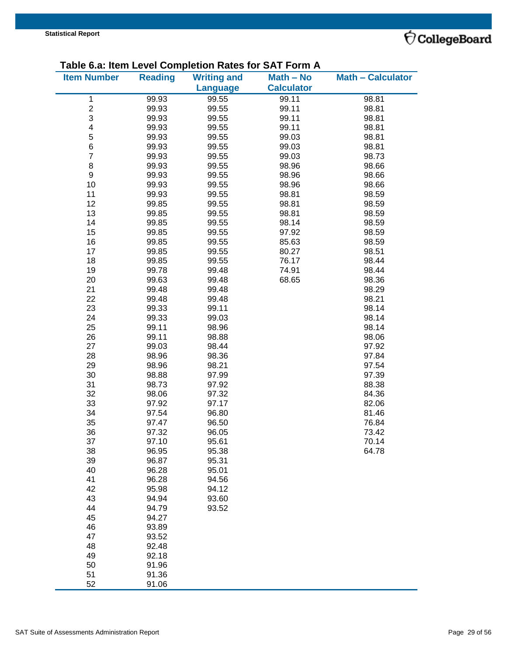

### **Table 6.a: Item Level Completion Rates for SAT Form A**

|                    |                | rabic o.a. nom Ecver Compiendii Kates for | ה ווויט ו והט     |                          |
|--------------------|----------------|-------------------------------------------|-------------------|--------------------------|
| <b>Item Number</b> | <b>Reading</b> | <b>Writing and</b>                        | Math - No         | <b>Math - Calculator</b> |
|                    |                | <b>Language</b>                           | <b>Calculator</b> |                          |
| 1                  | 99.93          | 99.55                                     | 99.11             | 98.81                    |
| $\frac{2}{3}$      | 99.93          | 99.55                                     | 99.11             | 98.81                    |
|                    | 99.93          | 99.55                                     | 99.11             | 98.81                    |
| 4                  | 99.93          | 99.55                                     | 99.11             | 98.81                    |
|                    | 99.93          | 99.55                                     | 99.03             | 98.81                    |
| $\frac{5}{6}$      | 99.93          | 99.55                                     | 99.03             | 98.81                    |
| $\overline{7}$     | 99.93          | 99.55                                     | 99.03             | 98.73                    |
| 8                  | 99.93          | 99.55                                     | 98.96             | 98.66                    |
| 9                  | 99.93          | 99.55                                     | 98.96             | 98.66                    |
|                    |                |                                           |                   |                          |
| 10                 | 99.93          | 99.55                                     | 98.96             | 98.66                    |
| 11                 | 99.93          | 99.55                                     | 98.81             | 98.59                    |
| 12                 | 99.85          | 99.55                                     | 98.81             | 98.59                    |
| 13                 | 99.85          | 99.55                                     | 98.81             | 98.59                    |
| 14                 | 99.85          | 99.55                                     | 98.14             | 98.59                    |
| 15                 | 99.85          | 99.55                                     | 97.92             | 98.59                    |
| 16                 | 99.85          | 99.55                                     | 85.63             | 98.59                    |
| 17                 | 99.85          | 99.55                                     | 80.27             | 98.51                    |
| 18                 | 99.85          | 99.55                                     | 76.17             | 98.44                    |
| 19                 | 99.78          | 99.48                                     | 74.91             | 98.44                    |
| 20                 | 99.63          | 99.48                                     | 68.65             | 98.36                    |
| 21                 | 99.48          | 99.48                                     |                   | 98.29                    |
| 22                 | 99.48          | 99.48                                     |                   | 98.21                    |
| 23                 | 99.33          | 99.11                                     |                   | 98.14                    |
| 24                 | 99.33          | 99.03                                     |                   | 98.14                    |
| 25                 | 99.11          | 98.96                                     |                   | 98.14                    |
| 26                 | 99.11          | 98.88                                     |                   | 98.06                    |
| 27                 | 99.03          | 98.44                                     |                   | 97.92                    |
| 28                 | 98.96          | 98.36                                     |                   | 97.84                    |
|                    |                |                                           |                   |                          |
| 29                 | 98.96          | 98.21                                     |                   | 97.54                    |
| 30                 | 98.88          | 97.99                                     |                   | 97.39                    |
| 31                 | 98.73          | 97.92                                     |                   | 88.38                    |
| 32                 | 98.06          | 97.32                                     |                   | 84.36                    |
| 33                 | 97.92          | 97.17                                     |                   | 82.06                    |
| 34                 | 97.54          | 96.80                                     |                   | 81.46                    |
| 35                 | 97.47          | 96.50                                     |                   | 76.84                    |
| 36                 | 97.32          | 96.05                                     |                   | 73.42                    |
| 37                 | 97.10          | 95.61                                     |                   | 70.14                    |
| 38                 | 96.95          | 95.38                                     |                   | 64.78                    |
| 39                 | 96.87          | 95.31                                     |                   |                          |
| 40                 | 96.28          | 95.01                                     |                   |                          |
| 41                 | 96.28          | 94.56                                     |                   |                          |
| 42                 | 95.98          | 94.12                                     |                   |                          |
| 43                 | 94.94          | 93.60                                     |                   |                          |
| 44                 | 94.79          | 93.52                                     |                   |                          |
| 45                 | 94.27          |                                           |                   |                          |
| 46                 | 93.89          |                                           |                   |                          |
| 47                 | 93.52          |                                           |                   |                          |
| 48                 | 92.48          |                                           |                   |                          |
| 49                 | 92.18          |                                           |                   |                          |
| 50                 | 91.96          |                                           |                   |                          |
| 51                 | 91.36          |                                           |                   |                          |
|                    |                |                                           |                   |                          |
| 52                 | 91.06          |                                           |                   |                          |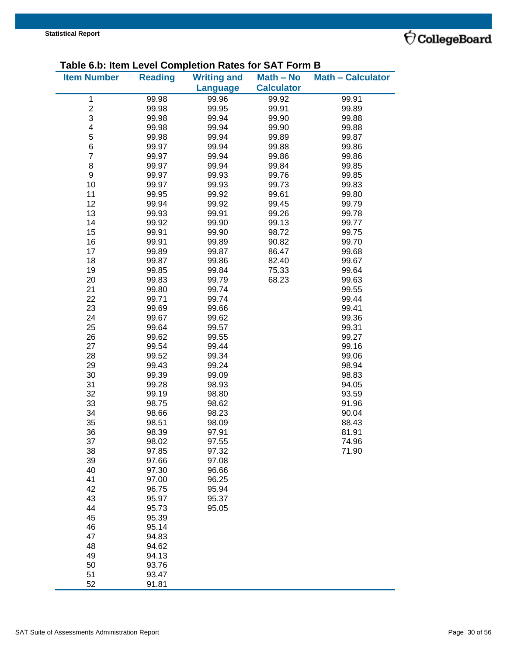

#### **Table 6.b: Item Level Completion Rates for SAT Form B**

| $\frac{1}{2}$ and $\frac{1}{2}$ . Item Level Completion Rates for OAT Form |                |                    |                   |                          |
|----------------------------------------------------------------------------|----------------|--------------------|-------------------|--------------------------|
| <b>Item Number</b>                                                         | <b>Reading</b> | <b>Writing and</b> | Math - No         | <b>Math - Calculator</b> |
|                                                                            |                | <b>Language</b>    | <b>Calculator</b> |                          |
|                                                                            |                |                    |                   |                          |
| $\mathbf 1$                                                                | 99.98          | 99.96              | 99.92             | 99.91                    |
| $\overline{\mathbf{c}}$                                                    | 99.98          | 99.95              | 99.91             | 99.89                    |
| 3                                                                          | 99.98          | 99.94              | 99.90             | 99.88                    |
| $\overline{\mathbf{4}}$                                                    | 99.98          | 99.94              | 99.90             | 99.88                    |
| 5                                                                          | 99.98          | 99.94              | 99.89             | 99.87                    |
| $\,6$                                                                      | 99.97          | 99.94              | 99.88             | 99.86                    |
| $\overline{7}$                                                             | 99.97          | 99.94              | 99.86             | 99.86                    |
| 8                                                                          | 99.97          | 99.94              | 99.84             | 99.85                    |
| $\boldsymbol{9}$                                                           | 99.97          | 99.93              | 99.76             | 99.85                    |
| 10                                                                         |                | 99.93              | 99.73             |                          |
|                                                                            | 99.97          |                    |                   | 99.83                    |
| 11                                                                         | 99.95          | 99.92              | 99.61             | 99.80                    |
| 12                                                                         | 99.94          | 99.92              | 99.45             | 99.79                    |
| 13                                                                         | 99.93          | 99.91              | 99.26             | 99.78                    |
| 14                                                                         | 99.92          | 99.90              | 99.13             | 99.77                    |
| 15                                                                         | 99.91          | 99.90              | 98.72             | 99.75                    |
| 16                                                                         | 99.91          | 99.89              | 90.82             | 99.70                    |
| 17                                                                         | 99.89          | 99.87              | 86.47             | 99.68                    |
| 18                                                                         | 99.87          | 99.86              | 82.40             | 99.67                    |
| 19                                                                         | 99.85          | 99.84              | 75.33             | 99.64                    |
| 20                                                                         | 99.83          | 99.79              | 68.23             | 99.63                    |
|                                                                            |                |                    |                   |                          |
| 21                                                                         | 99.80          | 99.74              |                   | 99.55                    |
| 22                                                                         | 99.71          | 99.74              |                   | 99.44                    |
| 23                                                                         | 99.69          | 99.66              |                   | 99.41                    |
| 24                                                                         | 99.67          | 99.62              |                   | 99.36                    |
| 25                                                                         | 99.64          | 99.57              |                   | 99.31                    |
| 26                                                                         | 99.62          | 99.55              |                   | 99.27                    |
| 27                                                                         | 99.54          | 99.44              |                   | 99.16                    |
| 28                                                                         | 99.52          | 99.34              |                   | 99.06                    |
| 29                                                                         | 99.43          | 99.24              |                   | 98.94                    |
| 30                                                                         | 99.39          | 99.09              |                   | 98.83                    |
| 31                                                                         | 99.28          | 98.93              |                   | 94.05                    |
|                                                                            |                |                    |                   |                          |
| 32                                                                         | 99.19          | 98.80              |                   | 93.59                    |
| 33                                                                         | 98.75          | 98.62              |                   | 91.96                    |
| 34                                                                         | 98.66          | 98.23              |                   | 90.04                    |
| 35                                                                         | 98.51          | 98.09              |                   | 88.43                    |
| 36                                                                         | 98.39          | 97.91              |                   | 81.91                    |
| 37                                                                         | 98.02          | 97.55              |                   | 74.96                    |
| 38                                                                         | 97.85          | 97.32              |                   | 71.90                    |
| 39                                                                         | 97.66          | 97.08              |                   |                          |
| 40                                                                         | 97.30          | 96.66              |                   |                          |
| 41                                                                         | 97.00          | 96.25              |                   |                          |
| 42                                                                         |                |                    |                   |                          |
|                                                                            | 96.75          | 95.94              |                   |                          |
| 43                                                                         | 95.97          | 95.37              |                   |                          |
| 44                                                                         | 95.73          | 95.05              |                   |                          |
| 45                                                                         | 95.39          |                    |                   |                          |
| 46                                                                         | 95.14          |                    |                   |                          |
| 47                                                                         | 94.83          |                    |                   |                          |
| 48                                                                         | 94.62          |                    |                   |                          |
| 49                                                                         | 94.13          |                    |                   |                          |
| 50                                                                         | 93.76          |                    |                   |                          |
| 51                                                                         | 93.47          |                    |                   |                          |
| 52                                                                         | 91.81          |                    |                   |                          |
|                                                                            |                |                    |                   |                          |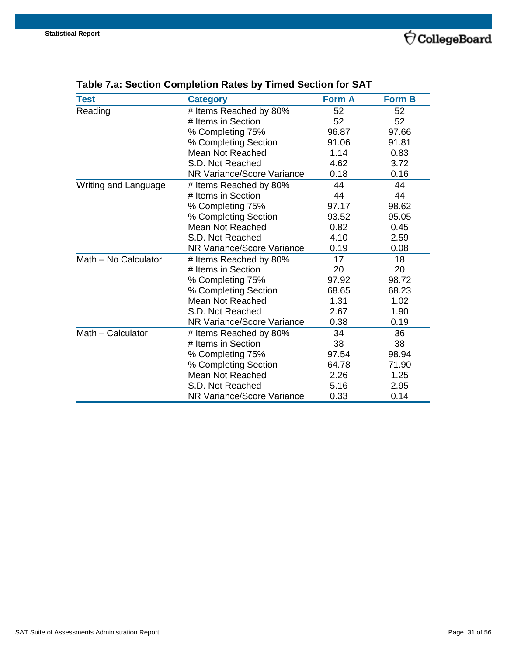| <b>Test</b>          | <b>Category</b>                   | <b>Form A</b> | <b>Form B</b> |
|----------------------|-----------------------------------|---------------|---------------|
| Reading              | # Items Reached by 80%            | 52            | 52            |
|                      | # Items in Section                | 52            | 52            |
|                      | % Completing 75%                  | 96.87         | 97.66         |
|                      | % Completing Section              | 91.06         | 91.81         |
|                      | <b>Mean Not Reached</b>           | 1.14          | 0.83          |
|                      | S.D. Not Reached                  | 4.62          | 3.72          |
|                      | <b>NR Variance/Score Variance</b> | 0.18          | 0.16          |
| Writing and Language | # Items Reached by 80%            | 44            | 44            |
|                      | # Items in Section                | 44            | 44            |
|                      | % Completing 75%                  | 97.17         | 98.62         |
|                      | % Completing Section              | 93.52         | 95.05         |
|                      | <b>Mean Not Reached</b>           | 0.82          | 0.45          |
|                      | S.D. Not Reached                  | 4.10          | 2.59          |
|                      | <b>NR Variance/Score Variance</b> | 0.19          | 0.08          |
| Math - No Calculator | # Items Reached by 80%            | 17            | 18            |
|                      | # Items in Section                | 20            | 20            |
|                      | % Completing 75%                  | 97.92         | 98.72         |
|                      | % Completing Section              | 68.65         | 68.23         |
|                      | <b>Mean Not Reached</b>           | 1.31          | 1.02          |
|                      | S.D. Not Reached                  | 2.67          | 1.90          |
|                      | NR Variance/Score Variance        | 0.38          | 0.19          |
| Math - Calculator    | # Items Reached by 80%            | 34            | 36            |
|                      | # Items in Section                | 38            | 38            |
|                      | % Completing 75%                  | 97.54         | 98.94         |
|                      | % Completing Section              | 64.78         | 71.90         |
|                      | <b>Mean Not Reached</b>           | 2.26          | 1.25          |
|                      | S.D. Not Reached                  | 5.16          | 2.95          |
|                      | <b>NR Variance/Score Variance</b> | 0.33          | 0.14          |

## <span id="page-30-0"></span>**Table 7.a: Section Completion Rates by Timed Section for SAT**

 $\acute{\bigtriangledown}$  CollegeBoard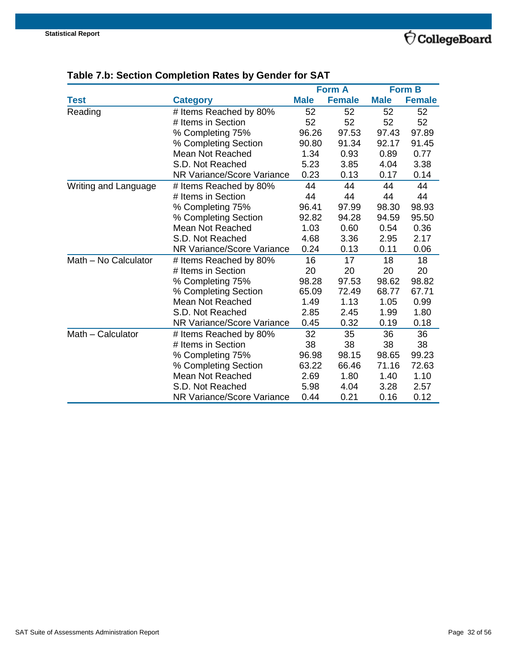## $\acute{\bigtriangledown}$  CollegeBoard

|                      |                                   |             | <b>Form A</b> |             | <b>Form B</b> |
|----------------------|-----------------------------------|-------------|---------------|-------------|---------------|
| <b>Test</b>          | <b>Category</b>                   | <b>Male</b> | <b>Female</b> | <b>Male</b> | <b>Female</b> |
| Reading              | # Items Reached by 80%            | 52          | 52            | 52          | 52            |
|                      | # Items in Section                | 52          | 52            | 52          | 52            |
|                      | % Completing 75%                  | 96.26       | 97.53         | 97.43       | 97.89         |
|                      | % Completing Section              | 90.80       | 91.34         | 92.17       | 91.45         |
|                      | Mean Not Reached                  | 1.34        | 0.93          | 0.89        | 0.77          |
|                      | S.D. Not Reached                  | 5.23        | 3.85          | 4.04        | 3.38          |
|                      | <b>NR Variance/Score Variance</b> | 0.23        | 0.13          | 0.17        | 0.14          |
| Writing and Language | # Items Reached by 80%            | 44          | 44            | 44          | 44            |
|                      | # Items in Section                | 44          | 44            | 44          | 44            |
|                      | % Completing 75%                  | 96.41       | 97.99         | 98.30       | 98.93         |
|                      | % Completing Section              | 92.82       | 94.28         | 94.59       | 95.50         |
|                      | <b>Mean Not Reached</b>           | 1.03        | 0.60          | 0.54        | 0.36          |
|                      | S.D. Not Reached                  | 4.68        | 3.36          | 2.95        | 2.17          |
|                      | NR Variance/Score Variance        | 0.24        | 0.13          | 0.11        | 0.06          |
| Math - No Calculator | # Items Reached by 80%            | 16          | 17            | 18          | 18            |
|                      | # Items in Section                | 20          | 20            | 20          | 20            |
|                      | % Completing 75%                  | 98.28       | 97.53         | 98.62       | 98.82         |
|                      | % Completing Section              | 65.09       | 72.49         | 68.77       | 67.71         |
|                      | Mean Not Reached                  | 1.49        | 1.13          | 1.05        | 0.99          |
|                      | S.D. Not Reached                  | 2.85        | 2.45          | 1.99        | 1.80          |
|                      | NR Variance/Score Variance        | 0.45        | 0.32          | 0.19        | 0.18          |
| Math - Calculator    | # Items Reached by 80%            | 32          | 35            | 36          | 36            |
|                      | # Items in Section                | 38          | 38            | 38          | 38            |
|                      | % Completing 75%                  | 96.98       | 98.15         | 98.65       | 99.23         |
|                      | % Completing Section              | 63.22       | 66.46         | 71.16       | 72.63         |
|                      | <b>Mean Not Reached</b>           | 2.69        | 1.80          | 1.40        | 1.10          |
|                      | S.D. Not Reached                  | 5.98        | 4.04          | 3.28        | 2.57          |
|                      | <b>NR Variance/Score Variance</b> | 0.44        | 0.21          | 0.16        | 0.12          |

## <span id="page-31-0"></span>**Table 7.b: Section Completion Rates by Gender for SAT**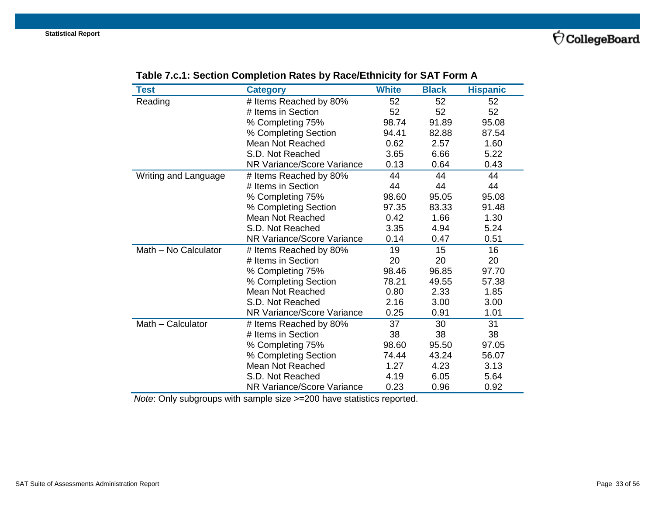<span id="page-32-0"></span>

| Test                 | <b>Category</b>                   | <b>White</b> | <b>Black</b> | <b>Hispanic</b> |
|----------------------|-----------------------------------|--------------|--------------|-----------------|
| Reading              | # Items Reached by 80%            | 52           | 52           | 52              |
|                      | # Items in Section                | 52           | 52           | 52              |
|                      | % Completing 75%                  | 98.74        | 91.89        | 95.08           |
|                      | % Completing Section              | 94.41        | 82.88        | 87.54           |
|                      | Mean Not Reached                  | 0.62         | 2.57         | 1.60            |
|                      | S.D. Not Reached                  | 3.65         | 6.66         | 5.22            |
|                      | <b>NR Variance/Score Variance</b> | 0.13         | 0.64         | 0.43            |
| Writing and Language | # Items Reached by 80%            | 44           | 44           | 44              |
|                      | # Items in Section                | 44           | 44           | 44              |
|                      | % Completing 75%                  | 98.60        | 95.05        | 95.08           |
|                      | % Completing Section              | 97.35        | 83.33        | 91.48           |
|                      | Mean Not Reached                  | 0.42         | 1.66         | 1.30            |
|                      | S.D. Not Reached                  | 3.35         | 4.94         | 5.24            |
|                      | NR Variance/Score Variance        | 0.14         | 0.47         | 0.51            |
| Math - No Calculator | # Items Reached by 80%            | 19           | 15           | 16              |
|                      | # Items in Section                | 20           | 20           | 20              |
|                      | % Completing 75%                  | 98.46        | 96.85        | 97.70           |
|                      | % Completing Section              | 78.21        | 49.55        | 57.38           |
|                      | <b>Mean Not Reached</b>           | 0.80         | 2.33         | 1.85            |
|                      | S.D. Not Reached                  | 2.16         | 3.00         | 3.00            |
|                      | NR Variance/Score Variance        | 0.25         | 0.91         | 1.01            |
| Math - Calculator    | # Items Reached by 80%            | 37           | 30           | 31              |
|                      | # Items in Section                | 38           | 38           | 38              |
|                      | % Completing 75%                  | 98.60        | 95.50        | 97.05           |
|                      | % Completing Section              | 74.44        | 43.24        | 56.07           |
|                      | <b>Mean Not Reached</b>           | 1.27         | 4.23         | 3.13            |
|                      | S.D. Not Reached                  | 4.19         | 6.05         | 5.64            |
|                      | <b>NR Variance/Score Variance</b> | 0.23         | 0.96         | 0.92            |

## **Table 7.c.1: Section Completion Rates by Race/Ethnicity for SAT Form A**

*Note*: Only subgroups with sample size >=200 have statistics reported.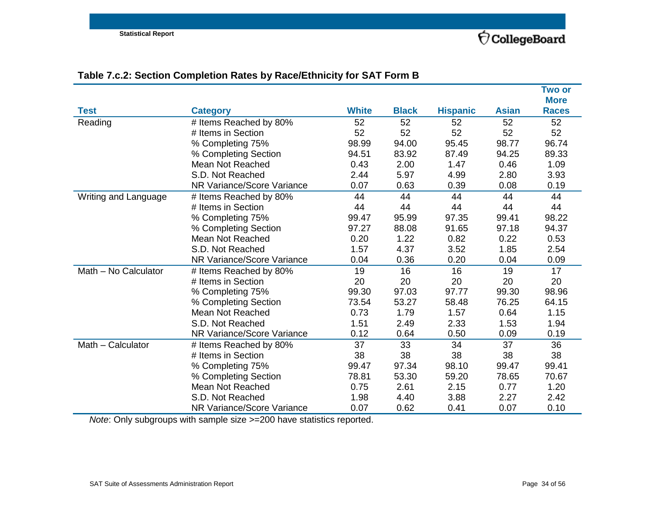<span id="page-33-0"></span>

|                      |                            |              |              |                 |              | <b>Two or</b>               |
|----------------------|----------------------------|--------------|--------------|-----------------|--------------|-----------------------------|
| <b>Test</b>          | <b>Category</b>            | <b>White</b> | <b>Black</b> | <b>Hispanic</b> | <b>Asian</b> | <b>More</b><br><b>Races</b> |
| Reading              | # Items Reached by 80%     | 52           | 52           | 52              | 52           | 52                          |
|                      | # Items in Section         | 52           | 52           | 52              | 52           | 52                          |
|                      | % Completing 75%           | 98.99        | 94.00        | 95.45           | 98.77        | 96.74                       |
|                      | % Completing Section       | 94.51        | 83.92        | 87.49           | 94.25        | 89.33                       |
|                      | Mean Not Reached           | 0.43         | 2.00         | 1.47            | 0.46         | 1.09                        |
|                      | S.D. Not Reached           | 2.44         | 5.97         | 4.99            | 2.80         | 3.93                        |
|                      | NR Variance/Score Variance | 0.07         | 0.63         | 0.39            | 0.08         | 0.19                        |
| Writing and Language | # Items Reached by 80%     | 44           | 44           | 44              | 44           | 44                          |
|                      | # Items in Section         | 44           | 44           | 44              | 44           | 44                          |
|                      | % Completing 75%           | 99.47        | 95.99        | 97.35           | 99.41        | 98.22                       |
|                      | % Completing Section       | 97.27        | 88.08        | 91.65           | 97.18        | 94.37                       |
|                      | Mean Not Reached           | 0.20         | 1.22         | 0.82            | 0.22         | 0.53                        |
|                      | S.D. Not Reached           | 1.57         | 4.37         | 3.52            | 1.85         | 2.54                        |
|                      | NR Variance/Score Variance | 0.04         | 0.36         | 0.20            | 0.04         | 0.09                        |
| Math - No Calculator | # Items Reached by 80%     | 19           | 16           | 16              | 19           | 17                          |
|                      | # Items in Section         | 20           | 20           | 20              | 20           | 20                          |
|                      | % Completing 75%           | 99.30        | 97.03        | 97.77           | 99.30        | 98.96                       |
|                      | % Completing Section       | 73.54        | 53.27        | 58.48           | 76.25        | 64.15                       |
|                      | Mean Not Reached           | 0.73         | 1.79         | 1.57            | 0.64         | 1.15                        |
|                      | S.D. Not Reached           | 1.51         | 2.49         | 2.33            | 1.53         | 1.94                        |
|                      | NR Variance/Score Variance | 0.12         | 0.64         | 0.50            | 0.09         | 0.19                        |
| Math - Calculator    | # Items Reached by 80%     | 37           | 33           | 34              | 37           | 36                          |
|                      | # Items in Section         | 38           | 38           | 38              | 38           | 38                          |
|                      | % Completing 75%           | 99.47        | 97.34        | 98.10           | 99.47        | 99.41                       |
|                      | % Completing Section       | 78.81        | 53.30        | 59.20           | 78.65        | 70.67                       |
|                      | <b>Mean Not Reached</b>    | 0.75         | 2.61         | 2.15            | 0.77         | 1.20                        |
|                      | S.D. Not Reached           | 1.98         | 4.40         | 3.88            | 2.27         | 2.42                        |
|                      | NR Variance/Score Variance | 0.07         | 0.62         | 0.41            | 0.07         | 0.10                        |

## **Table 7.c.2: Section Completion Rates by Race/Ethnicity for SAT Form B**

*Note*: Only subgroups with sample size >=200 have statistics reported.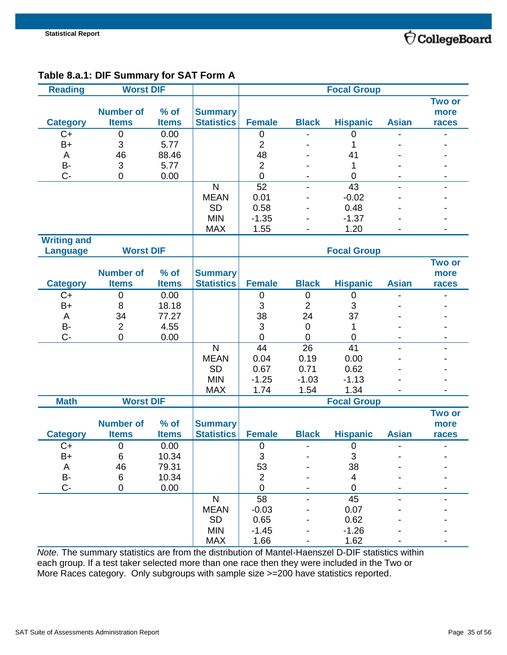

## <span id="page-34-0"></span>**Table 8.a.1: DIF Summary for SAT Form A**

| <b>Reading</b>      | <b>Worst DIF</b> |              |                   |                           |                          | <b>Focal Group</b> |                |                |
|---------------------|------------------|--------------|-------------------|---------------------------|--------------------------|--------------------|----------------|----------------|
|                     |                  |              |                   |                           |                          |                    |                | <b>Two or</b>  |
|                     | <b>Number of</b> | $%$ of       | <b>Summary</b>    |                           |                          |                    |                | more           |
| <b>Category</b>     | <b>Items</b>     | <b>Items</b> | <b>Statistics</b> | <b>Female</b>             | <b>Black</b>             | <b>Hispanic</b>    | <b>Asian</b>   | races          |
| $C+$                | 0                | 0.00         |                   | $\boldsymbol{0}$          |                          | $\overline{0}$     |                |                |
| $B+$                | 3                | 5.77         |                   | $\overline{2}$            |                          | 1                  |                |                |
| A                   | 46               | 88.46        |                   | 48                        |                          | 41                 |                |                |
| B-                  | 3                | 5.77         |                   | $\overline{2}$            |                          | 1                  |                |                |
| $C -$               | 0                | 0.00         |                   | $\mathbf 0$               |                          | $\mathbf 0$        |                |                |
|                     |                  |              | N                 | 52                        |                          | 43                 |                |                |
|                     |                  |              | <b>MEAN</b>       | 0.01                      |                          | $-0.02$            |                |                |
|                     |                  |              | <b>SD</b>         | 0.58                      |                          | 0.48               |                |                |
|                     |                  |              | <b>MIN</b>        | $-1.35$                   |                          | $-1.37$            |                |                |
|                     |                  |              | <b>MAX</b>        | 1.55                      |                          | 1.20               |                |                |
| <b>Writing and</b>  |                  |              |                   |                           |                          |                    |                |                |
| <b>Language</b>     | <b>Worst DIF</b> |              |                   |                           |                          | <b>Focal Group</b> |                |                |
|                     |                  |              |                   |                           |                          |                    |                | <b>Two or</b>  |
|                     | <b>Number of</b> | $%$ of       | <b>Summary</b>    |                           |                          |                    |                | more           |
| <b>Category</b>     | <b>Items</b>     | <b>Items</b> | <b>Statistics</b> | <b>Female</b>             | <b>Black</b>             | <b>Hispanic</b>    | <b>Asian</b>   | races          |
| $C+$                | $\pmb{0}$        | 0.00         |                   | $\mathbf 0$               | $\boldsymbol{0}$         | $\mathbf 0$        |                |                |
| B+                  | 8                | 18.18        |                   | 3                         | $\overline{2}$           | 3                  |                |                |
| A                   | 34               | 77.27        |                   | 38                        | 24                       | 37                 |                |                |
| B-                  | $\overline{2}$   | 4.55         |                   | 3                         | $\mathbf 0$              | 1                  |                |                |
| $C -$               | 0                | 0.00         |                   | $\overline{0}$            | $\overline{0}$           | 0                  |                |                |
|                     |                  |              | $\mathsf{N}$      | 44                        | 26                       | 41                 |                |                |
|                     |                  |              | <b>MEAN</b>       | 0.04                      | 0.19                     | 0.00               |                |                |
|                     |                  |              | <b>SD</b>         | 0.67                      | 0.71                     | 0.62               |                |                |
|                     |                  |              | <b>MIN</b>        | $-1.25$                   | $-1.03$                  | $-1.13$            |                |                |
|                     |                  |              | <b>MAX</b>        | 1.74                      | 1.54                     | 1.34               |                |                |
| <b>Math</b>         | <b>Worst DIF</b> |              |                   |                           |                          | <b>Focal Group</b> |                |                |
|                     |                  |              |                   |                           |                          |                    |                | <b>Two or</b>  |
|                     | <b>Number of</b> | $%$ of       | <b>Summary</b>    |                           |                          |                    |                | more           |
| <b>Category</b>     | <b>Items</b>     | <b>Items</b> | <b>Statistics</b> | <b>Female</b>             | <b>Black</b>             | <b>Hispanic</b>    | <b>Asian</b>   | races          |
| $C+$                | $\mathbf 0$      | 0.00         |                   | $\mathbf 0$               | $\overline{\phantom{0}}$ | $\mathbf 0$        | $\overline{a}$ | $\blacksquare$ |
| B+                  | 6                | 10.34        |                   | $\ensuremath{\mathsf{3}}$ |                          | $\sqrt{3}$         |                |                |
| A                   | 46               | 79.31        |                   | 53                        |                          | 38                 |                |                |
| $\mathsf B\text{-}$ | 6                | 10.34        |                   | $\overline{2}$            |                          | 4                  |                |                |
| $C -$               | $\mathsf 0$      | 0.00         |                   | $\mathbf 0$               |                          | $\mathbf 0$        |                |                |
|                     |                  |              | $\mathsf{N}$      | $\overline{58}$           |                          | 45                 |                |                |
|                     |                  |              | <b>MEAN</b>       | $-0.03$                   |                          | 0.07               |                |                |
|                     |                  |              | <b>SD</b>         | 0.65                      |                          | 0.62               |                |                |
|                     |                  |              | <b>MIN</b>        | $-1.45$                   |                          | $-1.26$            |                |                |
|                     |                  |              | <b>MAX</b>        | 1.66                      |                          | 1.62               |                |                |

*Note.* The summary statistics are from the distribution of Mantel-Haenszel D-DIF statistics within each group. If a test taker selected more than one race then they were included in the Two or More Races category. Only subgroups with sample size >=200 have statistics reported.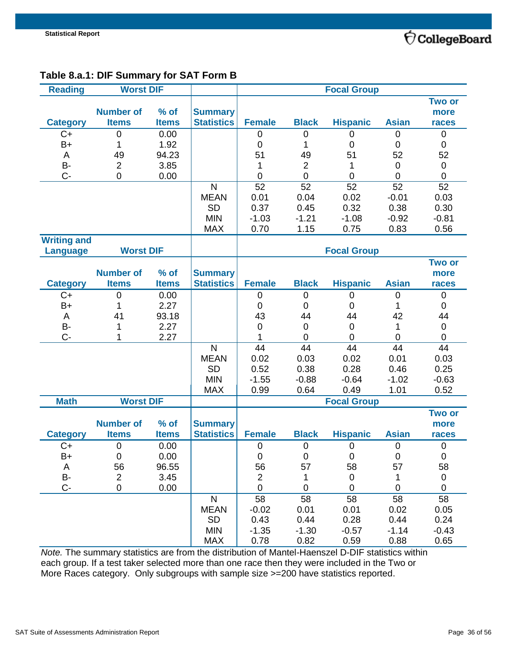

## <span id="page-35-0"></span>**Table 8.a.1: DIF Summary for SAT Form B**

| <b>Reading</b>     | <b>Worst DIF</b> |              |                   |                  |                | <b>Focal Group</b> |                |                |
|--------------------|------------------|--------------|-------------------|------------------|----------------|--------------------|----------------|----------------|
|                    |                  |              |                   |                  |                |                    |                | <b>Two or</b>  |
|                    | <b>Number of</b> | $%$ of       | <b>Summary</b>    |                  |                |                    |                | more           |
| <b>Category</b>    | <b>Items</b>     | <b>Items</b> | <b>Statistics</b> | <b>Female</b>    | <b>Black</b>   | <b>Hispanic</b>    | <b>Asian</b>   | races          |
| $C+$               | 0                | 0.00         |                   | $\boldsymbol{0}$ | $\mathbf 0$    | 0                  | $\mathbf 0$    | $\mathbf 0$    |
| B+                 | 1                | 1.92         |                   | $\overline{0}$   | 1              | $\overline{0}$     | $\overline{0}$ | 0              |
| A                  | 49               | 94.23        |                   | 51               | 49             | 51                 | 52             | 52             |
| B-                 | $\overline{2}$   | 3.85         |                   | 1                | $\overline{2}$ | 1                  | $\overline{0}$ | 0              |
| $C -$              | 0                | 0.00         |                   | $\boldsymbol{0}$ | $\mathbf 0$    | $\mathbf 0$        | $\mathbf 0$    | 0              |
|                    |                  |              | $\mathsf{N}$      | 52               | 52             | 52                 | 52             | 52             |
|                    |                  |              | <b>MEAN</b>       | 0.01             | 0.04           | 0.02               | $-0.01$        | 0.03           |
|                    |                  |              | <b>SD</b>         | 0.37             | 0.45           | 0.32               | 0.38           | 0.30           |
|                    |                  |              | <b>MIN</b>        | $-1.03$          | $-1.21$        | $-1.08$            | $-0.92$        | $-0.81$        |
|                    |                  |              | <b>MAX</b>        | 0.70             | 1.15           | 0.75               | 0.83           | 0.56           |
| <b>Writing and</b> |                  |              |                   |                  |                |                    |                |                |
| <b>Language</b>    | <b>Worst DIF</b> |              |                   |                  |                | <b>Focal Group</b> |                |                |
|                    |                  |              |                   |                  |                |                    |                | <b>Two or</b>  |
|                    | <b>Number of</b> | $%$ of       | <b>Summary</b>    |                  |                |                    |                | more           |
| <b>Category</b>    | <b>Items</b>     | <b>Items</b> | <b>Statistics</b> | <b>Female</b>    | <b>Black</b>   | <b>Hispanic</b>    | <b>Asian</b>   | races          |
| $C+$               | 0                | 0.00         |                   | $\pmb{0}$        | 0              | 0                  | $\pmb{0}$      | 0              |
| $B+$               | 1                | 2.27         |                   | 0                | 0              | 0                  | 1              | 0              |
| A                  | 41               | 93.18        |                   | 43               | 44             | 44                 | 42             | 44             |
| <b>B-</b>          | 1                | 2.27         |                   | 0                | 0              | 0                  | 1              | $\mathbf 0$    |
| $C -$              | 1                | 2.27         |                   | 1                | $\overline{0}$ | $\overline{0}$     | $\overline{0}$ | 0              |
|                    |                  |              | $\mathsf{N}$      | 44               | 44             | 44                 | 44             | 44             |
|                    |                  |              | <b>MEAN</b>       | 0.02             | 0.03           | 0.02               | 0.01           | 0.03           |
|                    |                  |              | <b>SD</b>         | 0.52             | 0.38           | 0.28               | 0.46           | 0.25           |
|                    |                  |              | <b>MIN</b>        | $-1.55$          | $-0.88$        | $-0.64$            | $-1.02$        | $-0.63$        |
|                    |                  |              | <b>MAX</b>        | 0.99             | 0.64           | 0.49               | 1.01           | 0.52           |
| <b>Math</b>        | <b>Worst DIF</b> |              |                   |                  |                | <b>Focal Group</b> |                |                |
|                    |                  |              |                   |                  |                |                    |                | <b>Two or</b>  |
|                    | <b>Number of</b> | $%$ of       | <b>Summary</b>    |                  |                |                    |                | more           |
| <b>Category</b>    | <b>Items</b>     | <b>Items</b> | <b>Statistics</b> | <b>Female</b>    | <b>Black</b>   | <b>Hispanic</b>    | <b>Asian</b>   | races          |
| $C+$               | 0                | 0.00         |                   | $\mathbf 0$      | $\mathbf 0$    | $\mathbf 0$        | $\mathbf 0$    | $\mathbf 0$    |
| B+                 | 0                | 0.00         |                   | 0                | $\mathbf 0$    | $\mathbf 0$        | $\mathbf 0$    | $\mathbf 0$    |
| A                  | 56               | 96.55        |                   | 56               | 57             | 58                 | 57             | 58             |
| B-                 | $\overline{c}$   | 3.45         |                   | $\overline{2}$   | 1              | 0                  | 1              | 0              |
| C-                 | 0                | 0.00         |                   | $\mathbf 0$      | $\mathbf 0$    | $\overline{0}$     | $\mathbf 0$    | $\overline{0}$ |
|                    |                  |              | $\mathsf{N}$      | 58               | 58             | 58                 | 58             | 58             |
|                    |                  |              | <b>MEAN</b>       | $-0.02$          | 0.01           | 0.01               | 0.02           | 0.05           |
|                    |                  |              | <b>SD</b>         | 0.43             | 0.44           | 0.28               | 0.44           | 0.24           |
|                    |                  |              | <b>MIN</b>        | $-1.35$          | $-1.30$        | $-0.57$            | $-1.14$        | $-0.43$        |
|                    |                  |              | <b>MAX</b>        | 0.78             | 0.82           | 0.59               | 0.88           | 0.65           |

*Note.* The summary statistics are from the distribution of Mantel-Haenszel D-DIF statistics within each group. If a test taker selected more than one race then they were included in the Two or More Races category. Only subgroups with sample size >=200 have statistics reported.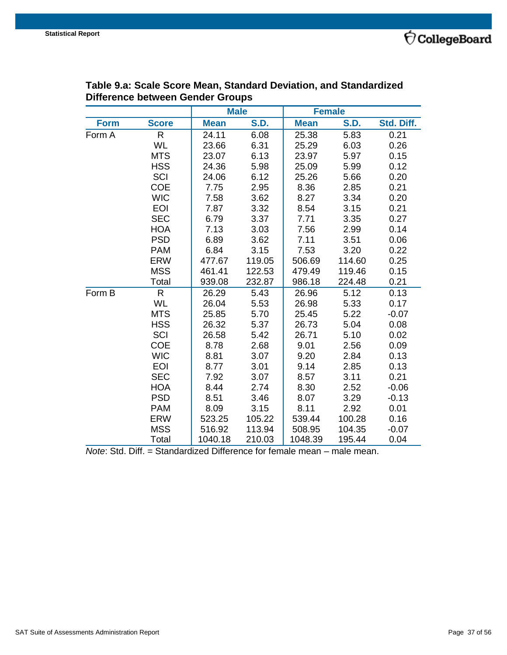

|             |              | <b>Male</b> |             |             | <b>Female</b> |            |
|-------------|--------------|-------------|-------------|-------------|---------------|------------|
| <b>Form</b> | <b>Score</b> | <b>Mean</b> | <b>S.D.</b> | <b>Mean</b> | <b>S.D.</b>   | Std. Diff. |
| Form A      | R            | 24.11       | 6.08        | 25.38       | 5.83          | 0.21       |
|             | <b>WL</b>    | 23.66       | 6.31        | 25.29       | 6.03          | 0.26       |
|             | <b>MTS</b>   | 23.07       | 6.13        | 23.97       | 5.97          | 0.15       |
|             | <b>HSS</b>   | 24.36       | 5.98        | 25.09       | 5.99          | 0.12       |
|             | SCI          | 24.06       | 6.12        | 25.26       | 5.66          | 0.20       |
|             | <b>COE</b>   | 7.75        | 2.95        | 8.36        | 2.85          | 0.21       |
|             | <b>WIC</b>   | 7.58        | 3.62        | 8.27        | 3.34          | 0.20       |
|             | <b>EOI</b>   | 7.87        | 3.32        | 8.54        | 3.15          | 0.21       |
|             | <b>SEC</b>   | 6.79        | 3.37        | 7.71        | 3.35          | 0.27       |
|             | <b>HOA</b>   | 7.13        | 3.03        | 7.56        | 2.99          | 0.14       |
|             | <b>PSD</b>   | 6.89        | 3.62        | 7.11        | 3.51          | 0.06       |
|             | <b>PAM</b>   | 6.84        | 3.15        | 7.53        | 3.20          | 0.22       |
|             | <b>ERW</b>   | 477.67      | 119.05      | 506.69      | 114.60        | 0.25       |
|             | <b>MSS</b>   | 461.41      | 122.53      | 479.49      | 119.46        | 0.15       |
|             | Total        | 939.08      | 232.87      | 986.18      | 224.48        | 0.21       |
| Form B      | R            | 26.29       | 5.43        | 26.96       | 5.12          | 0.13       |
|             | <b>WL</b>    | 26.04       | 5.53        | 26.98       | 5.33          | 0.17       |
|             | <b>MTS</b>   | 25.85       | 5.70        | 25.45       | 5.22          | $-0.07$    |
|             | <b>HSS</b>   | 26.32       | 5.37        | 26.73       | 5.04          | 0.08       |
|             | SCI          | 26.58       | 5.42        | 26.71       | 5.10          | 0.02       |
|             | <b>COE</b>   | 8.78        | 2.68        | 9.01        | 2.56          | 0.09       |
|             | <b>WIC</b>   | 8.81        | 3.07        | 9.20        | 2.84          | 0.13       |
|             | <b>EOI</b>   | 8.77        | 3.01        | 9.14        | 2.85          | 0.13       |
|             | <b>SEC</b>   | 7.92        | 3.07        | 8.57        | 3.11          | 0.21       |
|             | <b>HOA</b>   | 8.44        | 2.74        | 8.30        | 2.52          | $-0.06$    |
|             | <b>PSD</b>   | 8.51        | 3.46        | 8.07        | 3.29          | $-0.13$    |
|             | <b>PAM</b>   | 8.09        | 3.15        | 8.11        | 2.92          | 0.01       |
|             | <b>ERW</b>   | 523.25      | 105.22      | 539.44      | 100.28        | 0.16       |
|             | <b>MSS</b>   | 516.92      | 113.94      | 508.95      | 104.35        | $-0.07$    |
|             | Total        | 1040.18     | 210.03      | 1048.39     | 195.44        | 0.04       |

#### <span id="page-36-0"></span>**Table 9.a: Scale Score Mean, Standard Deviation, and Standardized Difference between Gender Groups**

*Note*: Std. Diff. = Standardized Difference for female mean – male mean.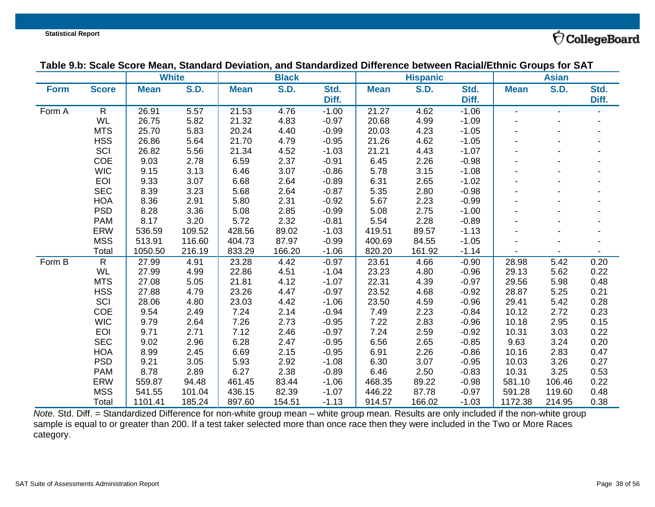$\acute{\nabla}$ CollegeBoard

| Table 9.b: Scale Score Mean, Standard Deviation, and Standardized Difference between Racial/Ethnic Groups for SAT |  |
|-------------------------------------------------------------------------------------------------------------------|--|
|                                                                                                                   |  |

|             |                | <b>White</b> |             |             | <b>Black</b> |         |             | <b>Hispanic</b> |         |                | <b>Asian</b> |       |
|-------------|----------------|--------------|-------------|-------------|--------------|---------|-------------|-----------------|---------|----------------|--------------|-------|
| <b>Form</b> | <b>Score</b>   | <b>Mean</b>  | <b>S.D.</b> | <b>Mean</b> | <b>S.D.</b>  | Std.    | <b>Mean</b> | <b>S.D.</b>     | Std.    | <b>Mean</b>    | <b>S.D.</b>  | Std.  |
|             |                |              |             |             |              | Diff.   |             |                 | Diff.   |                |              | Diff. |
| Form A      | $\mathsf{R}$   | 26.91        | 5.57        | 21.53       | 4.76         | $-1.00$ | 21.27       | 4.62            | $-1.06$ | $\blacksquare$ |              |       |
|             | WL             | 26.75        | 5.82        | 21.32       | 4.83         | $-0.97$ | 20.68       | 4.99            | $-1.09$ |                |              |       |
|             | <b>MTS</b>     | 25.70        | 5.83        | 20.24       | 4.40         | $-0.99$ | 20.03       | 4.23            | $-1.05$ |                |              |       |
|             | <b>HSS</b>     | 26.86        | 5.64        | 21.70       | 4.79         | $-0.95$ | 21.26       | 4.62            | $-1.05$ |                |              |       |
|             | SCI            | 26.82        | 5.56        | 21.34       | 4.52         | $-1.03$ | 21.21       | 4.43            | $-1.07$ |                |              |       |
|             | COE            | 9.03         | 2.78        | 6.59        | 2.37         | $-0.91$ | 6.45        | 2.26            | $-0.98$ |                |              |       |
|             | <b>WIC</b>     | 9.15         | 3.13        | 6.46        | 3.07         | $-0.86$ | 5.78        | 3.15            | $-1.08$ |                |              |       |
|             | <b>EOI</b>     | 9.33         | 3.07        | 6.68        | 2.64         | $-0.89$ | 6.31        | 2.65            | $-1.02$ |                |              |       |
|             | <b>SEC</b>     | 8.39         | 3.23        | 5.68        | 2.64         | $-0.87$ | 5.35        | 2.80            | $-0.98$ |                |              |       |
|             | <b>HOA</b>     | 8.36         | 2.91        | 5.80        | 2.31         | $-0.92$ | 5.67        | 2.23            | $-0.99$ |                |              |       |
|             | <b>PSD</b>     | 8.28         | 3.36        | 5.08        | 2.85         | $-0.99$ | 5.08        | 2.75            | $-1.00$ |                |              |       |
|             | <b>PAM</b>     | 8.17         | 3.20        | 5.72        | 2.32         | $-0.81$ | 5.54        | 2.28            | $-0.89$ |                |              |       |
|             | <b>ERW</b>     | 536.59       | 109.52      | 428.56      | 89.02        | $-1.03$ | 419.51      | 89.57           | $-1.13$ |                |              |       |
|             | <b>MSS</b>     | 513.91       | 116.60      | 404.73      | 87.97        | $-0.99$ | 400.69      | 84.55           | $-1.05$ |                |              |       |
|             | Total          | 1050.50      | 216.19      | 833.29      | 166.20       | $-1.06$ | 820.20      | 161.92          | $-1.14$ |                |              |       |
| Form B      | $\overline{R}$ | 27.99        | 4.91        | 23.28       | 4.42         | $-0.97$ | 23.61       | 4.66            | $-0.90$ | 28.98          | 5.42         | 0.20  |
|             | <b>WL</b>      | 27.99        | 4.99        | 22.86       | 4.51         | $-1.04$ | 23.23       | 4.80            | $-0.96$ | 29.13          | 5.62         | 0.22  |
|             | <b>MTS</b>     | 27.08        | 5.05        | 21.81       | 4.12         | $-1.07$ | 22.31       | 4.39            | $-0.97$ | 29.56          | 5.98         | 0.48  |
|             | <b>HSS</b>     | 27.88        | 4.79        | 23.26       | 4.47         | $-0.97$ | 23.52       | 4.68            | $-0.92$ | 28.87          | 5.25         | 0.21  |
|             | SCI            | 28.06        | 4.80        | 23.03       | 4.42         | $-1.06$ | 23.50       | 4.59            | $-0.96$ | 29.41          | 5.42         | 0.28  |
|             | COE            | 9.54         | 2.49        | 7.24        | 2.14         | $-0.94$ | 7.49        | 2.23            | $-0.84$ | 10.12          | 2.72         | 0.23  |
|             | <b>WIC</b>     | 9.79         | 2.64        | 7.26        | 2.73         | $-0.95$ | 7.22        | 2.83            | $-0.96$ | 10.18          | 2.95         | 0.15  |
|             | <b>EOI</b>     | 9.71         | 2.71        | 7.12        | 2.46         | $-0.97$ | 7.24        | 2.59            | $-0.92$ | 10.31          | 3.03         | 0.22  |
|             | <b>SEC</b>     | 9.02         | 2.96        | 6.28        | 2.47         | $-0.95$ | 6.56        | 2.65            | $-0.85$ | 9.63           | 3.24         | 0.20  |
|             | <b>HOA</b>     | 8.99         | 2.45        | 6.69        | 2.15         | $-0.95$ | 6.91        | 2.26            | $-0.86$ | 10.16          | 2.83         | 0.47  |
|             | <b>PSD</b>     | 9.21         | 3.05        | 5.93        | 2.92         | $-1.08$ | 6.30        | 3.07            | $-0.95$ | 10.03          | 3.26         | 0.27  |
|             | <b>PAM</b>     | 8.78         | 2.89        | 6.27        | 2.38         | $-0.89$ | 6.46        | 2.50            | $-0.83$ | 10.31          | 3.25         | 0.53  |
|             | <b>ERW</b>     | 559.87       | 94.48       | 461.45      | 83.44        | $-1.06$ | 468.35      | 89.22           | $-0.98$ | 581.10         | 106.46       | 0.22  |
|             | <b>MSS</b>     | 541.55       | 101.04      | 436.15      | 82.39        | $-1.07$ | 446.22      | 87.78           | $-0.97$ | 591.28         | 119.60       | 0.48  |
|             | Total          | 1101.41      | 185.24      | 897.60      | 154.51       | $-1.13$ | 914.57      | 166.02          | $-1.03$ | 1172.38        | 214.95       | 0.38  |

*Note*. Std. Diff. = Standardized Difference for non-white group mean – white group mean. Results are only included if the non-white group sample is equal to or greater than 200. If a test taker selected more than once race then they were included in the Two or More Races category.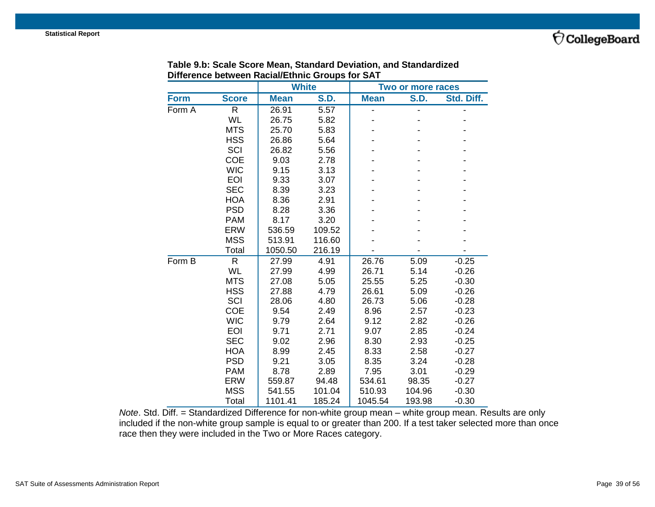

|             |              | <b>White</b> |             |             | Two or more races |            |
|-------------|--------------|--------------|-------------|-------------|-------------------|------------|
| <b>Form</b> | <b>Score</b> | <b>Mean</b>  | <b>S.D.</b> | <b>Mean</b> | <b>S.D.</b>       | Std. Diff. |
| Form A      | R            | 26.91        | 5.57        |             |                   |            |
|             | <b>WL</b>    | 26.75        | 5.82        |             |                   |            |
|             | <b>MTS</b>   | 25.70        | 5.83        |             |                   |            |
|             | <b>HSS</b>   | 26.86        | 5.64        |             |                   |            |
|             | SCI          | 26.82        | 5.56        |             |                   |            |
|             | COE          | 9.03         | 2.78        |             |                   |            |
|             | <b>WIC</b>   | 9.15         | 3.13        |             |                   |            |
|             | <b>EOI</b>   | 9.33         | 3.07        |             |                   |            |
|             | <b>SEC</b>   | 8.39         | 3.23        |             |                   |            |
|             | <b>HOA</b>   | 8.36         | 2.91        |             |                   |            |
|             | <b>PSD</b>   | 8.28         | 3.36        |             |                   |            |
|             | <b>PAM</b>   | 8.17         | 3.20        |             |                   |            |
|             | <b>ERW</b>   | 536.59       | 109.52      |             |                   |            |
|             | <b>MSS</b>   | 513.91       | 116.60      |             |                   |            |
|             | Total        | 1050.50      | 216.19      |             |                   |            |
| Form B      | R            | 27.99        | 4.91        | 26.76       | 5.09              | $-0.25$    |
|             | <b>WL</b>    | 27.99        | 4.99        | 26.71       | 5.14              | $-0.26$    |
|             | <b>MTS</b>   | 27.08        | 5.05        | 25.55       | 5.25              | $-0.30$    |
|             | <b>HSS</b>   | 27.88        | 4.79        | 26.61       | 5.09              | $-0.26$    |
|             | SCI          | 28.06        | 4.80        | 26.73       | 5.06              | $-0.28$    |
|             | <b>COE</b>   | 9.54         | 2.49        | 8.96        | 2.57              | $-0.23$    |
|             | <b>WIC</b>   | 9.79         | 2.64        | 9.12        | 2.82              | $-0.26$    |
|             | <b>EOI</b>   | 9.71         | 2.71        | 9.07        | 2.85              | $-0.24$    |
|             | <b>SEC</b>   | 9.02         | 2.96        | 8.30        | 2.93              | $-0.25$    |
|             | <b>HOA</b>   | 8.99         | 2.45        | 8.33        | 2.58              | $-0.27$    |
|             | <b>PSD</b>   | 9.21         | 3.05        | 8.35        | 3.24              | $-0.28$    |
|             | <b>PAM</b>   | 8.78         | 2.89        | 7.95        | 3.01              | $-0.29$    |
|             | <b>ERW</b>   | 559.87       | 94.48       | 534.61      | 98.35             | $-0.27$    |
|             | <b>MSS</b>   | 541.55       | 101.04      | 510.93      | 104.96            | $-0.30$    |
|             | Total        | 1101.41      | 185.24      | 1045.54     | 193.98            | $-0.30$    |

#### **Table 9.b: Scale Score Mean, Standard Deviation, and Standardized Difference between Racial/Ethnic Groups for SAT**

*Note*. Std. Diff. = Standardized Difference for non-white group mean – white group mean. Results are only included if the non-white group sample is equal to or greater than 200. If a test taker selected more than once race then they were included in the Two or More Races category.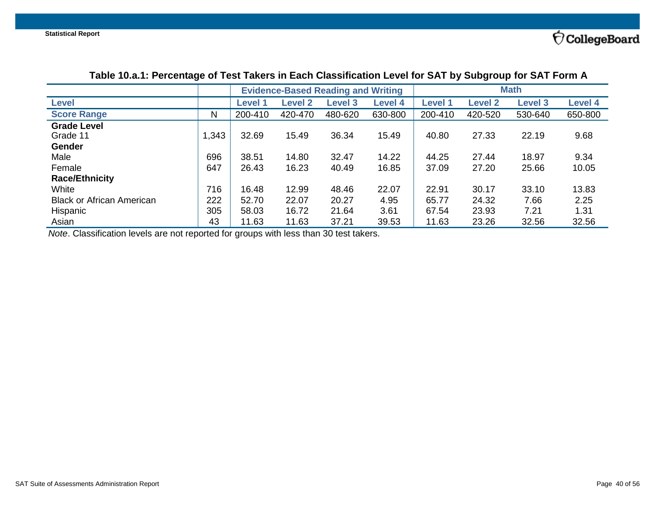|                                  |       | <b>Evidence-Based Reading and Writing</b> |                |                |                | <b>Math</b>    |                |                |                |
|----------------------------------|-------|-------------------------------------------|----------------|----------------|----------------|----------------|----------------|----------------|----------------|
| <b>Level</b>                     |       | <b>Level 1</b>                            | <b>Level 2</b> | <b>Level 3</b> | <b>Level 4</b> | <b>Level 1</b> | <b>Level 2</b> | <b>Level 3</b> | <b>Level 4</b> |
| <b>Score Range</b>               | N     | 200-410                                   | 420-470        | 480-620        | 630-800        | 200-410        | 420-520        | 530-640        | 650-800        |
| <b>Grade Level</b>               |       |                                           |                |                |                |                |                |                |                |
| Grade 11                         | 1,343 | 32.69                                     | 15.49          | 36.34          | 15.49          | 40.80          | 27.33          | 22.19          | 9.68           |
| <b>Gender</b>                    |       |                                           |                |                |                |                |                |                |                |
| Male                             | 696   | 38.51                                     | 14.80          | 32.47          | 14.22          | 44.25          | 27.44          | 18.97          | 9.34           |
| Female                           | 647   | 26.43                                     | 16.23          | 40.49          | 16.85          | 37.09          | 27.20          | 25.66          | 10.05          |
| <b>Race/Ethnicity</b>            |       |                                           |                |                |                |                |                |                |                |
| White                            | 716   | 16.48                                     | 12.99          | 48.46          | 22.07          | 22.91          | 30.17          | 33.10          | 13.83          |
| <b>Black or African American</b> | 222   | 52.70                                     | 22.07          | 20.27          | 4.95           | 65.77          | 24.32          | 7.66           | 2.25           |
| Hispanic                         | 305   | 58.03                                     | 16.72          | 21.64          | 3.61           | 67.54          | 23.93          | 7.21           | 1.31           |
| Asian                            | 43    | 11.63                                     | 11.63          | 37.21          | 39.53          | 11.63          | 23.26          | 32.56          | 32.56          |

## **Table 10.a.1: Percentage of Test Takers in Each Classification Level for SAT by Subgroup for SAT Form A**

<span id="page-39-0"></span>*Note*. Classification levels are not reported for groups with less than 30 test takers.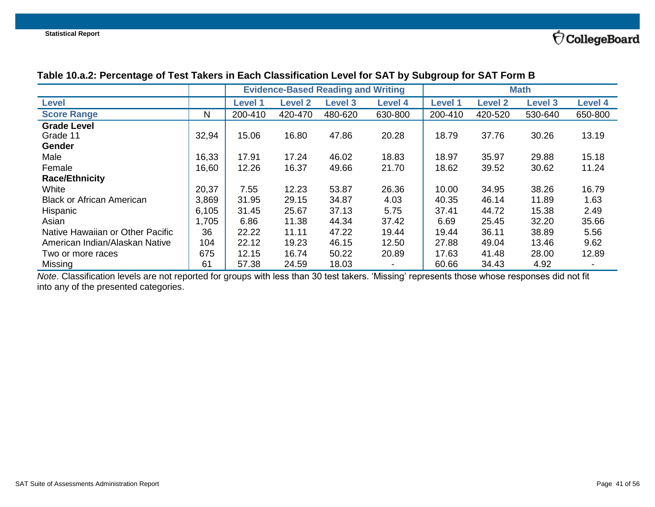|                                  |       |         |                | <b>Evidence-Based Reading and Writing</b> |                |                |                | <b>Math</b>    |                |
|----------------------------------|-------|---------|----------------|-------------------------------------------|----------------|----------------|----------------|----------------|----------------|
| Level                            |       | Level 1 | <b>Level 2</b> | <b>Level 3</b>                            | <b>Level 4</b> | <b>Level 1</b> | <b>Level 2</b> | <b>Level 3</b> | <b>Level 4</b> |
| <b>Score Range</b>               | N     | 200-410 | 420-470        | 480-620                                   | 630-800        | 200-410        | 420-520        | 530-640        | 650-800        |
| <b>Grade Level</b>               |       |         |                |                                           |                |                |                |                |                |
| Grade 11                         | 32,94 | 15.06   | 16.80          | 47.86                                     | 20.28          | 18.79          | 37.76          | 30.26          | 13.19          |
| Gender                           |       |         |                |                                           |                |                |                |                |                |
| Male                             | 16,33 | 17.91   | 17.24          | 46.02                                     | 18.83          | 18.97          | 35.97          | 29.88          | 15.18          |
| Female                           | 16,60 | 12.26   | 16.37          | 49.66                                     | 21.70          | 18.62          | 39.52          | 30.62          | 11.24          |
| <b>Race/Ethnicity</b>            |       |         |                |                                           |                |                |                |                |                |
| White                            | 20,37 | 7.55    | 12.23          | 53.87                                     | 26.36          | 10.00          | 34.95          | 38.26          | 16.79          |
| <b>Black or African American</b> | 3,869 | 31.95   | 29.15          | 34.87                                     | 4.03           | 40.35          | 46.14          | 11.89          | 1.63           |
| Hispanic                         | 6,105 | 31.45   | 25.67          | 37.13                                     | 5.75           | 37.41          | 44.72          | 15.38          | 2.49           |
| Asian                            | 1,705 | 6.86    | 11.38          | 44.34                                     | 37.42          | 6.69           | 25.45          | 32.20          | 35.66          |
| Native Hawaiian or Other Pacific | 36    | 22.22   | 11.11          | 47.22                                     | 19.44          | 19.44          | 36.11          | 38.89          | 5.56           |
| American Indian/Alaskan Native   | 104   | 22.12   | 19.23          | 46.15                                     | 12.50          | 27.88          | 49.04          | 13.46          | 9.62           |
| Two or more races                | 675   | 12.15   | 16.74          | 50.22                                     | 20.89          | 17.63          | 41.48          | 28.00          | 12.89          |
| Missing                          | 61    | 57.38   | 24.59          | 18.03                                     |                | 60.66          | 34.43          | 4.92           |                |

## **Table 10.a.2: Percentage of Test Takers in Each Classification Level for SAT by Subgroup for SAT Form B**

<span id="page-40-0"></span>*Note*. Classification levels are not reported for groups with less than 30 test takers. 'Missing' represents those whose responses did not fit into any of the presented categories.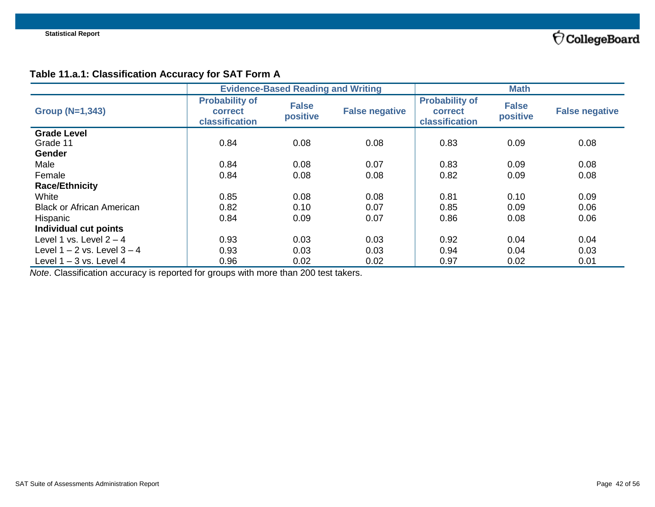## **Table 11.a.1: Classification Accuracy for SAT Form A**

|                                          |                                                    | <b>Evidence-Based Reading and Writing</b> |                       |                                                    | <b>Math</b>              |                       |
|------------------------------------------|----------------------------------------------------|-------------------------------------------|-----------------------|----------------------------------------------------|--------------------------|-----------------------|
| <b>Group (N=1,343)</b>                   | <b>Probability of</b><br>correct<br>classification | <b>False</b><br>positive                  | <b>False negative</b> | <b>Probability of</b><br>correct<br>classification | <b>False</b><br>positive | <b>False negative</b> |
| <b>Grade Level</b><br>Grade 11<br>Gender | 0.84                                               | 0.08                                      | 0.08                  | 0.83                                               | 0.09                     | 0.08                  |
| Male                                     | 0.84                                               | 0.08                                      | 0.07                  | 0.83                                               | 0.09                     | 0.08                  |
| Female                                   | 0.84                                               | 0.08                                      | 0.08                  | 0.82                                               | 0.09                     | 0.08                  |
| <b>Race/Ethnicity</b>                    |                                                    |                                           |                       |                                                    |                          |                       |
| White                                    | 0.85                                               | 0.08                                      | 0.08                  | 0.81                                               | 0.10                     | 0.09                  |
| <b>Black or African American</b>         | 0.82                                               | 0.10                                      | 0.07                  | 0.85                                               | 0.09                     | 0.06                  |
| Hispanic                                 | 0.84                                               | 0.09                                      | 0.07                  | 0.86                                               | 0.08                     | 0.06                  |
| Individual cut points                    |                                                    |                                           |                       |                                                    |                          |                       |
| Level 1 vs. Level $2 - 4$                | 0.93                                               | 0.03                                      | 0.03                  | 0.92                                               | 0.04                     | 0.04                  |
| Level $1 - 2$ vs. Level $3 - 4$          | 0.93                                               | 0.03                                      | 0.03                  | 0.94                                               | 0.04                     | 0.03                  |
| Level $1 - 3$ vs. Level 4                | 0.96                                               | 0.02                                      | 0.02                  | 0.97                                               | 0.02                     | 0.01                  |

<span id="page-41-0"></span>*Note*. Classification accuracy is reported for groups with more than 200 test takers.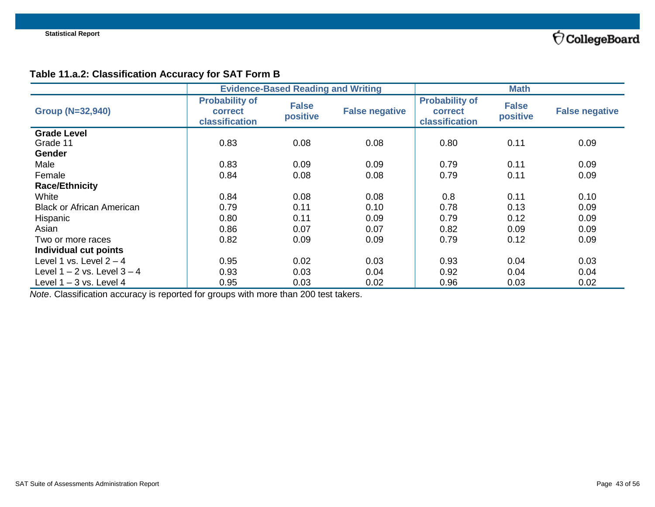## **Table 11.a.2: Classification Accuracy for SAT Form B**

|                                  | <b>Evidence-Based Reading and Writing</b>          |                          |                       | <b>Math</b>                                               |                          |                       |
|----------------------------------|----------------------------------------------------|--------------------------|-----------------------|-----------------------------------------------------------|--------------------------|-----------------------|
| <b>Group (N=32,940)</b>          | <b>Probability of</b><br>correct<br>classification | <b>False</b><br>positive | <b>False negative</b> | <b>Probability of</b><br><b>correct</b><br>classification | <b>False</b><br>positive | <b>False negative</b> |
| <b>Grade Level</b>               |                                                    |                          |                       |                                                           |                          |                       |
| Grade 11                         | 0.83                                               | 0.08                     | 0.08                  | 0.80                                                      | 0.11                     | 0.09                  |
| <b>Gender</b>                    |                                                    |                          |                       |                                                           |                          |                       |
| Male                             | 0.83                                               | 0.09                     | 0.09                  | 0.79                                                      | 0.11                     | 0.09                  |
| Female                           | 0.84                                               | 0.08                     | 0.08                  | 0.79                                                      | 0.11                     | 0.09                  |
| <b>Race/Ethnicity</b>            |                                                    |                          |                       |                                                           |                          |                       |
| White                            | 0.84                                               | 0.08                     | 0.08                  | 0.8                                                       | 0.11                     | 0.10                  |
| <b>Black or African American</b> | 0.79                                               | 0.11                     | 0.10                  | 0.78                                                      | 0.13                     | 0.09                  |
| Hispanic                         | 0.80                                               | 0.11                     | 0.09                  | 0.79                                                      | 0.12                     | 0.09                  |
| Asian                            | 0.86                                               | 0.07                     | 0.07                  | 0.82                                                      | 0.09                     | 0.09                  |
| Two or more races                | 0.82                                               | 0.09                     | 0.09                  | 0.79                                                      | 0.12                     | 0.09                  |
| Individual cut points            |                                                    |                          |                       |                                                           |                          |                       |
| Level 1 vs. Level $2 - 4$        | 0.95                                               | 0.02                     | 0.03                  | 0.93                                                      | 0.04                     | 0.03                  |
| Level $1 - 2$ vs. Level $3 - 4$  | 0.93                                               | 0.03                     | 0.04                  | 0.92                                                      | 0.04                     | 0.04                  |
| Level $1 - 3$ vs. Level 4        | 0.95                                               | 0.03                     | 0.02                  | 0.96                                                      | 0.03                     | 0.02                  |

<span id="page-42-0"></span>*Note*. Classification accuracy is reported for groups with more than 200 test takers.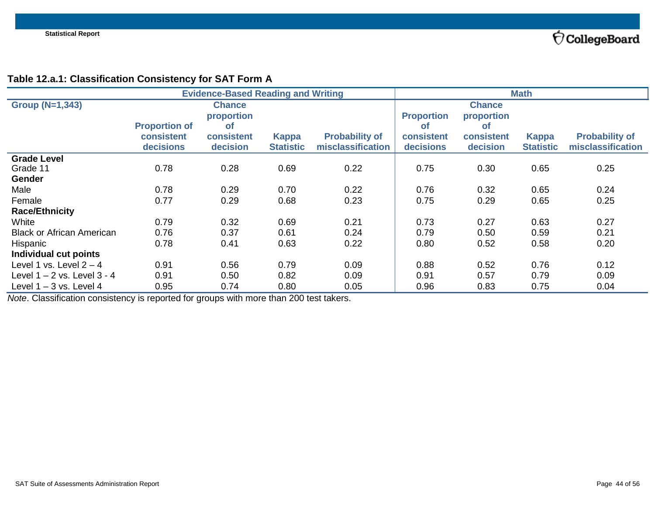## **Table 12.a.1: Classification Consistency for SAT Form A**

|                                  | <b>Evidence-Based Reading and Writing</b> |               |                  | <b>Math</b>           |                   |               |                  |                       |
|----------------------------------|-------------------------------------------|---------------|------------------|-----------------------|-------------------|---------------|------------------|-----------------------|
| <b>Group (N=1,343)</b>           |                                           | <b>Chance</b> |                  |                       |                   | <b>Chance</b> |                  |                       |
|                                  |                                           | proportion    |                  |                       | <b>Proportion</b> | proportion    |                  |                       |
|                                  | <b>Proportion of</b>                      | <b>of</b>     |                  |                       | <b>of</b>         | <b>of</b>     |                  |                       |
|                                  | consistent                                | consistent    | <b>Kappa</b>     | <b>Probability of</b> | consistent        | consistent    | <b>Kappa</b>     | <b>Probability of</b> |
|                                  | decisions                                 | decision      | <b>Statistic</b> | misclassification     | decisions         | decision      | <b>Statistic</b> | misclassification     |
| <b>Grade Level</b>               |                                           |               |                  |                       |                   |               |                  |                       |
| Grade 11                         | 0.78                                      | 0.28          | 0.69             | 0.22                  | 0.75              | 0.30          | 0.65             | 0.25                  |
| <b>Gender</b>                    |                                           |               |                  |                       |                   |               |                  |                       |
| Male                             | 0.78                                      | 0.29          | 0.70             | 0.22                  | 0.76              | 0.32          | 0.65             | 0.24                  |
| Female                           | 0.77                                      | 0.29          | 0.68             | 0.23                  | 0.75              | 0.29          | 0.65             | 0.25                  |
| <b>Race/Ethnicity</b>            |                                           |               |                  |                       |                   |               |                  |                       |
| White                            | 0.79                                      | 0.32          | 0.69             | 0.21                  | 0.73              | 0.27          | 0.63             | 0.27                  |
| <b>Black or African American</b> | 0.76                                      | 0.37          | 0.61             | 0.24                  | 0.79              | 0.50          | 0.59             | 0.21                  |
| Hispanic                         | 0.78                                      | 0.41          | 0.63             | 0.22                  | 0.80              | 0.52          | 0.58             | 0.20                  |
| Individual cut points            |                                           |               |                  |                       |                   |               |                  |                       |
| Level 1 vs. Level $2 - 4$        | 0.91                                      | 0.56          | 0.79             | 0.09                  | 0.88              | 0.52          | 0.76             | 0.12                  |
| Level $1 - 2$ vs. Level $3 - 4$  | 0.91                                      | 0.50          | 0.82             | 0.09                  | 0.91              | 0.57          | 0.79             | 0.09                  |
| Level $1 - 3$ vs. Level 4        | 0.95                                      | 0.74          | 0.80             | 0.05                  | 0.96              | 0.83          | 0.75             | 0.04                  |

<span id="page-43-0"></span>*Note*. Classification consistency is reported for groups with more than 200 test takers.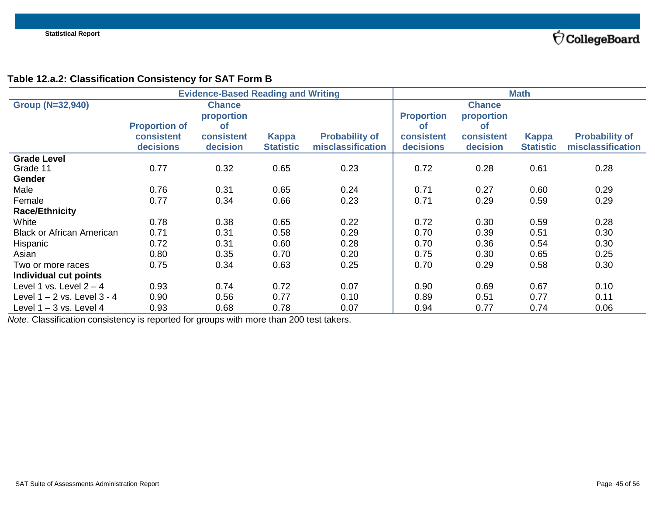$\acute{\nabla}$ CollegeBoard

## **Table 12.a.2: Classification Consistency for SAT Form B**

|                                  | <b>Evidence-Based Reading and Writing</b> |               |                  | <b>Math</b>           |                   |               |                  |                       |
|----------------------------------|-------------------------------------------|---------------|------------------|-----------------------|-------------------|---------------|------------------|-----------------------|
| <b>Group (N=32,940)</b>          |                                           | <b>Chance</b> |                  |                       |                   | <b>Chance</b> |                  |                       |
|                                  |                                           | proportion    |                  |                       | <b>Proportion</b> | proportion    |                  |                       |
|                                  | <b>Proportion of</b>                      | оf            |                  |                       | <b>of</b>         | <b>of</b>     |                  |                       |
|                                  | <b>consistent</b>                         | consistent    | <b>Kappa</b>     | <b>Probability of</b> | consistent        | consistent    | <b>Kappa</b>     | <b>Probability of</b> |
|                                  | decisions                                 | decision      | <b>Statistic</b> | misclassification     | decisions         | decision      | <b>Statistic</b> | misclassification     |
| <b>Grade Level</b>               |                                           |               |                  |                       |                   |               |                  |                       |
| Grade 11                         | 0.77                                      | 0.32          | 0.65             | 0.23                  | 0.72              | 0.28          | 0.61             | 0.28                  |
| <b>Gender</b>                    |                                           |               |                  |                       |                   |               |                  |                       |
| Male                             | 0.76                                      | 0.31          | 0.65             | 0.24                  | 0.71              | 0.27          | 0.60             | 0.29                  |
| Female                           | 0.77                                      | 0.34          | 0.66             | 0.23                  | 0.71              | 0.29          | 0.59             | 0.29                  |
| <b>Race/Ethnicity</b>            |                                           |               |                  |                       |                   |               |                  |                       |
| White                            | 0.78                                      | 0.38          | 0.65             | 0.22                  | 0.72              | 0.30          | 0.59             | 0.28                  |
| <b>Black or African American</b> | 0.71                                      | 0.31          | 0.58             | 0.29                  | 0.70              | 0.39          | 0.51             | 0.30                  |
| Hispanic                         | 0.72                                      | 0.31          | 0.60             | 0.28                  | 0.70              | 0.36          | 0.54             | 0.30                  |
| Asian                            | 0.80                                      | 0.35          | 0.70             | 0.20                  | 0.75              | 0.30          | 0.65             | 0.25                  |
| Two or more races                | 0.75                                      | 0.34          | 0.63             | 0.25                  | 0.70              | 0.29          | 0.58             | 0.30                  |
| Individual cut points            |                                           |               |                  |                       |                   |               |                  |                       |
| Level 1 vs. Level $2 - 4$        | 0.93                                      | 0.74          | 0.72             | 0.07                  | 0.90              | 0.69          | 0.67             | 0.10                  |
| Level 1 – 2 vs. Level 3 - 4      | 0.90                                      | 0.56          | 0.77             | 0.10                  | 0.89              | 0.51          | 0.77             | 0.11                  |
| Level 1 - 3 vs. Level 4          | 0.93                                      | 0.68          | 0.78             | 0.07                  | 0.94              | 0.77          | 0.74             | 0.06                  |

<span id="page-44-0"></span>*Note*. Classification consistency is reported for groups with more than 200 test takers.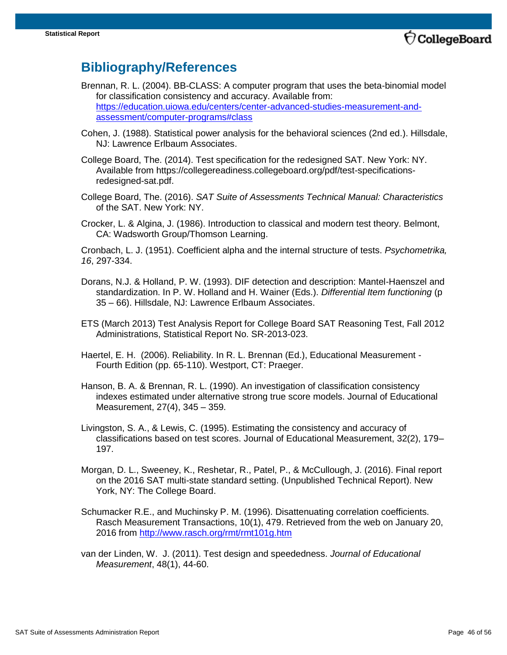**CollegeBoard** 

## **Bibliography/References**

- Brennan, R. L. (2004). BB-CLASS: A computer program that uses the beta-binomial model for classification consistency and accuracy. Available from: [https://education.uiowa.edu/centers/center-advanced-studies-measurement-and](https://education.uiowa.edu/centers/center-advanced-studies-measurement-and-assessment/computer-programs#class)[assessment/computer-programs#class](https://education.uiowa.edu/centers/center-advanced-studies-measurement-and-assessment/computer-programs#class)
- Cohen, J. (1988). Statistical power analysis for the behavioral sciences (2nd ed.). Hillsdale, NJ: Lawrence Erlbaum Associates.
- College Board, The. (2014). Test specification for the redesigned SAT. New York: NY. Available from https://collegereadiness.collegeboard.org/pdf/test-specificationsredesigned-sat.pdf.
- College Board, The. (2016). *SAT Suite of Assessments Technical Manual: Characteristics*  of the SAT. New York: NY.
- Crocker, L. & Algina, J. (1986). Introduction to classical and modern test theory. Belmont, CA: Wadsworth Group/Thomson Learning.

Cronbach, L. J. (1951). Coefficient alpha and the internal structure of tests. *Psychometrika, 16*, 297-334.

- Dorans, N.J. & Holland, P. W. (1993). DIF detection and description: Mantel-Haenszel and standardization. In P. W. Holland and H. Wainer (Eds.). *Differential Item functioning* (p 35 – 66). Hillsdale, NJ: Lawrence Erlbaum Associates.
- ETS (March 2013) Test Analysis Report for College Board SAT Reasoning Test, Fall 2012 Administrations, Statistical Report No. SR-2013-023.
- Haertel, E. H. (2006). Reliability. In R. L. Brennan (Ed.), Educational Measurement Fourth Edition (pp. 65-110). Westport, CT: Praeger.
- Hanson, B. A. & Brennan, R. L. (1990). An investigation of classification consistency indexes estimated under alternative strong true score models. Journal of Educational Measurement, 27(4), 345 – 359.
- Livingston, S. A., & Lewis, C. (1995). Estimating the consistency and accuracy of classifications based on test scores. Journal of Educational Measurement, 32(2), 179– 197.
- Morgan, D. L., Sweeney, K., Reshetar, R., Patel, P., & McCullough, J. (2016). Final report on the 2016 SAT multi-state standard setting. (Unpublished Technical Report). New York, NY: The College Board.
- Schumacker R.E., and Muchinsky P. M. (1996). Disattenuating correlation coefficients. Rasch Measurement Transactions, 10(1), 479. Retrieved from the web on January 20, 2016 from<http://www.rasch.org/rmt/rmt101g.htm>
- van der Linden, W. J. (2011). Test design and speededness. *Journal of Educational Measurement*, 48(1), 44-60.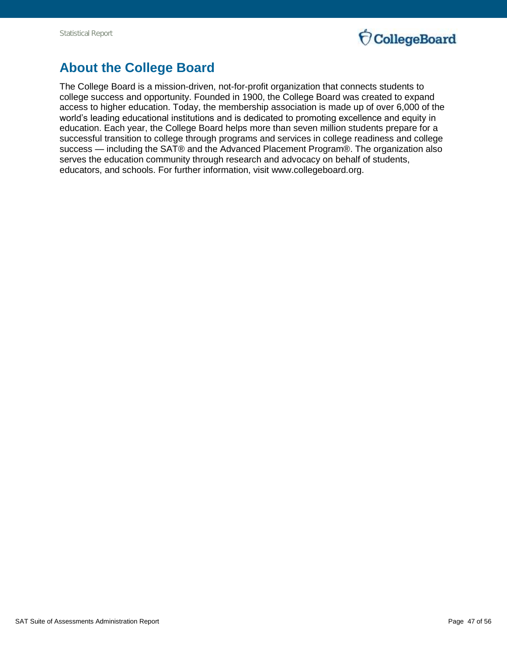

## **About the College Board**

The College Board is a mission-driven, not-for-profit organization that connects students to college success and opportunity. Founded in 1900, the College Board was created to expand access to higher education. Today, the membership association is made up of over 6,000 of the world's leading educational institutions and is dedicated to promoting excellence and equity in education. Each year, the College Board helps more than seven million students prepare for a successful transition to college through programs and services in college readiness and college success — including the SAT® and the Advanced Placement Program®. The organization also serves the education community through research and advocacy on behalf of students, educators, and schools. For further information, visit www.collegeboard.org.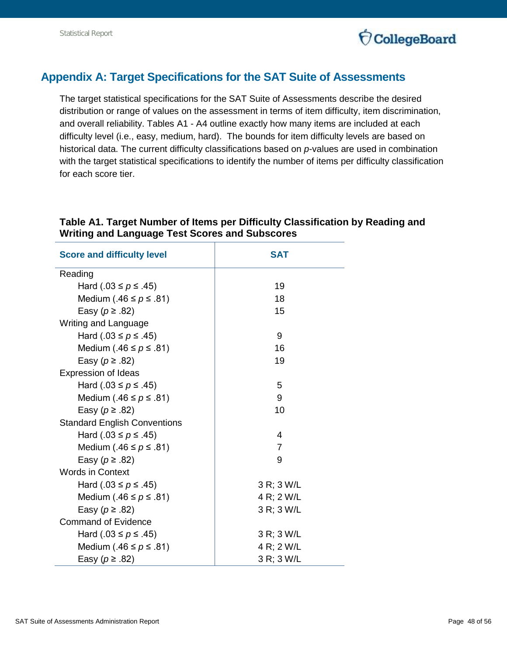

## <span id="page-47-0"></span>**Appendix A: Target Specifications for the SAT Suite of Assessments**

The target statistical specifications for the SAT Suite of Assessments describe the desired distribution or range of values on the assessment in terms of item difficulty, item discrimination, and overall reliability. Tables A1 - A4 outline exactly how many items are included at each difficulty level (i.e., easy, medium, hard). The bounds for item difficulty levels are based on historical data. The current difficulty classifications based on *p*-values are used in combination with the target statistical specifications to identify the number of items per difficulty classification for each score tier.

| <b>Score and difficulty level</b>   | <b>SAT</b>     |
|-------------------------------------|----------------|
| Reading                             |                |
| Hard (.03 ≤ $p$ ≤ .45)              | 19             |
| Medium (.46 $\leq p \leq .81$ )     | 18             |
| Easy ( $p \ge .82$ )                | 15             |
| Writing and Language                |                |
| Hard (.03 ≤ $p$ ≤ .45)              | 9              |
| Medium (.46 $\leq p \leq .81$ )     | 16             |
| Easy ( $p \ge .82$ )                | 19             |
| Expression of Ideas                 |                |
| Hard (.03 ≤ $p$ ≤ .45)              | 5              |
| Medium (.46 $\leq p \leq .81$ )     | 9              |
| Easy ( $p \ge .82$ )                | 10             |
| <b>Standard English Conventions</b> |                |
| Hard (.03 ≤ $p$ ≤ .45)              | 4              |
| Medium (.46 $\leq p \leq$ .81)      | $\overline{7}$ |
| Easy ( $p \ge .82$ )                | 9              |
| <b>Words in Context</b>             |                |
| Hard (.03 ≤ $p$ ≤ .45)              | 3 R; 3 W/L     |
| Medium (.46 $\leq p \leq$ .81)      | 4 R; 2 W/L     |
| Easy ( $p \ge .82$ )                | 3 R; 3 W/L     |
| <b>Command of Evidence</b>          |                |
| Hard (.03 ≤ $p$ ≤ .45)              | 3 R; 3 W/L     |
| Medium (.46 $\leq p \leq .81$ )     | 4 R; 2 W/L     |
| Easy ( $p \ge .82$ )                | 3 R; 3 W/L     |

## <span id="page-47-1"></span>**Table A1. Target Number of Items per Difficulty Classification by Reading and Writing and Language Test Scores and Subscores**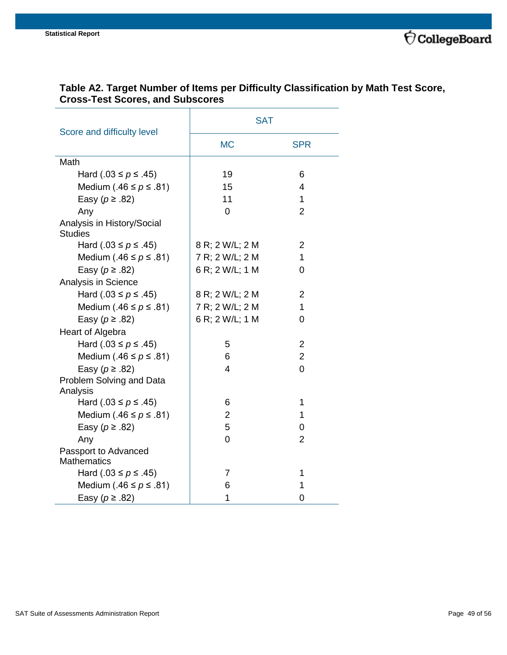|                                              | <b>SAT</b>      |                         |  |  |
|----------------------------------------------|-----------------|-------------------------|--|--|
| Score and difficulty level                   | <b>MC</b>       | <b>SPR</b>              |  |  |
| Math                                         |                 |                         |  |  |
| Hard (.03 ≤ $p$ ≤ .45)                       | 19              | 6                       |  |  |
| Medium (.46 $\leq p \leq .81$ )              | 15              | $\overline{\mathbf{4}}$ |  |  |
| Easy ( $p \ge .82$ )                         | 11              | $\mathbf{1}$            |  |  |
| Any                                          | 0               | $\overline{2}$          |  |  |
| Analysis in History/Social<br><b>Studies</b> |                 |                         |  |  |
| Hard (.03 ≤ $p$ ≤ .45)                       | 8 R; 2 W/L; 2 M | $\overline{2}$          |  |  |
| Medium (.46 $\leq p \leq .81$ )              | 7 R; 2 W/L; 2 M | 1                       |  |  |
| Easy ( $p \ge .82$ )                         | 6 R; 2 W/L; 1 M | 0                       |  |  |
| Analysis in Science                          |                 |                         |  |  |
| Hard (.03 ≤ $p$ ≤ .45)                       | 8 R; 2 W/L; 2 M | $\overline{2}$          |  |  |
| Medium (.46 $\leq p \leq$ .81)               | 7 R; 2 W/L; 2 M | $\mathbf{1}$            |  |  |
| Easy ( $p \ge .82$ )                         | 6 R; 2 W/L; 1 M | $\Omega$                |  |  |
| Heart of Algebra                             |                 |                         |  |  |
| Hard (.03 ≤ $p$ ≤ .45)                       | 5               | $\overline{2}$          |  |  |
| Medium (.46 $\leq p \leq .81$ )              | 6               | $\overline{2}$          |  |  |
| Easy ( $p \ge .82$ )                         | 4               | $\overline{0}$          |  |  |
| Problem Solving and Data<br>Analysis         |                 |                         |  |  |
| Hard (.03 ≤ $p$ ≤ .45)                       | 6               | 1                       |  |  |
| Medium (.46 $\leq p \leq .81$ )              | 2               | 1                       |  |  |
| Easy ( $p \ge .82$ )                         | 5               | 0                       |  |  |
| Any                                          | 0               | $\overline{2}$          |  |  |
| Passport to Advanced<br><b>Mathematics</b>   |                 |                         |  |  |
| Hard (.03 ≤ $p$ ≤ .45)                       | 7               | 1                       |  |  |
| Medium (.46 $\leq p \leq .81$ )              | 6               | 1                       |  |  |
| Easy ( $p \ge .82$ )                         | 1               | 0                       |  |  |

## <span id="page-48-0"></span>**Table A2. Target Number of Items per Difficulty Classification by Math Test Score, Cross-Test Scores, and Subscores**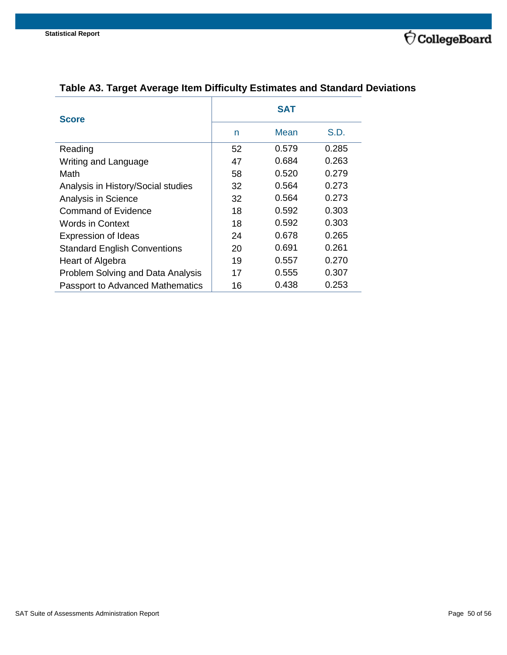

| <b>Score</b>                            | <b>SAT</b> |       |       |  |  |
|-----------------------------------------|------------|-------|-------|--|--|
|                                         | n          | Mean  | S.D.  |  |  |
| Reading                                 | 52         | 0.579 | 0.285 |  |  |
| Writing and Language                    | 47         | 0.684 | 0.263 |  |  |
| Math                                    | 58         | 0.520 | 0.279 |  |  |
| Analysis in History/Social studies      | 32         | 0.564 | 0.273 |  |  |
| Analysis in Science                     | 32         | 0.564 | 0.273 |  |  |
| Command of Evidence                     | 18         | 0.592 | 0.303 |  |  |
| <b>Words in Context</b>                 | 18         | 0.592 | 0.303 |  |  |
| <b>Expression of Ideas</b>              | 24         | 0.678 | 0.265 |  |  |
| <b>Standard English Conventions</b>     | 20         | 0.691 | 0.261 |  |  |
| Heart of Algebra                        | 19         | 0.557 | 0.270 |  |  |
| Problem Solving and Data Analysis       | 17         | 0.555 | 0.307 |  |  |
| <b>Passport to Advanced Mathematics</b> | 16         | 0.438 | 0.253 |  |  |

## <span id="page-49-0"></span>**Table A3. Target Average Item Difficulty Estimates and Standard Deviations**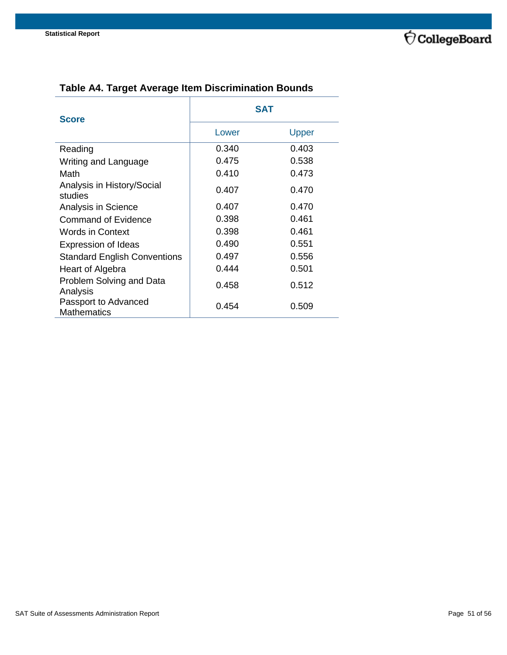

| <b>Score</b>                               | <b>SAT</b> |       |  |  |
|--------------------------------------------|------------|-------|--|--|
|                                            | Lower      | Upper |  |  |
| Reading                                    | 0.340      | 0.403 |  |  |
| Writing and Language                       | 0.475      | 0.538 |  |  |
| Math                                       | 0.410      | 0.473 |  |  |
| Analysis in History/Social<br>studies      | 0.407      | 0.470 |  |  |
| Analysis in Science                        | 0.407      | 0.470 |  |  |
| Command of Evidence                        | 0.398      | 0.461 |  |  |
| Words in Context                           | 0.398      | 0.461 |  |  |
| <b>Expression of Ideas</b>                 | 0.490      | 0.551 |  |  |
| <b>Standard English Conventions</b>        | 0.497      | 0.556 |  |  |
| Heart of Algebra                           | 0.444      | 0.501 |  |  |
| Problem Solving and Data<br>Analysis       | 0.458      | 0.512 |  |  |
| Passport to Advanced<br><b>Mathematics</b> | 0.454      | 0.509 |  |  |

## <span id="page-50-0"></span>**Table A4. Target Average Item Discrimination Bounds**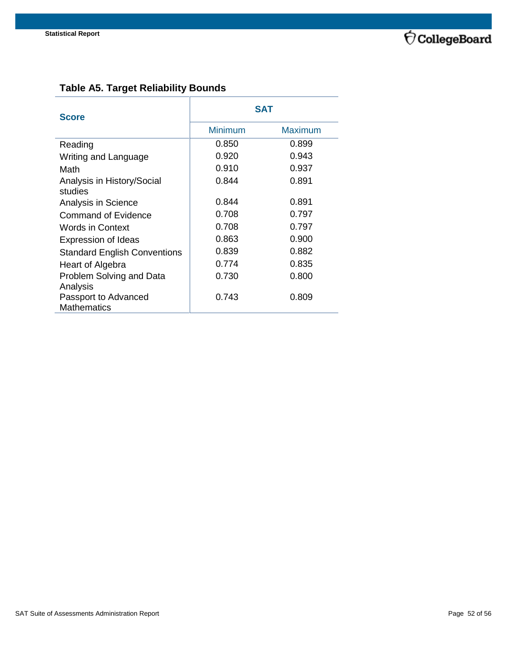

## <span id="page-51-0"></span>**Table A5. Target Reliability Bounds**

| <b>Score</b>                        | <b>SAT</b>     |                |  |  |
|-------------------------------------|----------------|----------------|--|--|
|                                     | <b>Minimum</b> | <b>Maximum</b> |  |  |
| Reading                             | 0.850          | 0.899          |  |  |
| Writing and Language                | 0.920          | 0.943          |  |  |
| Math                                | 0.910          | 0.937          |  |  |
| Analysis in History/Social          | 0.844          | 0.891          |  |  |
| studies                             |                |                |  |  |
| Analysis in Science                 | 0.844          | 0.891          |  |  |
| <b>Command of Evidence</b>          | 0.708          | 0.797          |  |  |
| Words in Context                    | 0.708          | 0.797          |  |  |
| <b>Expression of Ideas</b>          | 0.863          | 0.900          |  |  |
| <b>Standard English Conventions</b> | 0.839          | 0.882          |  |  |
| Heart of Algebra                    | 0.774          | 0.835          |  |  |
| Problem Solving and Data            | 0.730          | 0.800          |  |  |
| Analysis                            |                |                |  |  |
| Passport to Advanced                | 0.743          | 0.809          |  |  |
| <b>Mathematics</b>                  |                |                |  |  |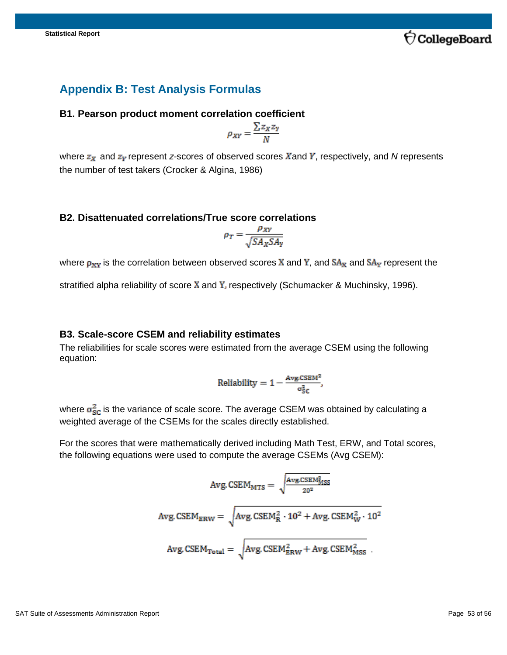

## <span id="page-52-0"></span>**Appendix B: Test Analysis Formulas**

#### <span id="page-52-1"></span>**B1. Pearson product moment correlation coefficient**

$$
\rho_{XY} = \frac{\sum z_X z_Y}{N}
$$

where  $z_x$  and  $z_y$  represent *z*-scores of observed scores X and Y, respectively, and N represents the number of test takers (Crocker & Algina, 1986)

#### <span id="page-52-2"></span>**B2. Disattenuated correlations/True score correlations**

$$
\rho_T = \frac{\rho_{XY}}{\sqrt{SA_XSA_Y}}
$$

where  $\rho_{XY}$  is the correlation between observed scores X and Y, and  $SA_X$  and  $SA_Y$  represent the

stratified alpha reliability of score  $X$  and  $Y$ , respectively (Schumacker & Muchinsky, 1996).

#### <span id="page-52-3"></span>**B3. Scale-score CSEM and reliability estimates**

The reliabilities for scale scores were estimated from the average CSEM using the following equation:

Reliability = 
$$
1 - \frac{Avg \cdot CSEM^2}{\sigma_{SC}^2},
$$

where  $\sigma_{\text{SC}}^2$  is the variance of scale score. The average CSEM was obtained by calculating a weighted average of the CSEMs for the scales directly established.

For the scores that were mathematically derived including Math Test, ERW, and Total scores, the following equations were used to compute the average CSEMs (Avg CSEM):

$$
Avg. CSEM_{MTS} = \sqrt{\frac{Avg. CSEM_{MSS}^2}{20^2}}
$$
  
Avg. CSEM<sub>ERW</sub> =  $\sqrt{Avg. CSEM_R^2 \cdot 10^2 + Avg. CSEM_W^2 \cdot 10^2}$   
Avg. CSEM<sub>Total</sub> =  $\sqrt{Avg. CSEM_{BRW}^2 + Avg. CSEM_{MSS}^2}$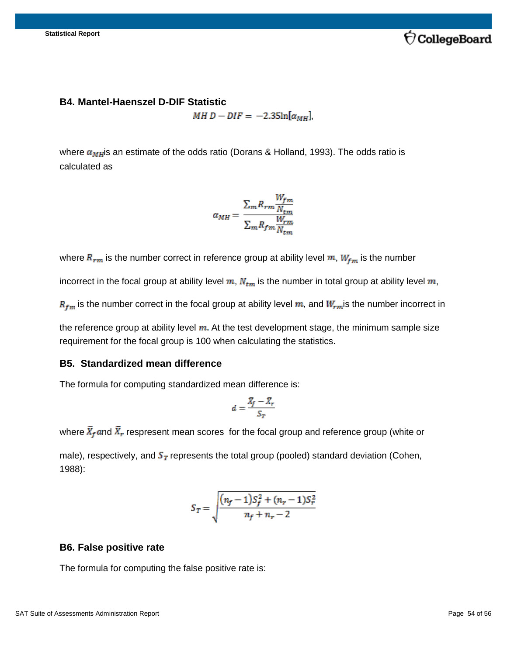

#### <span id="page-53-0"></span>**B4. Mantel-Haenszel D-DIF Statistic**

MH  $D - DIF = -2.35\ln[\alpha_{MH}],$ 

where  $\alpha_{MH}$  is an estimate of the odds ratio (Dorans & Holland, 1993). The odds ratio is calculated as

$$
\alpha_{MH} = \frac{\sum_{m} R_{rm} \frac{W_{fm}}{N_{tm}}}{\sum_{m} R_{fm} \frac{W_{rm}}{N_{tm}}}
$$

where  $R_{rm}$  is the number correct in reference group at ability level  $m$ ,  $W_{fm}$  is the number

incorrect in the focal group at ability level  $m$ ,  $N_{tm}$  is the number in total group at ability level  $m$ ,

 $R_{fm}$  is the number correct in the focal group at ability level  $m$ , and  $W_{rm}$  is the number incorrect in

the reference group at ability level  $m$ . At the test development stage, the minimum sample size requirement for the focal group is 100 when calculating the statistics.

#### <span id="page-53-1"></span>**B5. Standardized mean difference**

The formula for computing standardized mean difference is:

$$
d = \frac{\bar{X}_f - \bar{X}_r}{S_T}
$$

where  $\bar{X}_f$  and  $\bar{X}_r$  respresent mean scores for the focal group and reference group (white or

male), respectively, and  $S_T$  represents the total group (pooled) standard deviation (Cohen, 1988):

$$
S_T = \sqrt{\frac{(n_f - 1)S_f^2 + (n_r - 1)S_r^2}{n_f + n_r - 2}}
$$

#### <span id="page-53-2"></span>**B6. False positive rate**

The formula for computing the false positive rate is: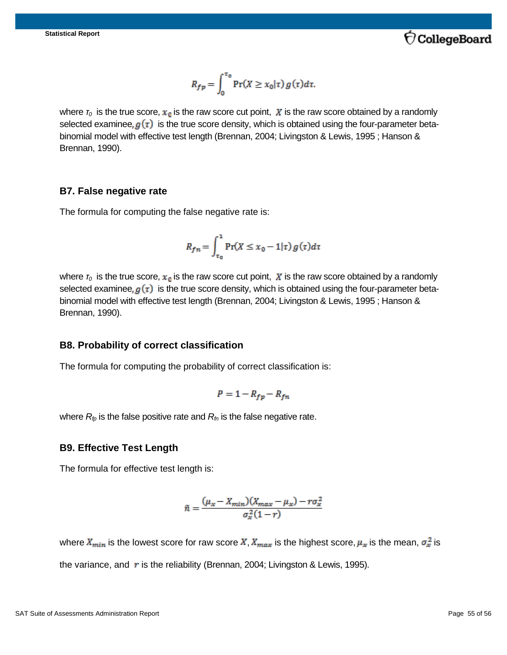

$$
R_{fp} = \int_0^{\tau_0} \Pr(X \ge x_0 | \tau) g(\tau) d\tau.
$$

where  $\tau_0$  is the true score,  $x_0$  is the raw score cut point, X is the raw score obtained by a randomly selected examinee,  $g(\tau)$  is the true score density, which is obtained using the four-parameter betabinomial model with effective test length (Brennan, 2004; Livingston & Lewis, 1995 ; Hanson & Brennan, 1990).

#### <span id="page-54-0"></span>**B7. False negative rate**

The formula for computing the false negative rate is:

$$
R_{fn} = \int_{\tau_0}^{1} \Pr(X \le x_0 - 1|\tau) g(\tau) d\tau
$$

where  $r_0$  is the true score,  $x_0$  is the raw score cut point,  $\boldsymbol{X}$  is the raw score obtained by a randomly selected examinee,  $g(\tau)$  is the true score density, which is obtained using the four-parameter betabinomial model with effective test length (Brennan, 2004; Livingston & Lewis, 1995 ; Hanson & Brennan, 1990).

#### <span id="page-54-1"></span>**B8. Probability of correct classification**

The formula for computing the probability of correct classification is:

$$
P = 1 - R_{fp} - R_{fn}
$$

where  $R_p$  is the false positive rate and  $R_p$  is the false negative rate.

#### <span id="page-54-2"></span>**B9. Effective Test Length**

The formula for effective test length is:

$$
\tilde{n} = \frac{(\mu_x - X_{min})(X_{max} - \mu_x) - r\sigma_x^2}{\sigma_x^2(1 - r)}
$$

where  $X_{min}$  is the lowest score for raw score  $X, X_{max}$  is the highest score,  $\mu_x$  is the mean,  $\sigma_x^2$  is the variance, and  $\bm{r}$  is the reliability (Brennan, 2004; Livingston & Lewis, 1995).